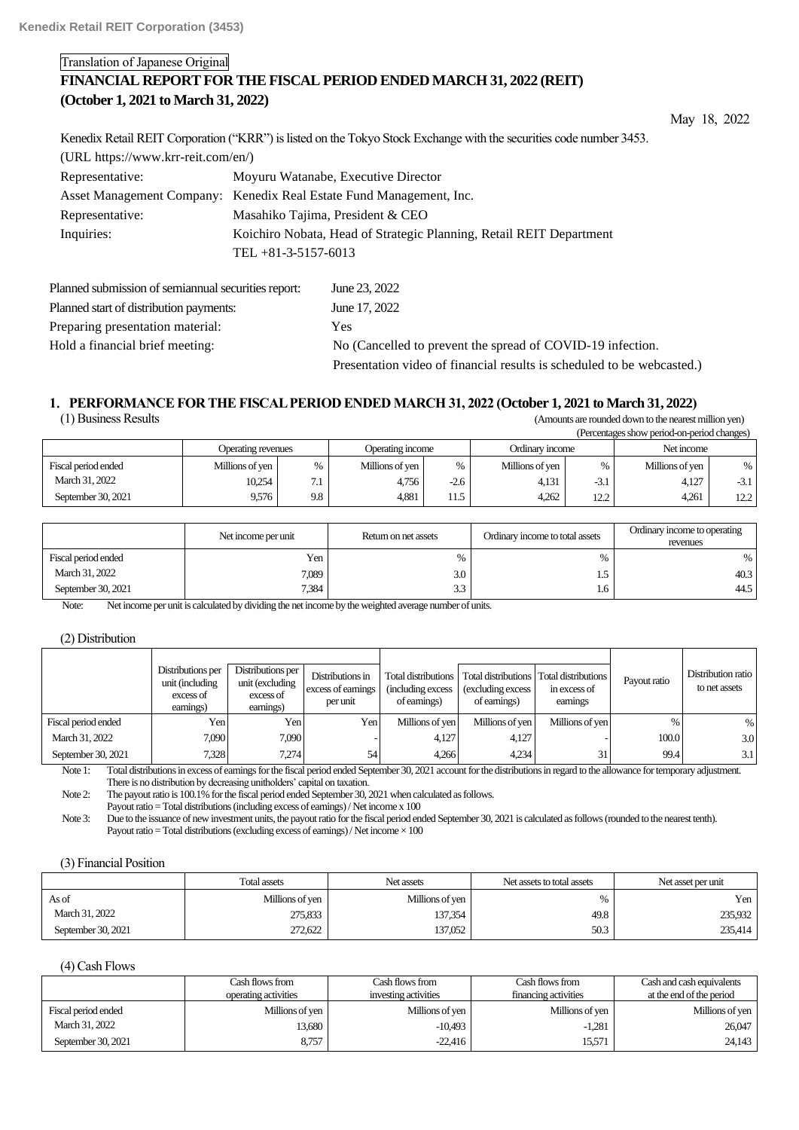# Translation of Japanese Original

# **FINANCIAL REPORT FOR THE FISCAL PERIOD ENDED MARCH 31, 2022 (REIT) (October 1, 2021 to March 31, 2022)**

May 18, 2022

|                                      | Kenedix Retail REIT Corporation ("KRR") is listed on the Tokyo Stock Exchange with the securities code number 3453. |
|--------------------------------------|---------------------------------------------------------------------------------------------------------------------|
| $(URL https://www.krr-reit.com/en/)$ |                                                                                                                     |
| Representative:                      | Moyuru Watanabe, Executive Director                                                                                 |
|                                      | Asset Management Company: Kenedix Real Estate Fund Management, Inc.                                                 |
| Representative:                      | Masahiko Tajima, President & CEO                                                                                    |
| Inquiries:                           | Koichiro Nobata, Head of Strategic Planning, Retail REIT Department                                                 |
|                                      | TEL $+81-3-5157-6013$                                                                                               |
|                                      |                                                                                                                     |

| Planned submission of semiannual securities report: | June 23, 2022                                                          |
|-----------------------------------------------------|------------------------------------------------------------------------|
| Planned start of distribution payments:             | June 17, 2022                                                          |
| Preparing presentation material:                    | <b>Yes</b>                                                             |
| Hold a financial brief meeting:                     | No (Cancelled to prevent the spread of COVID-19 infection.             |
|                                                     | Presentation video of financial results is scheduled to be webcasted.) |

# **1**.**PERFORMANCE FOR THE FISCAL PERIOD ENDED MARCH 31, 2022 (October 1, 2021 to March 31, 2022)** (Amounts are rounded down to the nearest million yen)

|                     |                    |               |                  |        |                 |        | (Percentages show period-on-period changes) |        |
|---------------------|--------------------|---------------|------------------|--------|-----------------|--------|---------------------------------------------|--------|
|                     | Operating revenues |               | Operating income |        | Ordinary income |        | Net income                                  |        |
| Fiscal period ended | Millions of yen    | $\frac{0}{0}$ | Millions of yen  | $\%$   | Millions of yen | %      | Millions of yen                             | %      |
| March 31, 2022      | 10,254             | $\tau$ .      | 4,756            | $-2.6$ | 4.131           | $-3.1$ | 4.127                                       | $-3.1$ |
| September 30, 2021  | 9.576              | 9.8           | 4,881            | 11.5   | 4,262           | 12.2   | 4,261                                       | 12.2   |

|                     | Net income per unit | Return on net assets | Ordinary income to total assets | Ordinary income to operating<br>revenues |
|---------------------|---------------------|----------------------|---------------------------------|------------------------------------------|
| Fiscal period ended | Yen                 | 0/2                  |                                 |                                          |
| March 31, 2022      | 7,089               | 3.0                  |                                 | 40.3                                     |
| September 30, 2021  | 7.384               | $\sim$<br>ن.ر        | 1.6                             | 44.5                                     |

Note: Net income per unit is calculated by dividing the net income by the weighted average number of units.

#### (2) Distribution

|                     | Distributions per<br>unit (including<br>excess of<br>earnings) | Distributions per<br>unit (excluding<br>excess of<br>earnings) | Distributions in<br>excess of earnings<br>per unit | Total distributions<br>(including excess)<br>of earnings) | (excluding excess)<br>of earnings) | Total distributions   Total distributions<br>in excess of<br>earnings | Payout ratio | Distribution ratio<br>to net assets |
|---------------------|----------------------------------------------------------------|----------------------------------------------------------------|----------------------------------------------------|-----------------------------------------------------------|------------------------------------|-----------------------------------------------------------------------|--------------|-------------------------------------|
| Fiscal period ended | Yen.                                                           | Yen.                                                           | Yen                                                | Millions of ven                                           | Millions of yen                    | Millions of ven                                                       | %            | $\%$                                |
| March 31, 2022      | 7.090                                                          | 7,090                                                          |                                                    | 4,127                                                     | 4,127                              |                                                                       | 100.0        | 3.0                                 |
| September 30, 2021  | 7.328                                                          | 7.274                                                          | 54                                                 | 4.266                                                     | 4.234                              | 31                                                                    | 99.4         | 3.1                                 |

Note 1: Total distributions in excess of earnings for the fiscal period ended September 30, 2021 account for the distributions in regard to the allowance for temporary adjustment. There is no distribution by decreasing unitholders' capital on taxation.

Note 2: The payout ratio is 100.1% for the fiscal period ended September 30, 2021 when calculated as follows.

Payout ratio = Total distributions (including excess of earnings) / Net income x 100

Note 3: Due to the issuance of new investment units, the payout ratio for the fiscal period ended September 30, 2021 is calculated as follows (rounded to the nearest tenth). Payout ratio = Total distributions (excluding excess of earnings) / Net income  $\times 100$ 

### (3) Financial Position

|                    | Total assets    | Net assets      | Net assets to total assets | Net asset per unit |
|--------------------|-----------------|-----------------|----------------------------|--------------------|
| As of              | Millions of yen | Millions of yen | %                          | Yen                |
| March 31, 2022     | 275,833         | 137,354         | 49.8                       | 235,932            |
| September 30, 2021 | 272,622         | 137,052         | 50.3                       | 235,414            |

### (4) Cash Flows

|                     | Cash flows from<br>operating activities | Cash flows from<br>investing activities | Cash flows from<br>financing activities | Cash and cash equivalents<br>at the end of the period |
|---------------------|-----------------------------------------|-----------------------------------------|-----------------------------------------|-------------------------------------------------------|
| Fiscal period ended | Millions of ven                         | Millions of yen                         | Millions of yen                         | Millions of yen                                       |
| March 31, 2022      | 13,680                                  | $-10.493$                               | $-1.281$                                | 26,047                                                |
| September 30, 2021  | 8,757                                   | $-22,416$                               | 15,571                                  | 24,143                                                |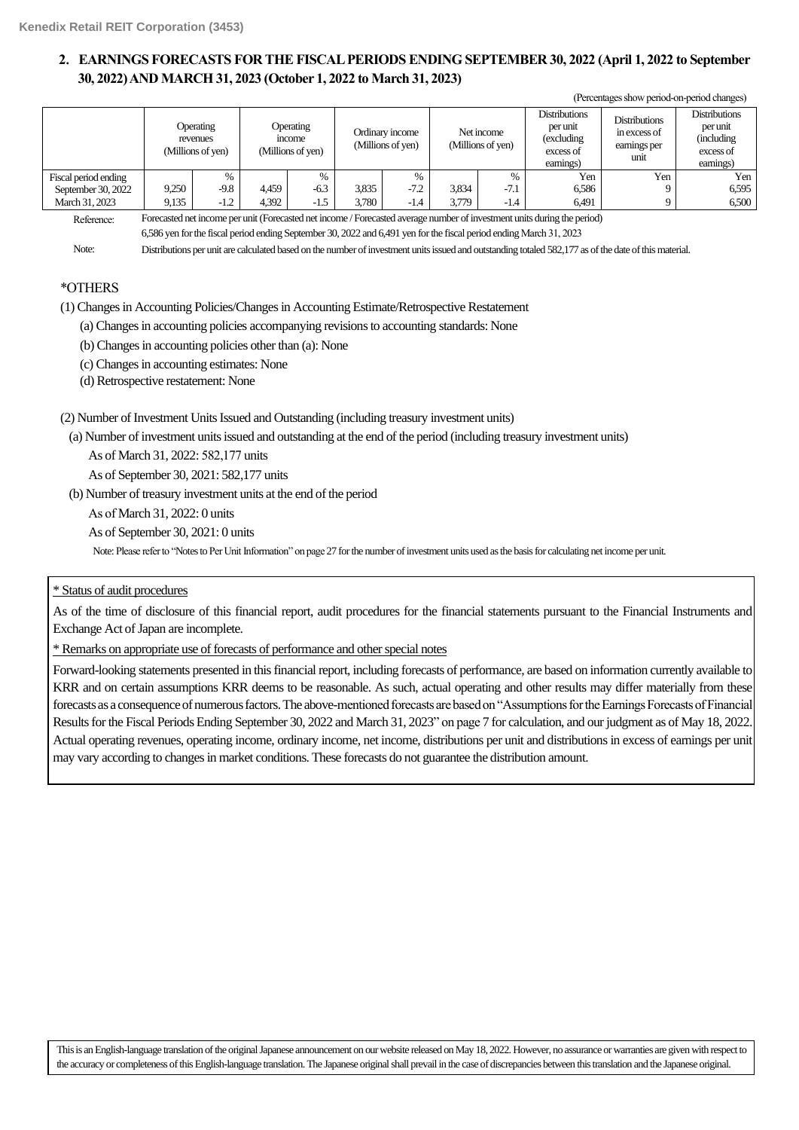# **2**.**EARNINGS FORECASTS FOR THE FISCAL PERIODS ENDING SEPTEMBER 30, 2022 (April 1, 2022 to September 30, 2022)AND MARCH 31, 2023 (October 1, 2022 to March 31, 2023)**

|                      |             |                                            |               |                                          |        |                                      |        |                                 |                                                                           | (Percentages show period-on-period changes)                  |                                                                           |
|----------------------|-------------|--------------------------------------------|---------------|------------------------------------------|--------|--------------------------------------|--------|---------------------------------|---------------------------------------------------------------------------|--------------------------------------------------------------|---------------------------------------------------------------------------|
|                      |             | Operating<br>revenues<br>(Millions of yen) |               | Operating<br>income<br>(Millions of yen) |        | Ordinary income<br>(Millions of yen) |        | Net income<br>(Millions of yen) | <b>Distributions</b><br>per unit<br>(excluding)<br>excess of<br>earnings) | <b>Distributions</b><br>in excess of<br>earnings per<br>unit | <b>Distributions</b><br>per unit<br>(including)<br>excess of<br>earnings) |
| Fiscal period ending |             | $\%$                                       |               | $\%$                                     |        | $\%$                                 |        | $\%$                            | Yen                                                                       | Yen                                                          | Yen                                                                       |
| September 30, 2022   | 9,250       | $-9.8$                                     | 4,459         | $-6.3$                                   | 3,835  | $-7.2$                               | 3,834  | $-7.1$                          | 6,586                                                                     |                                                              | 6.595                                                                     |
| March 31, 2023       | 9,135       | $-1.2$                                     | 4,392         | $-1.5$                                   | 3,780  | $-1.4$                               | 3,779  | $-1.4$                          | 6,491                                                                     |                                                              | 6.500                                                                     |
|                      | $\sim$<br>. |                                            | $\sim$ $\sim$ | .                                        | $\sim$ |                                      | $\sim$ |                                 | $\sim$ $\sim$                                                             |                                                              |                                                                           |

Reference: Forecasted net income per unit (Forecasted net income / Forecasted average number of investment units during the period)

6,586 yen for the fiscal period ending September 30, 2022 and 6,491 yen for the fiscal period ending March 31, 2023

Note: Distributions per unit are calculated based on the number of investment units issued and outstanding totaled 582,177 as of the date of this material.

# \*OTHERS

(1) Changes in Accounting Policies/Changes in Accounting Estimate/Retrospective Restatement

(a) Changes in accounting policies accompanying revisions to accounting standards: None

(b) Changes in accounting policies other than (a): None

(c) Changes in accounting estimates: None

(d) Retrospective restatement: None

(2) Number of Investment Units Issued and Outstanding (including treasury investment units)

(a) Number of investment units issued and outstanding at the end of the period (including treasury investment units)

As of March 31, 2022: 582,177 units

As of September 30, 2021: 582,177 units

(b) Number of treasury investment units at the end of the period

As of March 31, 2022: 0 units

As of September 30, 2021: 0 units

Note: Please refer to "Notes to Per Unit Information" on page 27 for the number of investment units used as the basis for calculating net income per unit.

# \* Status of audit procedures

As of the time of disclosure of this financial report, audit procedures for the financial statements pursuant to the Financial Instruments and Exchange Act of Japan are incomplete.

\* Remarks on appropriate use of forecasts of performance and other special notes

Forward-looking statements presented in this financial report, including forecasts of performance, are based on information currently available to KRR and on certain assumptions KRR deems to be reasonable. As such, actual operating and other results may differ materially from these forecasts as a consequence of numerous factors. The above-mentioned forecasts are based on "Assumptions for the Earnings Forecasts of Financial Results for the Fiscal Periods Ending September 30, 2022 and March 31, 2023" on page 7 for calculation, and our judgment as of May 18, 2022. Actual operating revenues, operating income, ordinary income, net income, distributions per unit and distributions in excess of earnings per unit may vary according to changes in market conditions. These forecasts do not guarantee the distribution amount.

This is an English-language translation of the original Japanese announcement on our website released on May 18, 2022. However, no assurance or warranties are given with respect to the accuracy or completeness of this English-language translation. The Japanese original shall prevail in the case of discrepancies between this translation and the Japanese original.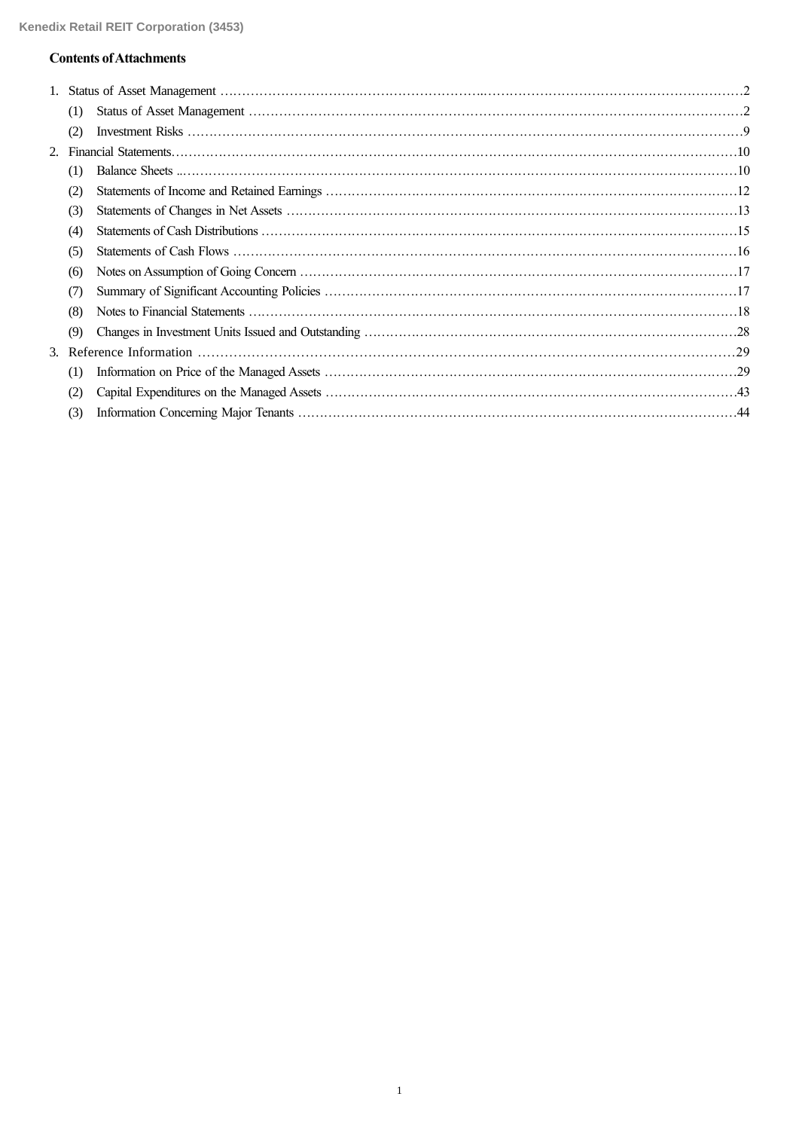# **Contents of Attachments**

| (1) |  |
|-----|--|
| (2) |  |
|     |  |
| (1) |  |
| (2) |  |
| (3) |  |
| (4) |  |
| (5) |  |
| (6) |  |
| (7) |  |
| (8) |  |
| (9) |  |
|     |  |
| (1) |  |
| (2) |  |
| (3) |  |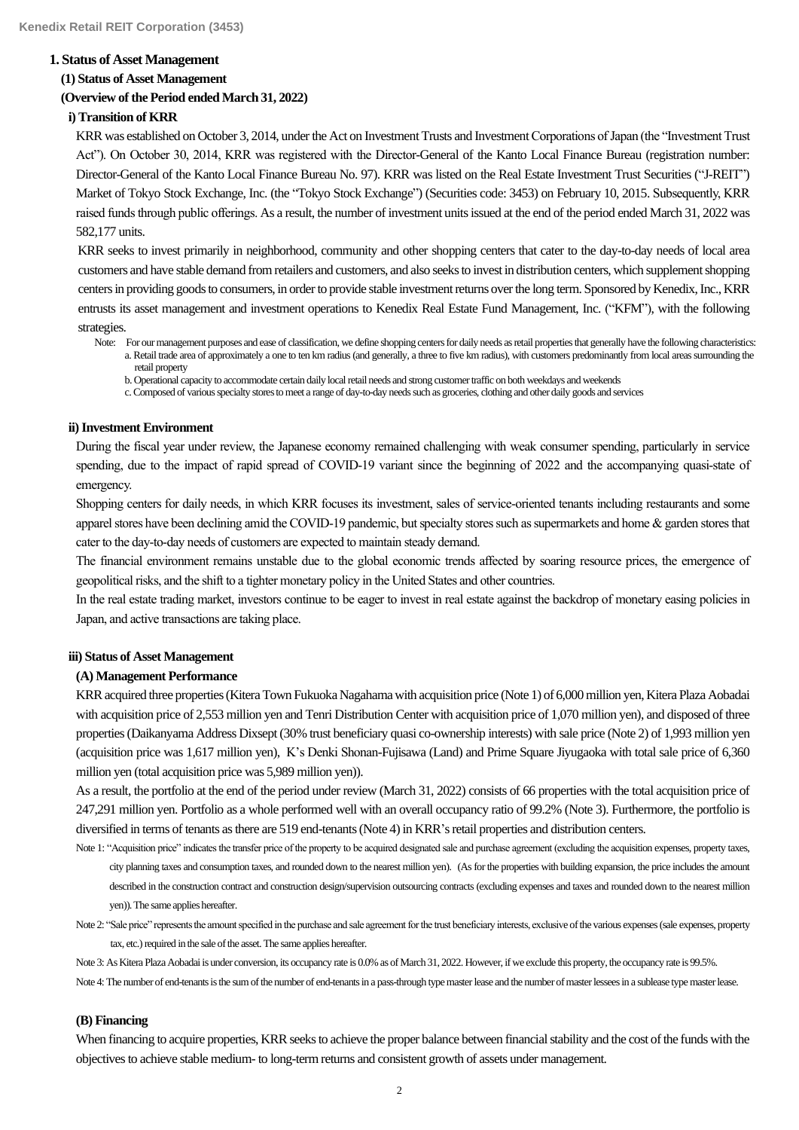### **1. Status of Asset Management**

### **(1) Status of Asset Management**

### **(Overview of the Period endedMarch 31, 2022)**

## **i) Transition of KRR**

KRR was established on October 3, 2014, under the Act on Investment Trusts and Investment Corporations of Japan (the "Investment Trust Act"). On October 30, 2014, KRR was registered with the Director-General of the Kanto Local Finance Bureau (registration number: Director-General of the Kanto Local Finance Bureau No. 97). KRR was listed on the Real Estate Investment Trust Securities ("J-REIT") Market of Tokyo Stock Exchange, Inc. (the "Tokyo Stock Exchange") (Securities code: 3453) on February 10, 2015. Subsequently, KRR raised funds through public offerings. As a result, the number of investment units issued at the end of the period ended March 31, 2022 was 582,177 units.

KRR seeks to invest primarily in neighborhood, community and other shopping centers that cater to the day-to-day needs of local area customers and have stable demand from retailers and customers, and also seeks to invest in distribution centers, which supplementshopping centers in providing goods to consumers, in order to provide stable investment returns over the long term. Sponsored by Kenedix, Inc., KRR entrusts its asset management and investment operations to Kenedix Real Estate Fund Management, Inc. ("KFM"), with the following strategies.

- Note: For our management purposes and ease of classification, we define shopping centers for daily needs as retail properties that generally have the following characteristics: a. Retail trade area of approximately a one to ten km radius (and generally, a three to five km radius), with customers predominantly from local areas surrounding the retail property
	- b. Operational capacity to accommodate certain daily local retail needs and strong customer traffic on both weekdays and weekends

c. Composed of various specialty stores to meet a range of day-to-day needs such as groceries, clothing and other daily goods and services

### **ii)Investment Environment**

During the fiscal year under review, the Japanese economy remained challenging with weak consumer spending, particularly in service spending, due to the impact of rapid spread of COVID-19 variant since the beginning of 2022 and the accompanying quasi-state of emergency.

Shopping centers for daily needs, in which KRR focuses its investment, sales of service-oriented tenants including restaurants and some apparel stores have been declining amid the COVID-19 pandemic, but specialty stores such as supermarkets and home & garden stores that cater to the day-to-day needs of customers are expected to maintain steady demand.

The financial environment remains unstable due to the global economic trends affected by soaring resource prices, the emergence of geopolitical risks, and the shift to a tighter monetary policy in the United States and other countries.

In the real estate trading market, investors continue to be eager to invest in real estate against the backdrop of monetary easing policies in Japan, and active transactions are taking place.

## **iii) Status of Asset Management**

#### **(A) Management Performance**

KRR acquired three properties (Kitera Town Fukuoka Nagahama with acquisition price (Note 1) of 6,000 million yen, Kitera Plaza Aobadai with acquisition price of 2,553 million yen and Tenri Distribution Center with acquisition price of 1,070 million yen), and disposed of three properties(Daikanyama Address Dixsept (30% trust beneficiary quasi co-ownership interests) with sale price (Note 2) of 1,993 million yen (acquisition price was 1,617 million yen), K's Denki Shonan-Fujisawa (Land) and Prime Square Jiyugaoka with total sale price of 6,360 million yen (total acquisition price was 5,989 million yen)).

As a result, the portfolio at the end of the period under review (March 31, 2022) consists of 66 properties with the total acquisition price of 247,291 million yen. Portfolio as a whole performed well with an overall occupancy ratio of 99.2% (Note 3). Furthermore, the portfolio is diversified in terms of tenants as there are 519 end-tenants (Note 4) in KRR'sretail properties and distribution centers.

- Note 1: "Acquisition price" indicates the transfer price of the property to be acquired designated sale and purchase agreement (excluding the acquisition expenses, property taxes, city planning taxes and consumption taxes, and rounded down to the nearest million yen). (Asfor the properties with building expansion, the price includes the amount described in the construction contract and construction design/supervision outsourcing contracts (excluding expenses and taxes and rounded down to the nearest million yen)).The same applies hereafter.
- Note 2: "Sale price" represents the amount specified in the purchase and sale agreement for the trust beneficiary interests, exclusive of the various expenses (sale expenses, property tax, etc.) required in the sale of the asset. The same applies hereafter.

Note 3: As Kitera Plaza Aobadai is under conversion, its occupancy rate is 0.0% as of March 31, 2022. However, if we exclude this property, the occupancy rate is 99.5%.

Note 4: The number of end-tenants is the sum of the number of end-tenants in a pass-through type master lease and the number of master lessees in a sublease type master lease.

### **(B) Financing**

When financing to acquire properties, KRR seeks to achieve the proper balance between financial stability and the cost of the funds with the objectives to achieve stable medium- to long-term returns and consistent growth of assets under management.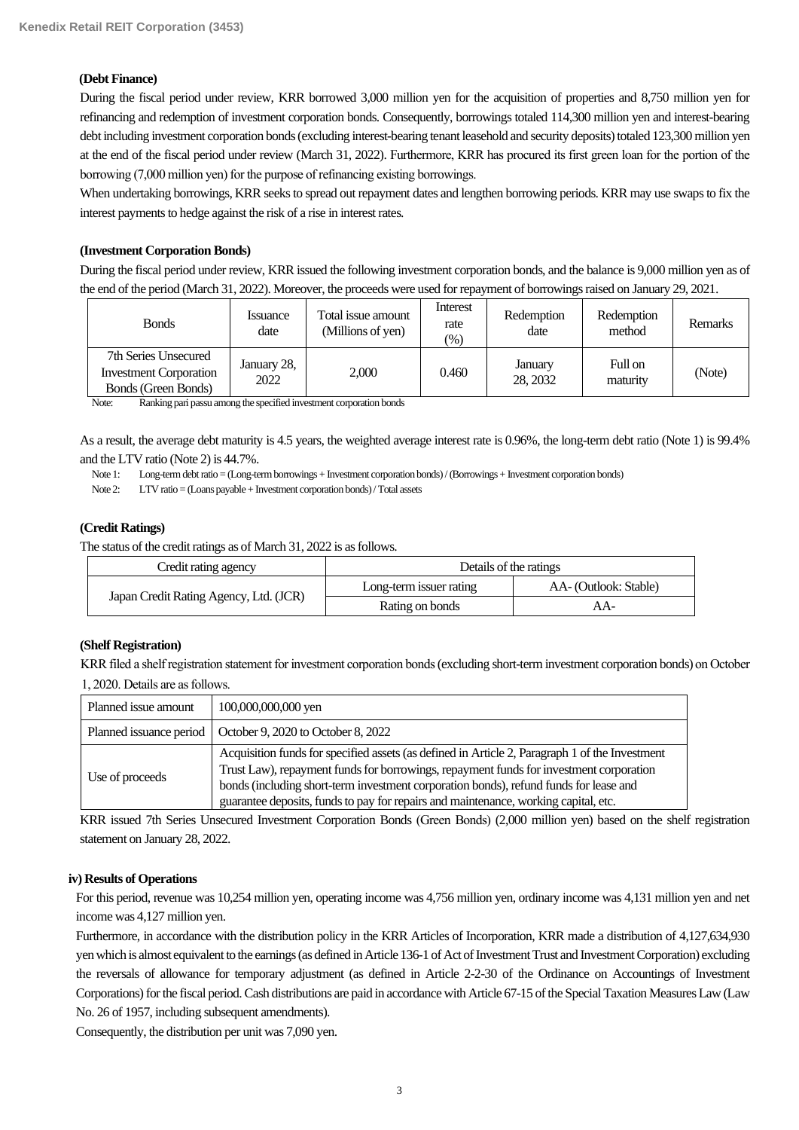# **(Debt Finance)**

During the fiscal period under review, KRR borrowed 3,000 million yen for the acquisition of properties and 8,750 million yen for refinancing and redemption of investment corporation bonds. Consequently, borrowings totaled 114,300 million yen and interest-bearing debt including investment corporation bonds (excluding interest-bearing tenant leasehold and security deposits) totaled 123,300 million yen at the end of the fiscal period under review (March 31, 2022). Furthermore, KRR has procured its first green loan for the portion of the borrowing (7,000 million yen) for the purpose of refinancing existing borrowings.

When undertaking borrowings, KRR seeks to spread out repayment dates and lengthen borrowing periods. KRR may use swaps to fix the interest payments to hedge against the risk of a rise in interest rates.

# **(Investment Corporation Bonds)**

During the fiscal period under review, KRR issued the following investment corporation bonds, and the balance is 9,000 million yen as of the end of the period (March 31, 2022). Moreover, the proceeds were used for repayment of borrowings raised on January 29, 2021.

| <b>Bonds</b>                                                                 | <i>s</i> suance<br>date | Total issue amount<br>(Millions of yen) | Interest<br>rate<br>$\left(\%\right)$ | Redemption<br>date  | Redemption<br>method | <b>Remarks</b> |
|------------------------------------------------------------------------------|-------------------------|-----------------------------------------|---------------------------------------|---------------------|----------------------|----------------|
| 7th Series Unsecured<br><b>Investment Corporation</b><br>Bonds (Green Bonds) | January 28,<br>2022     | 2.000                                   | 0.460                                 | January<br>28, 2032 | Full on<br>maturity  | (Note)         |

Note: Ranking pari passu among the specified investment corporation bonds

As a result, the average debt maturity is 4.5 years, the weighted average interest rate is 0.96%, the long-term debt ratio (Note 1) is 99.4% and the LTV ratio (Note 2) is 44.7%.

Note 1: Long-term debt ratio = (Long-term borrowings + Investment corporation bonds) / (Borrowings + Investment corporation bonds)

Note 2: LTV ratio = (Loans payable + Investment corporation bonds) / Total assets

## **(Credit Ratings)**

The status of the credit ratings as of March 31, 2022 is as follows.

| Credit rating agency                   | Details of the ratings  |                       |  |  |
|----------------------------------------|-------------------------|-----------------------|--|--|
|                                        | Long-term issuer rating | AA- (Outlook: Stable) |  |  |
| Japan Credit Rating Agency, Ltd. (JCR) | Rating on bonds         | AA-                   |  |  |

### **(Shelf Registration)**

KRR filed a shelf registration statement for investment corporation bonds (excluding short-term investment corporation bonds) on October 1, 2020. Details are as follows.

| Planned issue amount | 100,000,000,000 yen                                                                                                                                                                                                                                                                                                                                                      |
|----------------------|--------------------------------------------------------------------------------------------------------------------------------------------------------------------------------------------------------------------------------------------------------------------------------------------------------------------------------------------------------------------------|
|                      | Planned issuance period   October 9, 2020 to October 8, 2022                                                                                                                                                                                                                                                                                                             |
| Use of proceeds      | Acquisition funds for specified assets (as defined in Article 2, Paragraph 1 of the Investment<br>Trust Law), repayment funds for borrowings, repayment funds for investment corporation<br>bonds (including short-term investment corporation bonds), refund funds for lease and<br>guarantee deposits, funds to pay for repairs and maintenance, working capital, etc. |

KRR issued 7th Series Unsecured Investment Corporation Bonds (Green Bonds) (2,000 million yen) based on the shelf registration statement on January 28, 2022.

### **iv) Results of Operations**

For this period, revenue was 10,254 million yen, operating income was 4,756 million yen, ordinary income was 4,131 million yen and net income was 4,127 million yen.

Furthermore, in accordance with the distribution policy in the KRR Articles of Incorporation, KRR made a distribution of 4,127,634,930 yen which is almost equivalent to the earnings(as defined in Article 136-1 of Act of Investment Trust and Investment Corporation) excluding the reversals of allowance for temporary adjustment (as defined in Article 2-2-30 of the Ordinance on Accountings of Investment Corporations) for the fiscal period.Cash distributions are paid in accordance with Article 67-15 of the Special Taxation Measures Law (Law No. 26 of 1957, including subsequent amendments).

Consequently, the distribution per unit was 7,090 yen.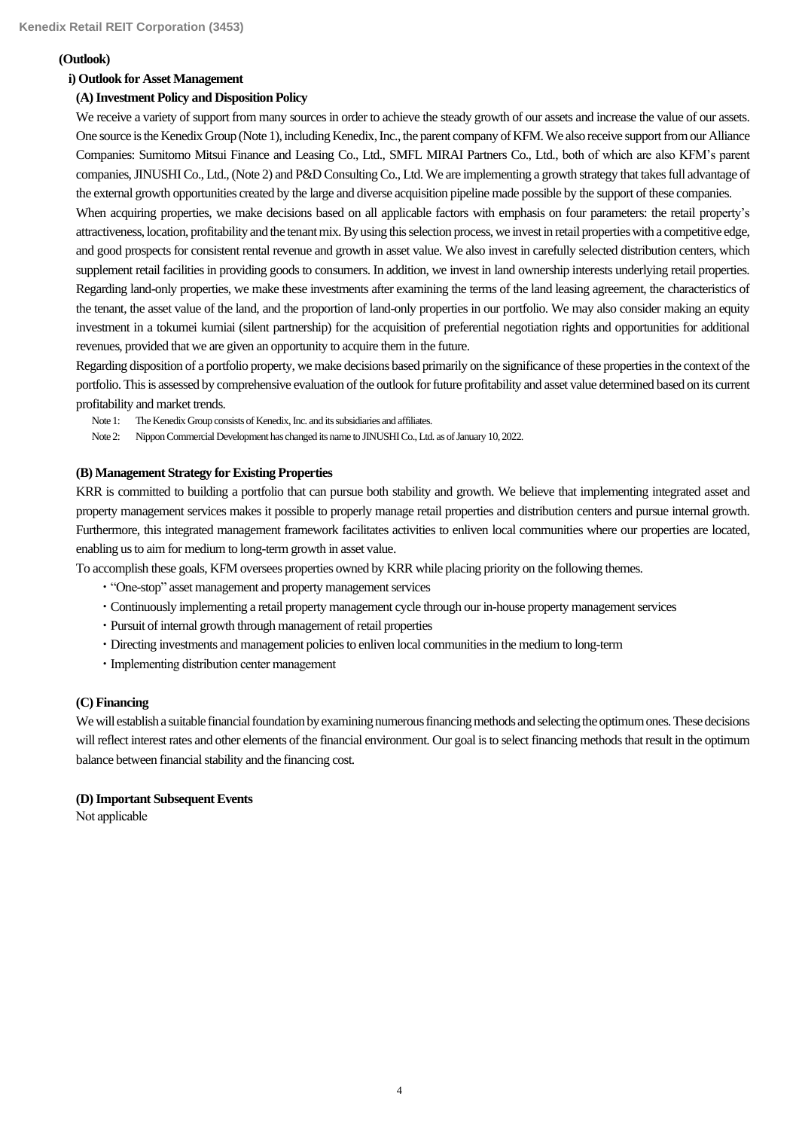# **(Outlook)**

# **i) Outlook for Asset Management**

# **(A) Investment Policy and Disposition Policy**

We receive a variety of support from many sources in order to achieve the steady growth of our assets and increase the value of our assets. One source is the Kenedix Group (Note 1), including Kenedix, Inc., the parent company of KFM. We also receive support from our Alliance Companies: Sumitomo Mitsui Finance and Leasing Co., Ltd., SMFL MIRAI Partners Co., Ltd., both of which are also KFM's parent companies, JINUSHICo., Ltd.,(Note 2) and P&D Consulting Co., Ltd. We are implementing a growth strategy that takes full advantage of the external growth opportunities created by the large and diverse acquisition pipeline made possible by the support of these companies.

When acquiring properties, we make decisions based on all applicable factors with emphasis on four parameters: the retail property's attractiveness, location, profitability and the tenant mix. By using this selection process, we invest in retail propertieswith a competitive edge, and good prospects for consistent rental revenue and growth in asset value. We also invest in carefully selected distribution centers, which supplement retail facilities in providing goods to consumers. In addition, we invest in land ownership interests underlying retail properties. Regarding land-only properties, we make these investments after examining the terms of the land leasing agreement, the characteristics of the tenant, the asset value of the land, and the proportion of land-only properties in our portfolio. We may also consider making an equity investment in a tokumei kumiai (silent partnership) for the acquisition of preferential negotiation rights and opportunities for additional revenues, provided that we are given an opportunity to acquire them in the future.

Regarding disposition of a portfolio property, we make decisions based primarily on the significance of these properties in the context of the portfolio. This is assessed by comprehensive evaluation of the outlook for future profitability and asset value determined based on its current profitability and market trends.

- Note 1: The Kenedix Group consists of Kenedix, Inc. and its subsidiaries and affiliates.
- Note 2: Nippon Commercial Development has changed its name to JINUSHI Co., Ltd. as of January 10, 2022.

# **(B) Management Strategy for Existing Properties**

KRR is committed to building a portfolio that can pursue both stability and growth. We believe that implementing integrated asset and property management services makes it possible to properly manage retail properties and distribution centers and pursue internal growth. Furthermore, this integrated management framework facilitates activities to enliven local communities where our properties are located, enabling us to aim for medium to long-term growth in asset value.

To accomplish these goals, KFM oversees properties owned by KRR while placing priority on the following themes.

- ・"One-stop" asset management and property management services
- ・Continuously implementing a retail property management cycle through our in-house property management services
- ・Pursuit of internal growth through management of retail properties
- ・Directing investments and management policies to enliven local communities in the medium to long-term
- ・Implementing distribution center management

# **(C) Financing**

We will establish a suitable financial foundation by examining numerous financing methods and selecting the optimum ones. These decisions will reflect interest rates and other elements of the financial environment. Our goal is to select financing methods that result in the optimum balance between financial stability and the financing cost.

# **(D) Important Subsequent Events**

Not applicable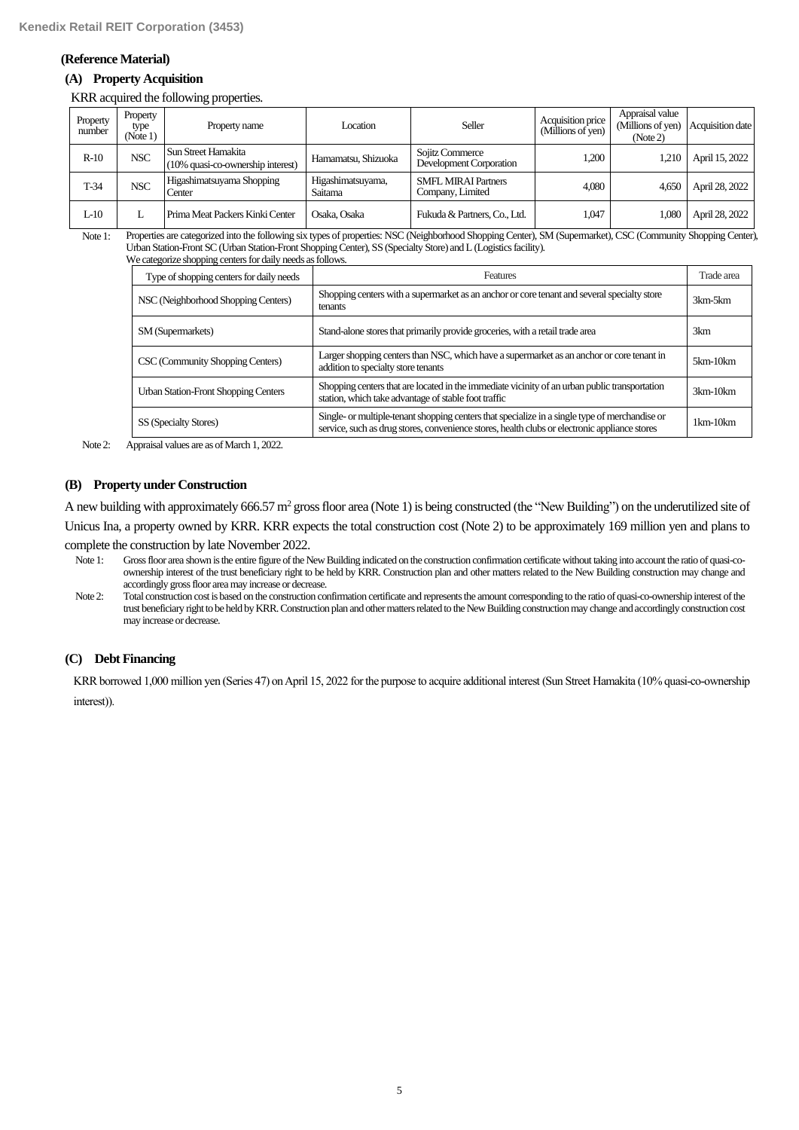### **(Reference Material)**

# **(A) Property Acquisition**

KRR acquired the following properties.

| Property<br>number | Property<br>type<br>(Note 1) | Property name                                              | Location                     | Seller                                         | Acquisition price<br>(Millions of yen) | Appraisal value<br>(Millions of yen)<br>(Note 2) | Acquisition date |
|--------------------|------------------------------|------------------------------------------------------------|------------------------------|------------------------------------------------|----------------------------------------|--------------------------------------------------|------------------|
| $R-10$             | NSC                          | l Sun Street Hamakita<br>(10% quasi-co-ownership interest) | Hamamatsu, Shizuoka          | Sojitz Commerce<br>Development Corporation     | 1.200                                  | 1.210                                            | April 15, 2022   |
| $T-34$             | NSC                          | Higashimatsuyama Shopping<br>Center                        | Higashimatsuyama,<br>Saitama | <b>SMFL MIRAI Partners</b><br>Company, Limited | 4.080                                  | 4.650                                            | April 28, 2022   |
| $L-10$             |                              | Prima Meat Packers Kinki Center                            | Osaka, Osaka                 | Fukuda & Partners, Co., Ltd.                   | 1,047                                  | 1.080                                            | April 28, 2022   |

Note 1: Properties are categorized into the following six types of properties: NSC (Neighborhood Shopping Center), SM (Supermarket), CSC (Community Shopping Center), Urban Station-Front SC (Urban Station-Front Shopping Center), SS (Specialty Store) and L (Logistics facility).

| We categorize shopping centers for daily needs as follows. |  |  |  |
|------------------------------------------------------------|--|--|--|
|                                                            |  |  |  |

| Type of shopping centers for daily needs    | Features                                                                                                                                                                                        | Trade area |
|---------------------------------------------|-------------------------------------------------------------------------------------------------------------------------------------------------------------------------------------------------|------------|
| NSC (Neighborhood Shopping Centers)         | Shopping centers with a supermarket as an anchor or core tenant and several specialty store<br>tenants                                                                                          | 3km-5km    |
| SM (Supermarkets)                           | Stand-alone stores that primarily provide groceries, with a retail trade area                                                                                                                   | 3km        |
| CSC (Community Shopping Centers)            | Larger shopping centers than NSC, which have a supermarket as an anchor or core tenant in<br>addition to specialty store tenants                                                                | $5km-10km$ |
| <b>Urban Station-Front Shopping Centers</b> | Shopping centers that are located in the immediate vicinity of an urban public transportation<br>station, which take advantage of stable foot traffic                                           | $3km-10km$ |
| SS (Specialty Stores)                       | Single- or multiple-tenant shopping centers that specialize in a single type of merchandise or<br>service, such as drug stores, convenience stores, health clubs or electronic appliance stores | $1km-10km$ |

Note 2: Appraisal values are as of March 1, 2022.

## **(B) Property under Construction**

A new building with approximately 666.57  $m^2$  gross floor area (Note 1) is being constructed (the "New Building") on the underutilized site of Unicus Ina, a property owned by KRR. KRR expects the total construction cost (Note 2) to be approximately 169 million yen and plans to complete the construction by late November 2022.

Note 1: Gross floor area shown is the entire figure of the New Building indicated on the construction confirmation certificate without taking into account the ratio of quasi-coownership interest of the trust beneficiary right to be held by KRR. Construction plan and other matters related to the New Building construction may change and accordingly gross floor area may increase or decrease.

Note 2: Total construction cost is based on the construction confirmation certificate and represents the amount corresponding to the ratio of quasi-co-ownership interest of the trust beneficiary right to be held by KRR. Construction plan and other matters related to the New Building construction may change and accordingly construction cost may increase or decrease.

### **(C) Debt Financing**

KRR borrowed 1,000 million yen (Series 47) on April 15, 2022 for the purpose to acquire additional interest (Sun Street Hamakita (10% quasi-co-ownership interest)).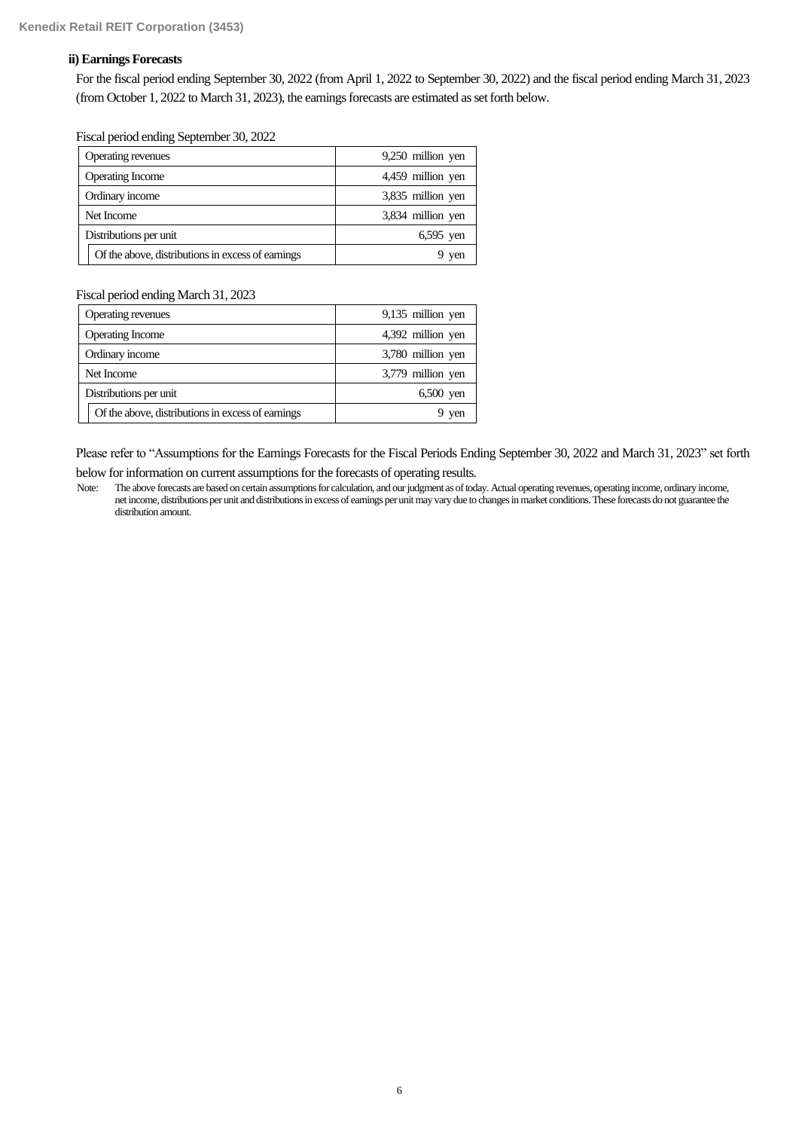# **ii) Earnings Forecasts**

For the fiscal period ending September 30, 2022 (from April 1, 2022 to September 30, 2022) and the fiscal period ending March 31, 2023 (from October 1, 2022 to March 31, 2023), the earnings forecasts are estimated as set forth below.

Fiscal period ending September 30, 2022

| Operating revenues                                | 9,250 million yen |
|---------------------------------------------------|-------------------|
| <b>Operating Income</b>                           | 4,459 million yen |
| Ordinary income                                   | 3,835 million yen |
| Net Income                                        | 3,834 million yen |
| Distributions per unit                            | $6,595$ yen       |
| Of the above, distributions in excess of earnings | 9 yen             |

Fiscal period ending March 31, 2023

| Operating revenues                                | 9,135 million yen |
|---------------------------------------------------|-------------------|
| <b>Operating Income</b>                           | 4,392 million yen |
| Ordinary income                                   | 3,780 million yen |
| Net Income                                        | 3,779 million yen |
| Distributions per unit                            | $6,500$ yen       |
| Of the above, distributions in excess of earnings | yen               |

Please refer to "Assumptions for the Earnings Forecasts for the Fiscal Periods Ending September 30, 2022 and March 31, 2023" set forth below for information on current assumptions for the forecasts of operating results.

Note: The above forecasts are based on certain assumptions for calculation, and our judgment as of today. Actual operating revenues, operating income, ordinary income, net income, distributions per unit and distributions in excess of earnings per unit may vary due to changes in market conditions. These forecasts do not guarantee the distribution amount.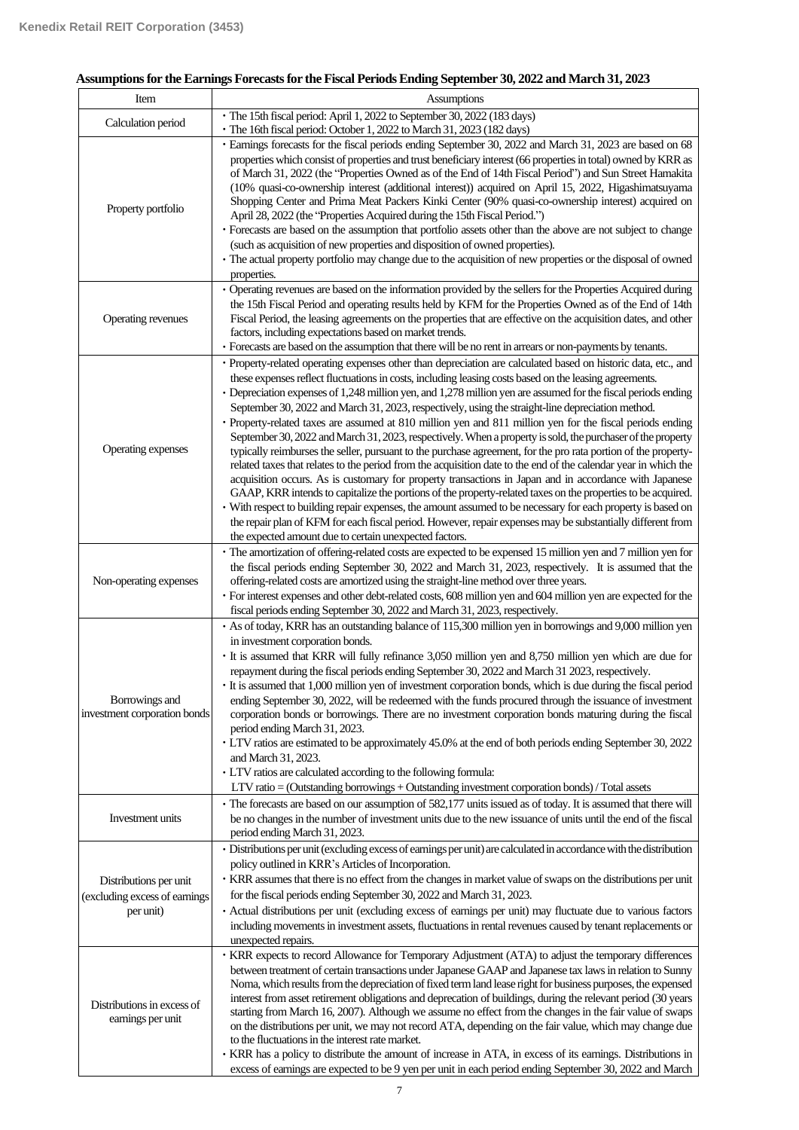# **Assumptions for the Earnings Forecasts for the Fiscal Periods Ending September 30, 2022 and March 31, 2023**

| Item                                                                 | Assumptions                                                                                                                                                                                                                                                                                                                                                                                                                                                                                                                                                                                                                                                                                                                                                                                                                                                                                                                                                                                                                                                                                                                                                                                                                                                                                                                                                                                                                        |
|----------------------------------------------------------------------|------------------------------------------------------------------------------------------------------------------------------------------------------------------------------------------------------------------------------------------------------------------------------------------------------------------------------------------------------------------------------------------------------------------------------------------------------------------------------------------------------------------------------------------------------------------------------------------------------------------------------------------------------------------------------------------------------------------------------------------------------------------------------------------------------------------------------------------------------------------------------------------------------------------------------------------------------------------------------------------------------------------------------------------------------------------------------------------------------------------------------------------------------------------------------------------------------------------------------------------------------------------------------------------------------------------------------------------------------------------------------------------------------------------------------------|
| Calculation period                                                   | · The 15th fiscal period: April 1, 2022 to September 30, 2022 (183 days)<br>· The 16th fiscal period: October 1, 2022 to March 31, 2023 (182 days)                                                                                                                                                                                                                                                                                                                                                                                                                                                                                                                                                                                                                                                                                                                                                                                                                                                                                                                                                                                                                                                                                                                                                                                                                                                                                 |
| Property portfolio                                                   | · Earnings forecasts for the fiscal periods ending September 30, 2022 and March 31, 2023 are based on 68<br>properties which consist of properties and trust beneficiary interest (66 properties in total) owned by KRR as<br>of March 31, 2022 (the "Properties Owned as of the End of 14th Fiscal Period") and Sun Street Hamakita<br>(10% quasi-co-ownership interest (additional interest)) acquired on April 15, 2022, Higashimatsuyama<br>Shopping Center and Prima Meat Packers Kinki Center (90% quasi-co-ownership interest) acquired on<br>April 28, 2022 (the "Properties Acquired during the 15th Fiscal Period.")<br>· Forecasts are based on the assumption that portfolio assets other than the above are not subject to change<br>(such as acquisition of new properties and disposition of owned properties).<br>· The actual property portfolio may change due to the acquisition of new properties or the disposal of owned<br>properties.                                                                                                                                                                                                                                                                                                                                                                                                                                                                      |
| Operating revenues                                                   | · Operating revenues are based on the information provided by the sellers for the Properties Acquired during<br>the 15th Fiscal Period and operating results held by KFM for the Properties Owned as of the End of 14th<br>Fiscal Period, the leasing agreements on the properties that are effective on the acquisition dates, and other<br>factors, including expectations based on market trends.<br>· Forecasts are based on the assumption that there will be no rent in arrears or non-payments by tenants.                                                                                                                                                                                                                                                                                                                                                                                                                                                                                                                                                                                                                                                                                                                                                                                                                                                                                                                  |
| Operating expenses                                                   | · Property-related operating expenses other than depreciation are calculated based on historic data, etc., and<br>these expenses reflect fluctuations in costs, including leasing costs based on the leasing agreements.<br>• Depreciation expenses of 1,248 million yen, and 1,278 million yen are assumed for the fiscal periods ending<br>September 30, 2022 and March 31, 2023, respectively, using the straight-line depreciation method.<br>· Property-related taxes are assumed at 810 million yen and 811 million yen for the fiscal periods ending<br>September 30, 2022 and March 31, 2023, respectively. When a property is sold, the purchaser of the property<br>typically reimburses the seller, pursuant to the purchase agreement, for the pro rata portion of the property-<br>related taxes that relates to the period from the acquisition date to the end of the calendar year in which the<br>acquisition occurs. As is customary for property transactions in Japan and in accordance with Japanese<br>GAAP, KRR intends to capitalize the portions of the property-related taxes on the properties to be acquired.<br>· With respect to building repair expenses, the amount assumed to be necessary for each property is based on<br>the repair plan of KFM for each fiscal period. However, repair expenses may be substantially different from<br>the expected amount due to certain unexpected factors. |
| Non-operating expenses                                               | • The amortization of offering-related costs are expected to be expensed 15 million yen and 7 million yen for<br>the fiscal periods ending September 30, 2022 and March 31, 2023, respectively. It is assumed that the<br>offering-related costs are amortized using the straight-line method over three years.<br>· For interest expenses and other debt-related costs, 608 million yen and 604 million yen are expected for the<br>fiscal periods ending September 30, 2022 and March 31, 2023, respectively.                                                                                                                                                                                                                                                                                                                                                                                                                                                                                                                                                                                                                                                                                                                                                                                                                                                                                                                    |
| Borrowings and<br>investment corporation bonds                       | As of today, KRR has an outstanding balance of 115,300 million yen in borrowings and 9,000 million yen<br>in investment corporation bonds.<br>· It is assumed that KRR will fully refinance 3,050 million yen and 8,750 million yen which are due for<br>repayment during the fiscal periods ending September 30, 2022 and March 31 2023, respectively.<br>· It is assumed that 1,000 million yen of investment corporation bonds, which is due during the fiscal period<br>ending September 30, 2022, will be redeemed with the funds procured through the issuance of investment<br>corporation bonds or borrowings. There are no investment corporation bonds maturing during the fiscal<br>period ending March 31, 2023.<br>• LTV ratios are estimated to be approximately 45.0% at the end of both periods ending September 30, 2022<br>and March 31, 2023.<br>• LTV ratios are calculated according to the following formula:<br>LTV ratio = (Outstanding borrowings + Outstanding investment corporation bonds) / Total assets                                                                                                                                                                                                                                                                                                                                                                                              |
| Investment units                                                     | The forecasts are based on our assumption of 582,177 units issued as of today. It is assumed that there will<br>be no changes in the number of investment units due to the new issuance of units until the end of the fiscal<br>period ending March 31, 2023.                                                                                                                                                                                                                                                                                                                                                                                                                                                                                                                                                                                                                                                                                                                                                                                                                                                                                                                                                                                                                                                                                                                                                                      |
| Distributions per unit<br>(excluding excess of earnings<br>per unit) | · Distributions per unit (excluding excess of earnings per unit) are calculated in accordance with the distribution<br>policy outlined in KRR's Articles of Incorporation.<br>· KRR assumes that there is no effect from the changes in market value of swaps on the distributions per unit<br>for the fiscal periods ending September 30, 2022 and March 31, 2023.<br>· Actual distributions per unit (excluding excess of earnings per unit) may fluctuate due to various factors<br>including movements in investment assets, fluctuations in rental revenues caused by tenant replacements or<br>unexpected repairs.                                                                                                                                                                                                                                                                                                                                                                                                                                                                                                                                                                                                                                                                                                                                                                                                           |
| Distributions in excess of<br>earnings per unit                      | · KRR expects to record Allowance for Temporary Adjustment (ATA) to adjust the temporary differences<br>between treatment of certain transactions under Japanese GAAP and Japanese tax laws in relation to Sunny<br>Noma, which results from the depreciation of fixed term land lease right for business purposes, the expensed<br>interest from asset retirement obligations and deprecation of buildings, during the relevant period (30 years<br>starting from March 16, 2007). Although we assume no effect from the changes in the fair value of swaps<br>on the distributions per unit, we may not record ATA, depending on the fair value, which may change due<br>to the fluctuations in the interest rate market.<br>· KRR has a policy to distribute the amount of increase in ATA, in excess of its earnings. Distributions in<br>excess of earnings are expected to be 9 yen per unit in each period ending September 30, 2022 and March                                                                                                                                                                                                                                                                                                                                                                                                                                                                              |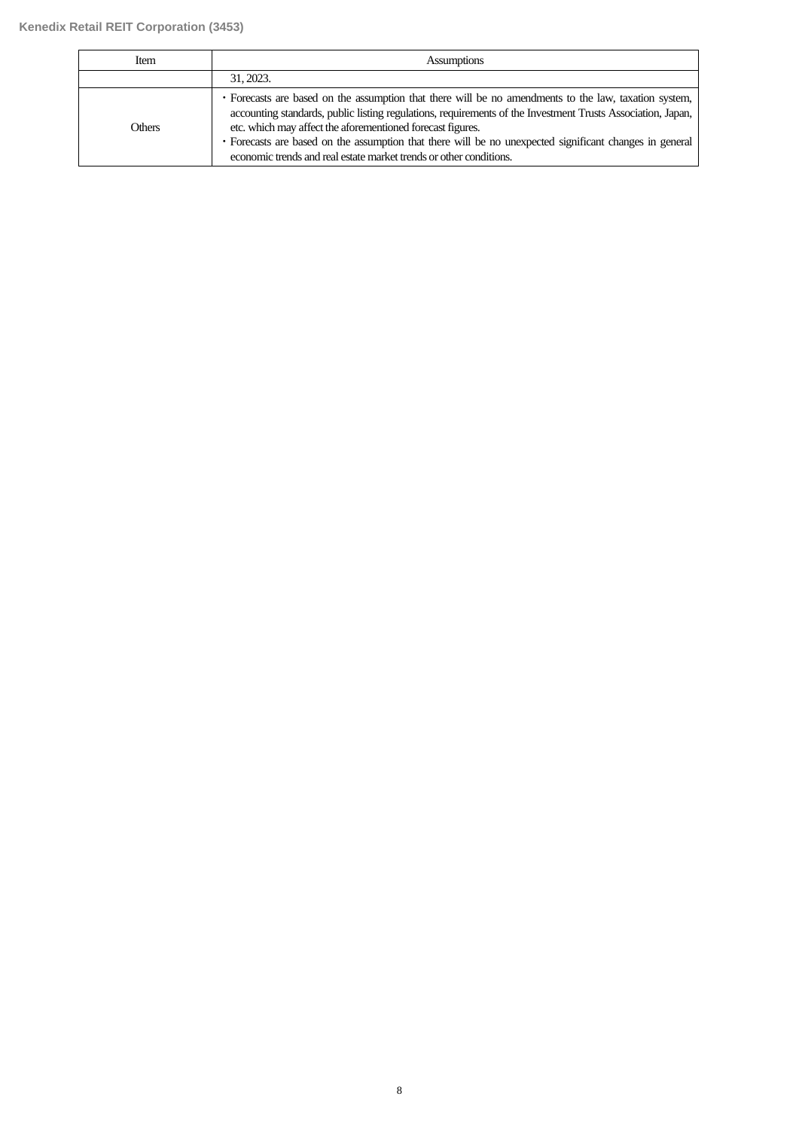| Item   | <b>Assumptions</b>                                                                                                                                                                                                                                                                                                                                                                                                                                                  |
|--------|---------------------------------------------------------------------------------------------------------------------------------------------------------------------------------------------------------------------------------------------------------------------------------------------------------------------------------------------------------------------------------------------------------------------------------------------------------------------|
|        | 31, 2023.                                                                                                                                                                                                                                                                                                                                                                                                                                                           |
| Others | • Forecasts are based on the assumption that there will be no amendments to the law, taxation system,<br>accounting standards, public listing regulations, requirements of the Investment Trusts Association, Japan,<br>etc. which may affect the aforementioned forecast figures.<br>• Forecasts are based on the assumption that there will be no unexpected significant changes in general<br>economic trends and real estate market trends or other conditions. |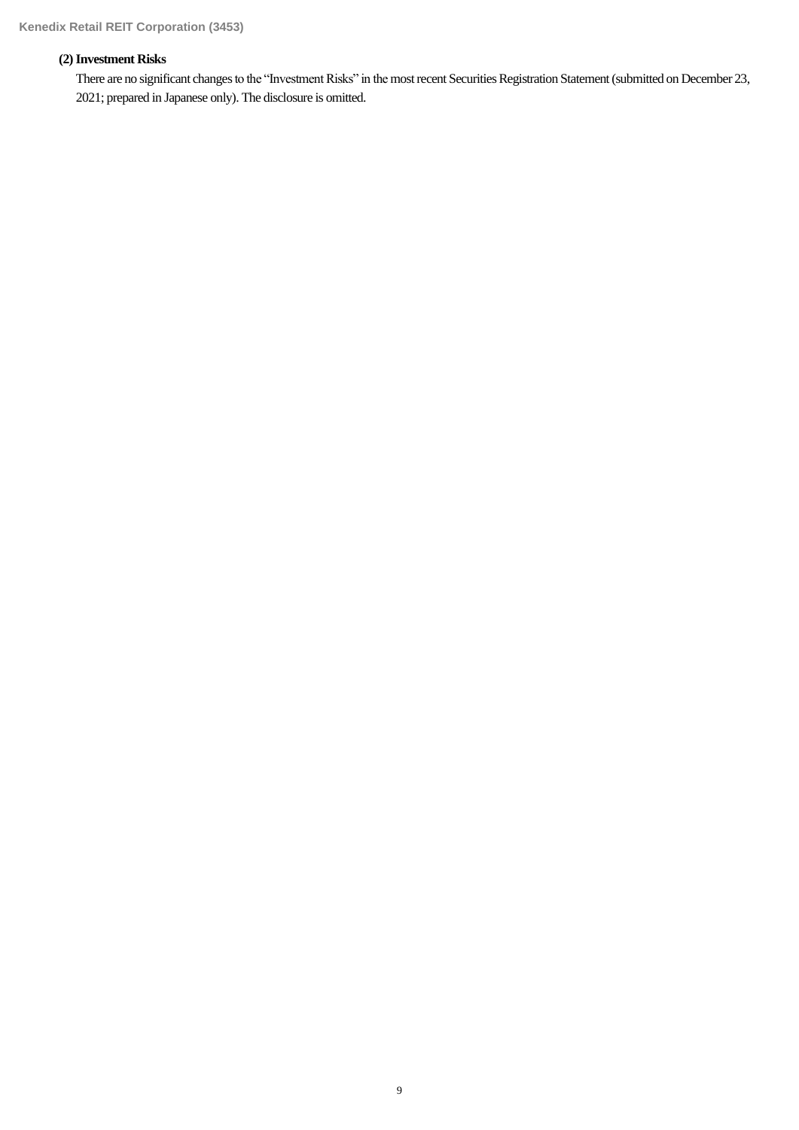# **(2)Investment Risks**

There are no significant changes to the "Investment Risks" in the most recent Securities Registration Statement (submitted on December 23, 2021; prepared in Japanese only). The disclosure is omitted.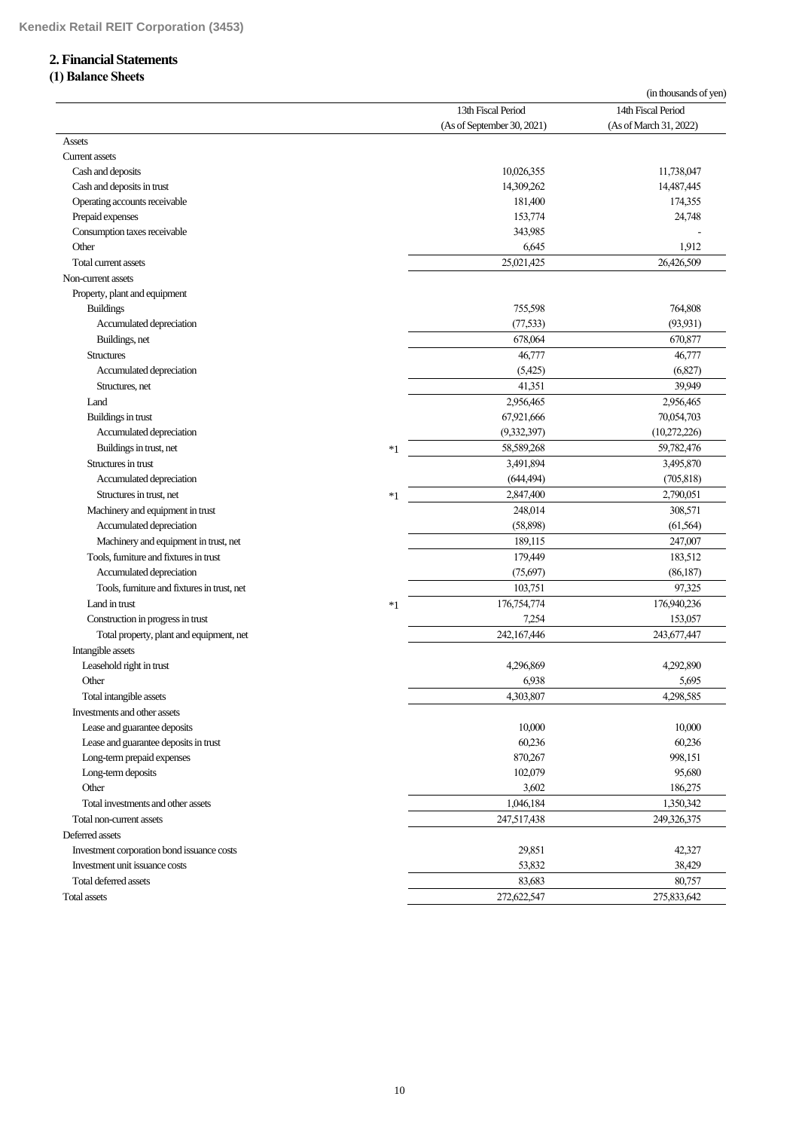# **2. Financial Statements**

# **(1) Balance Sheets**

|                                             |      |                            | (in thousands of yen)  |
|---------------------------------------------|------|----------------------------|------------------------|
|                                             |      | 13th Fiscal Period         | 14th Fiscal Period     |
|                                             |      | (As of September 30, 2021) | (As of March 31, 2022) |
| Assets<br><b>Current assets</b>             |      |                            |                        |
|                                             |      | 10,026,355                 | 11,738,047             |
| Cash and deposits                           |      |                            |                        |
| Cash and deposits in trust                  |      | 14,309,262                 | 14,487,445             |
| Operating accounts receivable               |      | 181,400                    | 174,355                |
| Prepaid expenses                            |      | 153,774                    | 24,748                 |
| Consumption taxes receivable                |      | 343,985                    |                        |
| Other                                       |      | 6,645                      | 1,912                  |
| Total current assets                        |      | 25,021,425                 | 26,426,509             |
| Non-current assets                          |      |                            |                        |
| Property, plant and equipment               |      |                            |                        |
| <b>Buildings</b>                            |      | 755,598                    | 764,808                |
| Accumulated depreciation                    |      | (77, 533)                  | (93, 931)              |
| Buildings, net                              |      | 678,064                    | 670,877                |
| <b>Structures</b>                           |      | 46,777                     | 46,777                 |
| Accumulated depreciation                    |      | (5,425)                    | (6,827)                |
| Structures, net                             |      | 41,351                     | 39.949                 |
| Land                                        |      | 2,956,465                  | 2,956,465              |
| Buildings in trust                          |      | 67,921,666                 | 70,054,703             |
| Accumulated depreciation                    |      | (9,332,397)                | (10,272,226)           |
| Buildings in trust, net                     | $*1$ | 58,589,268                 | 59,782,476             |
| Structures in trust                         |      | 3,491,894                  | 3,495,870              |
| Accumulated depreciation                    |      | (644, 494)                 | (705, 818)             |
| Structures in trust, net                    | $*1$ | 2,847,400                  | 2,790,051              |
| Machinery and equipment in trust            |      | 248,014                    | 308,571                |
| Accumulated depreciation                    |      | (58,898)                   | (61, 564)              |
|                                             |      |                            |                        |
| Machinery and equipment in trust, net       |      | 189,115                    | 247,007                |
| Tools, furniture and fixtures in trust      |      | 179,449                    | 183,512                |
| Accumulated depreciation                    |      | (75, 697)                  | (86, 187)              |
| Tools, furniture and fixtures in trust, net |      | 103,751                    | 97,325                 |
| Land in trust                               | $*1$ | 176,754,774                | 176,940,236            |
| Construction in progress in trust           |      | 7,254                      | 153,057                |
| Total property, plant and equipment, net    |      | 242,167,446                | 243,677,447            |
| Intangible assets                           |      |                            |                        |
| Leasehold right in trust                    |      | 4,296,869                  | 4,292,890              |
| Other                                       |      | 6,938                      | 5,695                  |
| Total intangible assets                     |      | 4,303,807                  | 4,298,585              |
| Investments and other assets                |      |                            |                        |
| Lease and guarantee deposits                |      | 10,000                     | 10,000                 |
| Lease and guarantee deposits in trust       |      | 60,236                     | 60,236                 |
| Long-term prepaid expenses                  |      | 870,267                    | 998,151                |
| Long-term deposits                          |      | 102,079                    | 95,680                 |
| Other                                       |      | 3,602                      | 186,275                |
| Total investments and other assets          |      | 1,046,184                  | 1,350,342              |
| Total non-current assets                    |      | 247,517,438                | 249,326,375            |
| Deferred assets                             |      |                            |                        |
| Investment corporation bond issuance costs  |      | 29,851                     | 42,327                 |
| Investment unit issuance costs              |      | 53,832                     | 38,429                 |
| Total deferred assets                       |      | 83,683                     | 80,757                 |
|                                             |      |                            |                        |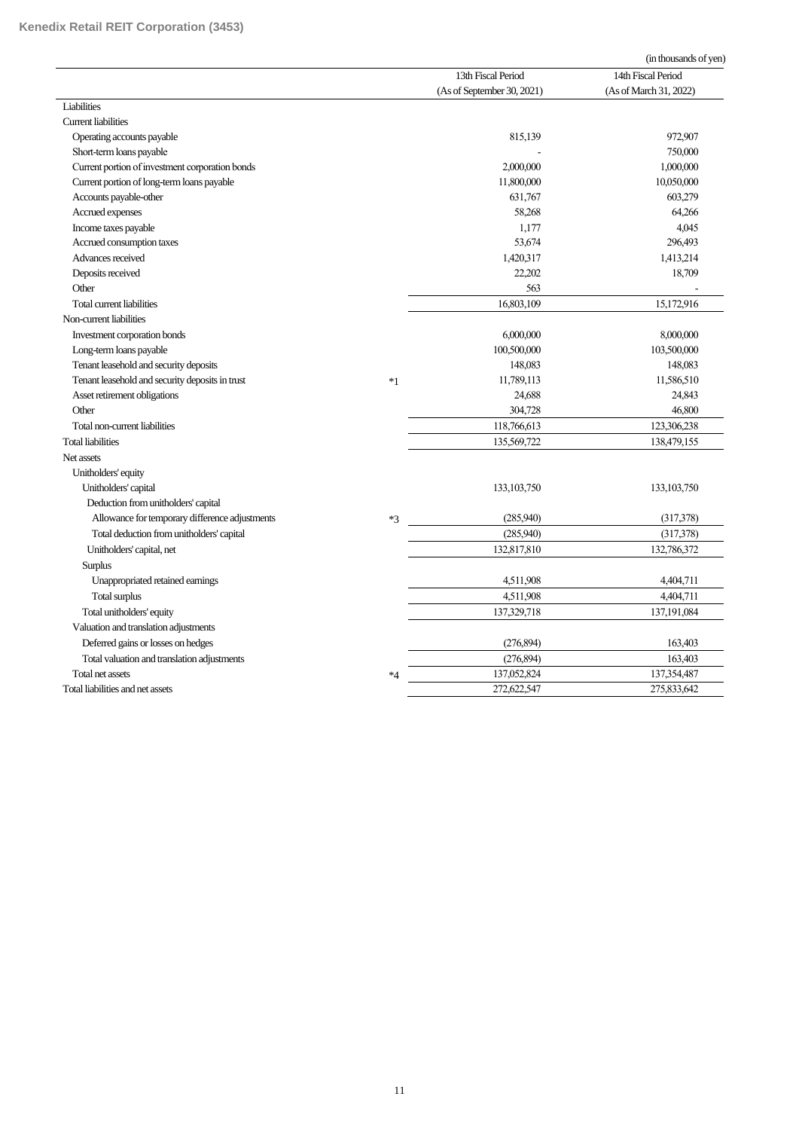|                                                 |      |                            | (in thousands of yen)  |
|-------------------------------------------------|------|----------------------------|------------------------|
|                                                 |      | 13th Fiscal Period         | 14th Fiscal Period     |
|                                                 |      | (As of September 30, 2021) | (As of March 31, 2022) |
| Liabilities                                     |      |                            |                        |
| <b>Current liabilities</b>                      |      |                            |                        |
| Operating accounts payable                      |      | 815,139                    | 972,907                |
| Short-term loans payable                        |      |                            | 750,000                |
| Current portion of investment corporation bonds |      | 2,000,000                  | 1,000,000              |
| Current portion of long-term loans payable      |      | 11,800,000                 | 10,050,000             |
| Accounts payable-other                          |      | 631,767                    | 603,279                |
| Accrued expenses                                |      | 58,268                     | 64,266                 |
| Income taxes payable                            |      | 1,177                      | 4,045                  |
| Accrued consumption taxes                       |      | 53,674                     | 296,493                |
| Advances received                               |      | 1,420,317                  | 1,413,214              |
| Deposits received                               |      | 22,202                     | 18,709                 |
| Other                                           |      | 563                        |                        |
| Total current liabilities                       |      | 16,803,109                 | 15,172,916             |
| Non-current liabilities                         |      |                            |                        |
| Investment corporation bonds                    |      | 6,000,000                  | 8,000,000              |
| Long-term loans payable                         |      | 100,500,000                | 103,500,000            |
| Tenant leasehold and security deposits          |      | 148,083                    | 148,083                |
| Tenant leasehold and security deposits in trust | $*1$ | 11,789,113                 | 11,586,510             |
| Asset retirement obligations                    |      | 24,688                     | 24,843                 |
| Other                                           |      | 304,728                    | 46,800                 |
| Total non-current liabilities                   |      | 118,766,613                | 123,306,238            |
| <b>Total liabilities</b>                        |      | 135,569,722                | 138,479,155            |
| Net assets                                      |      |                            |                        |
| Unitholders' equity                             |      |                            |                        |
| Unitholders' capital                            |      | 133, 103, 750              | 133, 103, 750          |
| Deduction from unitholders' capital             |      |                            |                        |
| Allowance for temporary difference adjustments  | $*3$ | (285,940)                  | (317,378)              |
| Total deduction from unitholders' capital       |      | (285.940)                  | (317,378)              |
| Unitholders' capital, net                       |      | 132,817,810                | 132,786,372            |
| <b>Surplus</b>                                  |      |                            |                        |
| Unappropriated retained earnings                |      | 4,511,908                  | 4,404,711              |
| Total surplus                                   |      | 4,511,908                  | 4,404,711              |
| Total unitholders' equity                       |      | 137,329,718                | 137,191,084            |
| Valuation and translation adjustments           |      |                            |                        |
| Deferred gains or losses on hedges              |      | (276, 894)                 | 163,403                |
| Total valuation and translation adjustments     |      | (276, 894)                 | 163,403                |
| Total net assets                                | $*4$ | 137,052,824                | 137,354,487            |
| Total liabilities and net assets                |      | 272,622,547                | 275,833,642            |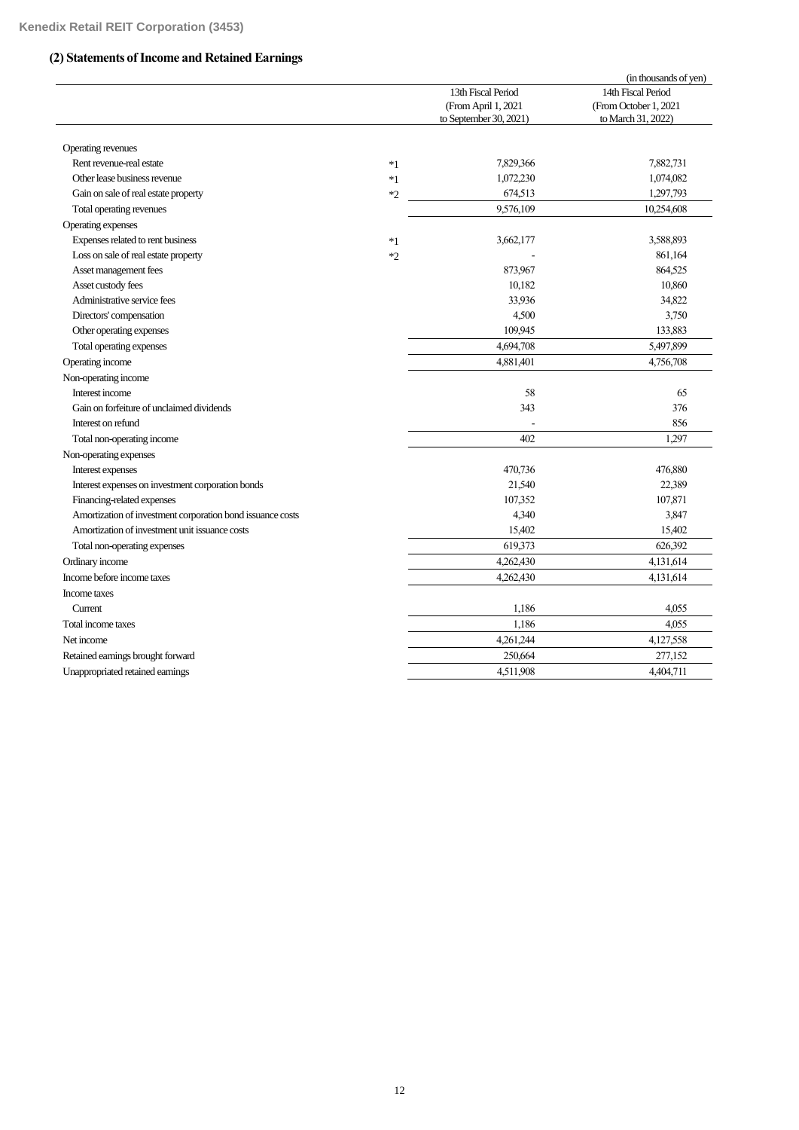# **(2) Statements of Income and Retained Earnings**

|                                                            |      |                        | (in thousands of yen) |
|------------------------------------------------------------|------|------------------------|-----------------------|
|                                                            |      | 13th Fiscal Period     | 14th Fiscal Period    |
|                                                            |      | (From April 1, 2021    | (From October 1, 2021 |
|                                                            |      | to September 30, 2021) | to March 31, 2022)    |
|                                                            |      |                        |                       |
| Operating revenues                                         |      |                        |                       |
| Rent revenue-real estate                                   | $*1$ | 7,829,366              | 7,882,731             |
| Other lease business revenue                               | $*1$ | 1,072,230              | 1,074,082             |
| Gain on sale of real estate property                       | $*2$ | 674,513                | 1,297,793             |
| Total operating revenues                                   |      | 9,576,109              | 10,254,608            |
| Operating expenses                                         |      |                        |                       |
| Expenses related to rent business                          | $*1$ | 3,662,177              | 3,588,893             |
| Loss on sale of real estate property                       | $*2$ |                        | 861,164               |
| Asset management fees                                      |      | 873,967                | 864,525               |
| Asset custody fees                                         |      | 10,182                 | 10,860                |
| Administrative service fees                                |      | 33,936                 | 34,822                |
| Directors' compensation                                    |      | 4,500                  | 3,750                 |
| Other operating expenses                                   |      | 109,945                | 133,883               |
| Total operating expenses                                   |      | 4,694,708              | 5,497,899             |
| Operating income                                           |      | 4,881,401              | 4,756,708             |
| Non-operating income                                       |      |                        |                       |
| Interest income                                            |      | 58                     | 65                    |
| Gain on forfeiture of unclaimed dividends                  |      | 343                    | 376                   |
| Interest on refund                                         |      |                        | 856                   |
| Total non-operating income                                 |      | 402                    | 1,297                 |
| Non-operating expenses                                     |      |                        |                       |
| Interest expenses                                          |      | 470,736                | 476,880               |
| Interest expenses on investment corporation bonds          |      | 21,540                 | 22,389                |
| Financing-related expenses                                 |      | 107,352                | 107,871               |
| Amortization of investment corporation bond issuance costs |      | 4,340                  | 3,847                 |
| Amortization of investment unit issuance costs             |      | 15,402                 | 15,402                |
| Total non-operating expenses                               |      | 619,373                | 626,392               |
| Ordinary income                                            |      | 4,262,430              | 4,131,614             |
| Income before income taxes                                 |      | 4,262,430              | 4,131,614             |
| Income taxes                                               |      |                        |                       |
| Current                                                    |      | 1,186                  | 4,055                 |
| Total income taxes                                         |      | 1,186                  | 4,055                 |
| Net income                                                 |      | 4,261,244              | 4,127,558             |
| Retained earnings brought forward                          |      | 250,664                | 277,152               |
| Unappropriated retained earnings                           |      | 4,511,908              | 4,404,711             |
|                                                            |      |                        |                       |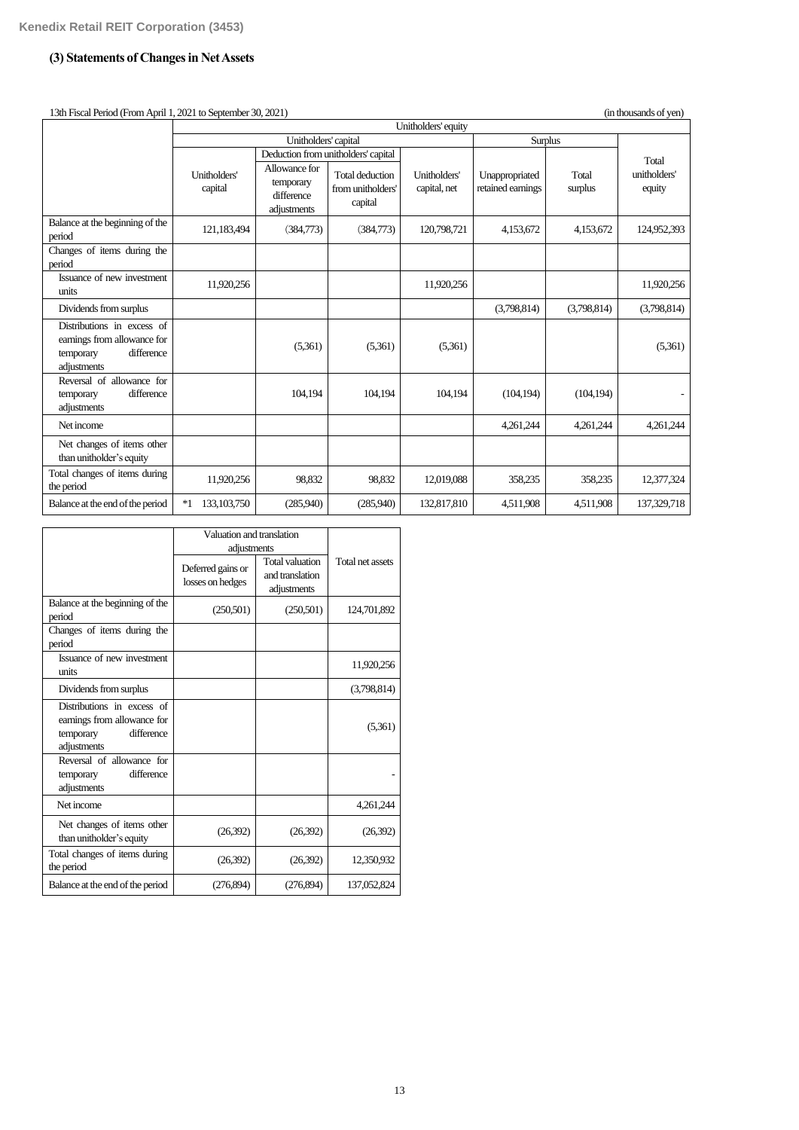# **(3) Statements of Changes in Net Assets**

| 13th Fiscal Period (From April 1, 2021 to September 30, 2021)<br>(in thousands of ven)              |                         |                                                         |                                                 |                              |                                     |                  |                        |
|-----------------------------------------------------------------------------------------------------|-------------------------|---------------------------------------------------------|-------------------------------------------------|------------------------------|-------------------------------------|------------------|------------------------|
|                                                                                                     | Unitholders' equity     |                                                         |                                                 |                              |                                     |                  |                        |
|                                                                                                     | Unitholders' capital    |                                                         |                                                 | Surplus                      |                                     |                  |                        |
|                                                                                                     |                         |                                                         | Deduction from unitholders' capital             |                              |                                     |                  | Total                  |
|                                                                                                     | Unitholders'<br>capital | Allowance for<br>temporary<br>difference<br>adjustments | Total deduction<br>from unitholders'<br>capital | Unitholders'<br>capital, net | Unappropriated<br>retained earnings | Total<br>surplus | unitholders'<br>equity |
| Balance at the beginning of the<br>period                                                           | 121,183,494             | (384,773)                                               | (384,773)                                       | 120,798,721                  | 4,153,672                           | 4,153,672        | 124,952,393            |
| Changes of items during the<br>period                                                               |                         |                                                         |                                                 |                              |                                     |                  |                        |
| Issuance of new investment<br>units                                                                 | 11,920,256              |                                                         |                                                 | 11,920,256                   |                                     |                  | 11,920,256             |
| Dividends from surplus                                                                              |                         |                                                         |                                                 |                              | (3,798,814)                         | (3,798,814)      | (3,798,814)            |
| Distributions in excess of<br>earnings from allowance for<br>difference<br>temporary<br>adjustments |                         | (5,361)                                                 | (5,361)                                         | (5,361)                      |                                     |                  | (5,361)                |
| Reversal of allowance for<br>difference<br>temporary<br>adjustments                                 |                         | 104,194                                                 | 104,194                                         | 104,194                      | (104, 194)                          | (104, 194)       |                        |
| Net income                                                                                          |                         |                                                         |                                                 |                              | 4,261,244                           | 4,261,244        | 4,261,244              |
| Net changes of items other<br>than unitholder's equity                                              |                         |                                                         |                                                 |                              |                                     |                  |                        |
| Total changes of items during<br>the period                                                         | 11,920,256              | 98,832                                                  | 98,832                                          | 12,019,088                   | 358,235                             | 358,235          | 12,377,324             |
| Balance at the end of the period                                                                    | $*1$<br>133, 103, 750   | (285,940)                                               | (285,940)                                       | 132,817,810                  | 4,511,908                           | 4,511,908        | 137,329,718            |

|                                                                                                     | Valuation and translation<br>adjustments |                                                          |                  |
|-----------------------------------------------------------------------------------------------------|------------------------------------------|----------------------------------------------------------|------------------|
|                                                                                                     | Deferred gains or<br>losses on hedges    | <b>Total valuation</b><br>and translation<br>adjustments | Total net assets |
| Balance at the beginning of the<br>period                                                           | (250,501)                                | (250, 501)                                               | 124,701,892      |
| Changes of items during the<br>period                                                               |                                          |                                                          |                  |
| Issuance of new investment<br>units                                                                 |                                          |                                                          | 11,920,256       |
| Dividends from surplus                                                                              |                                          |                                                          | (3,798,814)      |
| Distributions in excess of<br>earnings from allowance for<br>difference<br>temporary<br>adjustments |                                          |                                                          | (5,361)          |
| Reversal of allowance for<br>difference<br>temporary<br>adjustments                                 |                                          |                                                          |                  |
| Net income                                                                                          |                                          |                                                          | 4,261,244        |
| Net changes of items other<br>than unitholder's equity                                              | (26,392)                                 | (26,392)                                                 | (26,392)         |
| Total changes of items during<br>the period                                                         | (26,392)                                 | (26, 392)                                                | 12,350,932       |
| Balance at the end of the period                                                                    | (276,894)                                | (276, 894)                                               | 137,052,824      |

13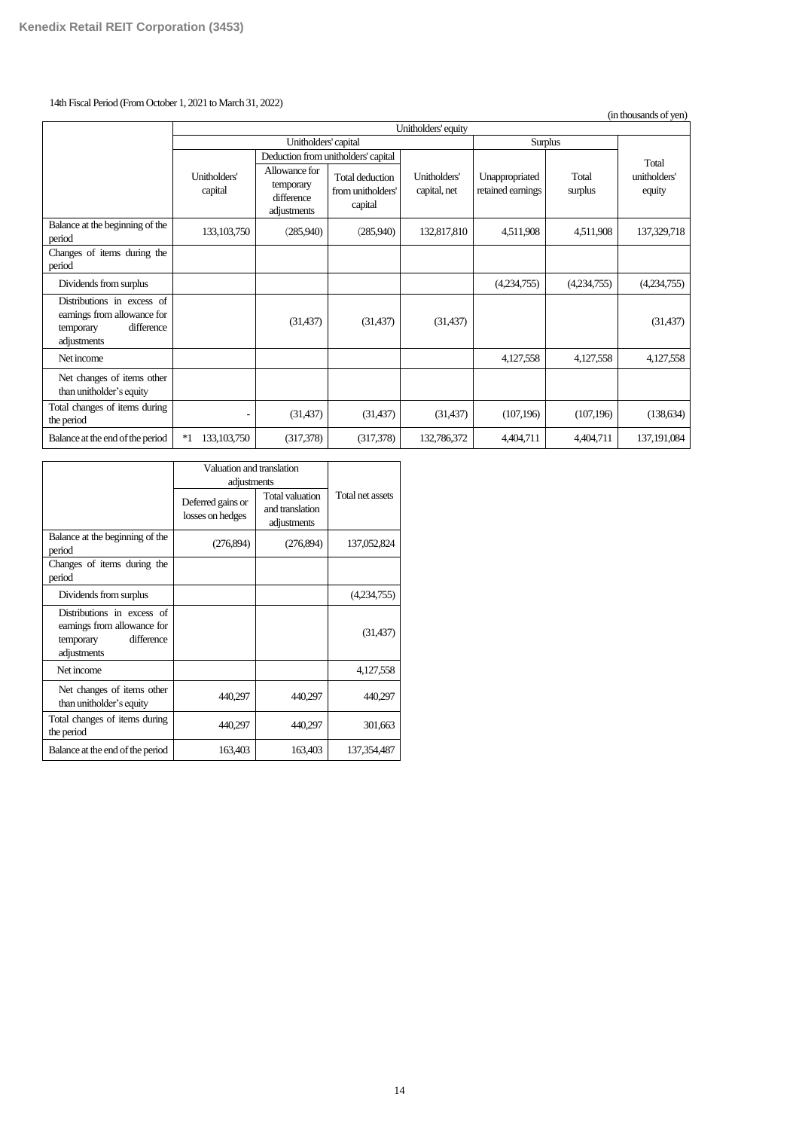# 14th Fiscal Period (FromOctober 1, 2021 to March 31, 2022)

(in thousands of yen)

|                                                                                                     | Unitholders' equity     |                                                         |                                                        |                              |                                     |                  |                        |
|-----------------------------------------------------------------------------------------------------|-------------------------|---------------------------------------------------------|--------------------------------------------------------|------------------------------|-------------------------------------|------------------|------------------------|
|                                                                                                     | Unitholders' capital    |                                                         |                                                        | <b>Surplus</b>               |                                     |                  |                        |
|                                                                                                     |                         |                                                         | Deduction from unitholders' capital                    |                              |                                     |                  | Total                  |
|                                                                                                     | Unitholders'<br>capital | Allowance for<br>temporary<br>difference<br>adjustments | <b>Total deduction</b><br>from unitholders'<br>capital | Unitholders'<br>capital, net | Unappropriated<br>retained earnings | Total<br>surplus | unitholders'<br>equity |
| Balance at the beginning of the<br>period                                                           | 133, 103, 750           | (285,940)                                               | (285,940)                                              | 132,817,810                  | 4,511,908                           | 4,511,908        | 137,329,718            |
| Changes of items during the<br>period                                                               |                         |                                                         |                                                        |                              |                                     |                  |                        |
| Dividends from surplus                                                                              |                         |                                                         |                                                        |                              | (4,234,755)                         | (4,234,755)      | (4,234,755)            |
| Distributions in excess of<br>earnings from allowance for<br>difference<br>temporary<br>adjustments |                         | (31, 437)                                               | (31, 437)                                              | (31, 437)                    |                                     |                  | (31, 437)              |
| Net income                                                                                          |                         |                                                         |                                                        |                              | 4,127,558                           | 4,127,558        | 4,127,558              |
| Net changes of items other<br>than unitholder's equity                                              |                         |                                                         |                                                        |                              |                                     |                  |                        |
| Total changes of items during<br>the period                                                         |                         | (31, 437)                                               | (31, 437)                                              | (31, 437)                    | (107, 196)                          | (107, 196)       | (138, 634)             |
| Balance at the end of the period                                                                    | $*1$<br>133, 103, 750   | (317,378)                                               | (317,378)                                              | 132,786,372                  | 4,404,711                           | 4,404,711        | 137,191,084            |

|                                                                                                     | Valuation and translation<br>adjustments |                                                          |                  |
|-----------------------------------------------------------------------------------------------------|------------------------------------------|----------------------------------------------------------|------------------|
|                                                                                                     | Deferred gains or<br>losses on hedges    | <b>Total valuation</b><br>and translation<br>adjustments | Total net assets |
| Balance at the beginning of the<br>period                                                           | (276,894)                                | (276, 894)                                               | 137,052,824      |
| Changes of items during the<br>period                                                               |                                          |                                                          |                  |
| Dividends from surplus                                                                              |                                          |                                                          | (4,234,755)      |
| Distributions in excess of<br>earnings from allowance for<br>difference<br>temporary<br>adjustments |                                          |                                                          | (31, 437)        |
| Net income                                                                                          |                                          |                                                          | 4,127,558        |
| Net changes of items other<br>than unitholder's equity                                              | 440,297                                  | 440,297                                                  | 440,297          |
| Total changes of items during<br>the period                                                         | 440,297                                  | 440,297                                                  | 301,663          |
| Balance at the end of the period                                                                    | 163,403                                  | 163,403                                                  | 137, 354, 487    |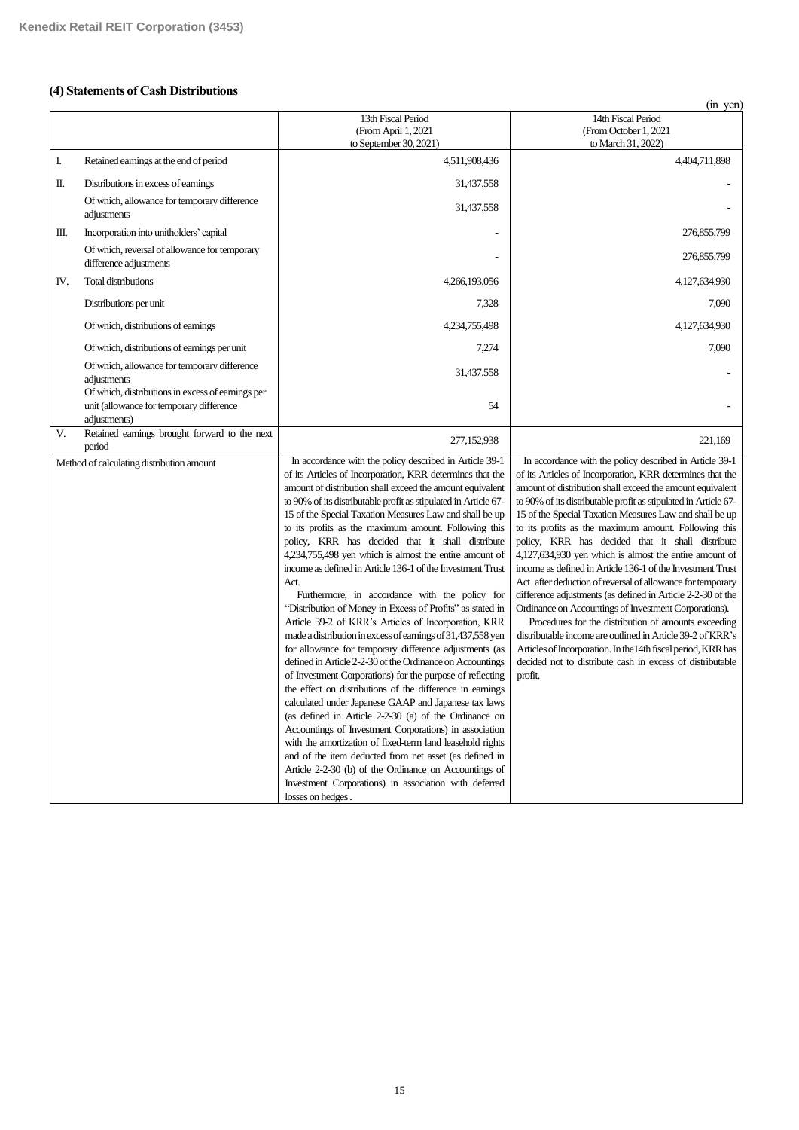# **(4) Statements of Cash Distributions**

|     |                                                                                                               | 13th Fiscal Period<br>(From April 1, 2021<br>to September 30, 2021)                                                                                                                                                                                                                                                                                                                                                                                                                                                                                                                                                                                                                                                                                                                                                                                                                                                                                                                                                                                                                                                                                                                                                                                                                                                                                                                                                                                                                         | 14th Fiscal Period<br>(From October 1, 2021<br>to March 31, 2022)                                                                                                                                                                                                                                                                                                                                                                                                                                                                                                                                                                                                                                                                                                                                                                                                                                                                                                                                        |
|-----|---------------------------------------------------------------------------------------------------------------|---------------------------------------------------------------------------------------------------------------------------------------------------------------------------------------------------------------------------------------------------------------------------------------------------------------------------------------------------------------------------------------------------------------------------------------------------------------------------------------------------------------------------------------------------------------------------------------------------------------------------------------------------------------------------------------------------------------------------------------------------------------------------------------------------------------------------------------------------------------------------------------------------------------------------------------------------------------------------------------------------------------------------------------------------------------------------------------------------------------------------------------------------------------------------------------------------------------------------------------------------------------------------------------------------------------------------------------------------------------------------------------------------------------------------------------------------------------------------------------------|----------------------------------------------------------------------------------------------------------------------------------------------------------------------------------------------------------------------------------------------------------------------------------------------------------------------------------------------------------------------------------------------------------------------------------------------------------------------------------------------------------------------------------------------------------------------------------------------------------------------------------------------------------------------------------------------------------------------------------------------------------------------------------------------------------------------------------------------------------------------------------------------------------------------------------------------------------------------------------------------------------|
| I.  | Retained earnings at the end of period                                                                        | 4,511,908,436                                                                                                                                                                                                                                                                                                                                                                                                                                                                                                                                                                                                                                                                                                                                                                                                                                                                                                                                                                                                                                                                                                                                                                                                                                                                                                                                                                                                                                                                               | 4,404,711,898                                                                                                                                                                                                                                                                                                                                                                                                                                                                                                                                                                                                                                                                                                                                                                                                                                                                                                                                                                                            |
| П.  | Distributions in excess of earnings                                                                           | 31,437,558                                                                                                                                                                                                                                                                                                                                                                                                                                                                                                                                                                                                                                                                                                                                                                                                                                                                                                                                                                                                                                                                                                                                                                                                                                                                                                                                                                                                                                                                                  |                                                                                                                                                                                                                                                                                                                                                                                                                                                                                                                                                                                                                                                                                                                                                                                                                                                                                                                                                                                                          |
|     | Of which, allowance for temporary difference<br>adjustments                                                   | 31,437,558                                                                                                                                                                                                                                                                                                                                                                                                                                                                                                                                                                                                                                                                                                                                                                                                                                                                                                                                                                                                                                                                                                                                                                                                                                                                                                                                                                                                                                                                                  |                                                                                                                                                                                                                                                                                                                                                                                                                                                                                                                                                                                                                                                                                                                                                                                                                                                                                                                                                                                                          |
| Ш.  | Incorporation into unitholders' capital                                                                       |                                                                                                                                                                                                                                                                                                                                                                                                                                                                                                                                                                                                                                                                                                                                                                                                                                                                                                                                                                                                                                                                                                                                                                                                                                                                                                                                                                                                                                                                                             | 276,855,799                                                                                                                                                                                                                                                                                                                                                                                                                                                                                                                                                                                                                                                                                                                                                                                                                                                                                                                                                                                              |
|     | Of which, reversal of allowance for temporary<br>difference adjustments                                       |                                                                                                                                                                                                                                                                                                                                                                                                                                                                                                                                                                                                                                                                                                                                                                                                                                                                                                                                                                                                                                                                                                                                                                                                                                                                                                                                                                                                                                                                                             | 276,855,799                                                                                                                                                                                                                                                                                                                                                                                                                                                                                                                                                                                                                                                                                                                                                                                                                                                                                                                                                                                              |
| IV. | <b>Total distributions</b>                                                                                    | 4,266,193,056                                                                                                                                                                                                                                                                                                                                                                                                                                                                                                                                                                                                                                                                                                                                                                                                                                                                                                                                                                                                                                                                                                                                                                                                                                                                                                                                                                                                                                                                               | 4,127,634,930                                                                                                                                                                                                                                                                                                                                                                                                                                                                                                                                                                                                                                                                                                                                                                                                                                                                                                                                                                                            |
|     | Distributions per unit                                                                                        | 7,328                                                                                                                                                                                                                                                                                                                                                                                                                                                                                                                                                                                                                                                                                                                                                                                                                                                                                                                                                                                                                                                                                                                                                                                                                                                                                                                                                                                                                                                                                       | 7,090                                                                                                                                                                                                                                                                                                                                                                                                                                                                                                                                                                                                                                                                                                                                                                                                                                                                                                                                                                                                    |
|     | Of which, distributions of earnings                                                                           | 4,234,755,498                                                                                                                                                                                                                                                                                                                                                                                                                                                                                                                                                                                                                                                                                                                                                                                                                                                                                                                                                                                                                                                                                                                                                                                                                                                                                                                                                                                                                                                                               | 4,127,634,930                                                                                                                                                                                                                                                                                                                                                                                                                                                                                                                                                                                                                                                                                                                                                                                                                                                                                                                                                                                            |
|     | Of which, distributions of earnings per unit                                                                  | 7,274                                                                                                                                                                                                                                                                                                                                                                                                                                                                                                                                                                                                                                                                                                                                                                                                                                                                                                                                                                                                                                                                                                                                                                                                                                                                                                                                                                                                                                                                                       | 7,090                                                                                                                                                                                                                                                                                                                                                                                                                                                                                                                                                                                                                                                                                                                                                                                                                                                                                                                                                                                                    |
|     | Of which, allowance for temporary difference<br>adjustments                                                   | 31,437,558                                                                                                                                                                                                                                                                                                                                                                                                                                                                                                                                                                                                                                                                                                                                                                                                                                                                                                                                                                                                                                                                                                                                                                                                                                                                                                                                                                                                                                                                                  |                                                                                                                                                                                                                                                                                                                                                                                                                                                                                                                                                                                                                                                                                                                                                                                                                                                                                                                                                                                                          |
|     | Of which, distributions in excess of earnings per<br>unit (allowance for temporary difference<br>adjustments) | 54                                                                                                                                                                                                                                                                                                                                                                                                                                                                                                                                                                                                                                                                                                                                                                                                                                                                                                                                                                                                                                                                                                                                                                                                                                                                                                                                                                                                                                                                                          |                                                                                                                                                                                                                                                                                                                                                                                                                                                                                                                                                                                                                                                                                                                                                                                                                                                                                                                                                                                                          |
| V.  | Retained earnings brought forward to the next<br>period                                                       | 277,152,938                                                                                                                                                                                                                                                                                                                                                                                                                                                                                                                                                                                                                                                                                                                                                                                                                                                                                                                                                                                                                                                                                                                                                                                                                                                                                                                                                                                                                                                                                 | 221,169                                                                                                                                                                                                                                                                                                                                                                                                                                                                                                                                                                                                                                                                                                                                                                                                                                                                                                                                                                                                  |
|     | Method of calculating distribution amount                                                                     | In accordance with the policy described in Article 39-1<br>of its Articles of Incorporation, KRR determines that the<br>amount of distribution shall exceed the amount equivalent<br>to 90% of its distributable profit as stipulated in Article 67-<br>15 of the Special Taxation Measures Law and shall be up<br>to its profits as the maximum amount. Following this<br>policy, KRR has decided that it shall distribute<br>4,234,755,498 yen which is almost the entire amount of<br>income as defined in Article 136-1 of the Investment Trust<br>Act.<br>Furthermore, in accordance with the policy for<br>"Distribution of Money in Excess of Profits" as stated in<br>Article 39-2 of KRR's Articles of Incorporation, KRR<br>made a distribution in excess of earnings of 31,437,558 yen<br>for allowance for temporary difference adjustments (as<br>defined in Article 2-2-30 of the Ordinance on Accountings<br>of Investment Corporations) for the purpose of reflecting<br>the effect on distributions of the difference in earnings<br>calculated under Japanese GAAP and Japanese tax laws<br>(as defined in Article 2-2-30 (a) of the Ordinance on<br>Accountings of Investment Corporations) in association<br>with the amortization of fixed-term land leasehold rights<br>and of the item deducted from net asset (as defined in<br>Article 2-2-30 (b) of the Ordinance on Accountings of<br>Investment Corporations) in association with deferred<br>losses on hedges. | In accordance with the policy described in Article 39-1<br>of its Articles of Incorporation, KRR determines that the<br>amount of distribution shall exceed the amount equivalent<br>to 90% of its distributable profit as stipulated in Article 67-<br>15 of the Special Taxation Measures Law and shall be up<br>to its profits as the maximum amount. Following this<br>policy, KRR has decided that it shall distribute<br>4,127,634,930 yen which is almost the entire amount of<br>income as defined in Article 136-1 of the Investment Trust<br>Act after deduction of reversal of allowance for temporary<br>difference adjustments (as defined in Article 2-2-30 of the<br>Ordinance on Accountings of Investment Corporations).<br>Procedures for the distribution of amounts exceeding<br>distributable income are outlined in Article 39-2 of KRR's<br>Articles of Incorporation. In the 14th fiscal period, KRR has<br>decided not to distribute cash in excess of distributable<br>profit. |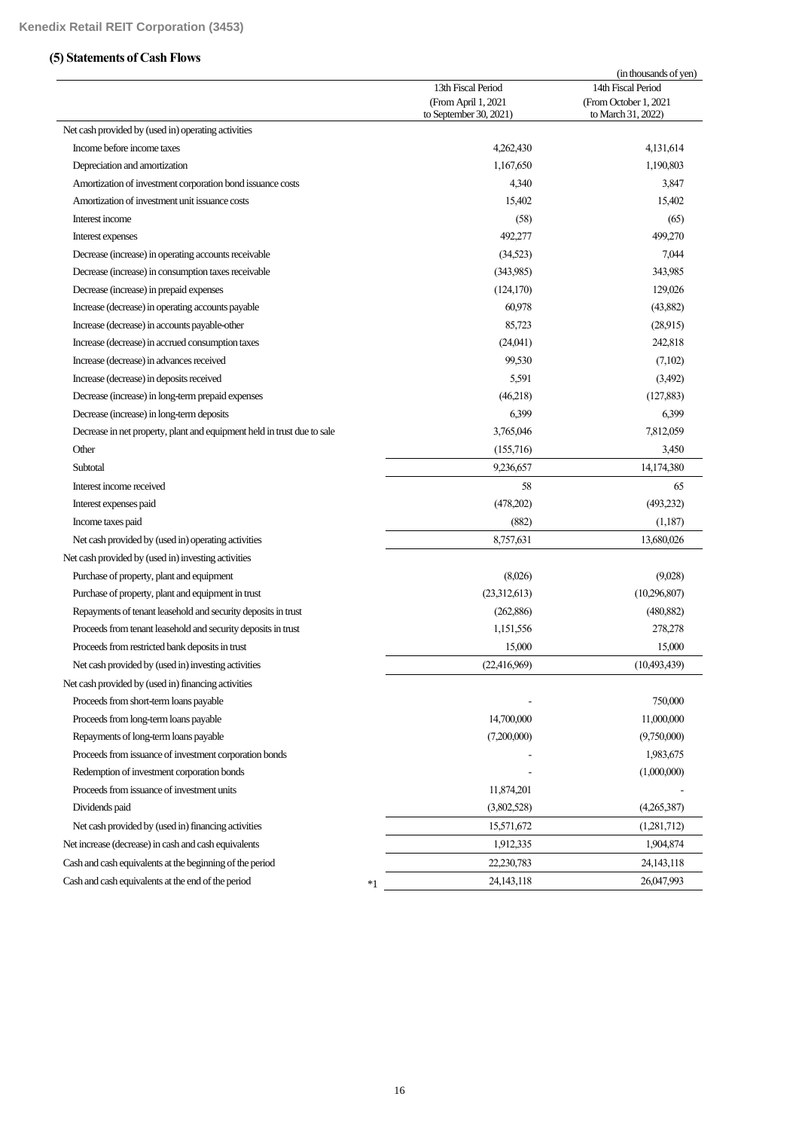# **(5) Statements of Cash Flows**

|                                                                         | 13th Fiscal Period<br>(From April 1, 2021<br>to September 30, 2021) | (in thousands of yen)<br>14th Fiscal Period<br>(From October 1, 2021<br>to March 31, 2022) |
|-------------------------------------------------------------------------|---------------------------------------------------------------------|--------------------------------------------------------------------------------------------|
| Net cash provided by (used in) operating activities                     |                                                                     |                                                                                            |
| Income before income taxes                                              | 4,262,430                                                           | 4,131,614                                                                                  |
| Depreciation and amortization                                           | 1,167,650                                                           | 1,190,803                                                                                  |
| Amortization of investment corporation bond issuance costs              | 4,340                                                               | 3,847                                                                                      |
| Amortization of investment unit issuance costs                          | 15,402                                                              | 15,402                                                                                     |
| Interest income                                                         | (58)                                                                | (65)                                                                                       |
| Interest expenses                                                       | 492,277                                                             | 499,270                                                                                    |
| Decrease (increase) in operating accounts receivable                    | (34,523)                                                            | 7,044                                                                                      |
| Decrease (increase) in consumption taxes receivable                     | (343,985)                                                           | 343,985                                                                                    |
| Decrease (increase) in prepaid expenses                                 | (124, 170)                                                          | 129,026                                                                                    |
| Increase (decrease) in operating accounts payable                       | 60,978                                                              | (43,882)                                                                                   |
| Increase (decrease) in accounts payable-other                           | 85,723                                                              | (28,915)                                                                                   |
| Increase (decrease) in accrued consumption taxes                        | (24,041)                                                            | 242,818                                                                                    |
| Increase (decrease) in advances received                                | 99,530                                                              | (7,102)                                                                                    |
| Increase (decrease) in deposits received                                | 5,591                                                               | (3,492)                                                                                    |
| Decrease (increase) in long-term prepaid expenses                       | (46,218)                                                            | (127, 883)                                                                                 |
| Decrease (increase) in long-term deposits                               | 6,399                                                               | 6,399                                                                                      |
| Decrease in net property, plant and equipment held in trust due to sale | 3,765,046                                                           | 7,812,059                                                                                  |
| Other                                                                   | (155,716)                                                           | 3,450                                                                                      |
| Subtotal                                                                | 9,236,657                                                           | 14,174,380                                                                                 |
| Interest income received                                                | 58                                                                  | 65                                                                                         |
| Interest expenses paid                                                  | (478,202)                                                           | (493,232)                                                                                  |
| Income taxes paid                                                       | (882)                                                               | (1,187)                                                                                    |
| Net cash provided by (used in) operating activities                     | 8,757,631                                                           | 13,680,026                                                                                 |
| Net cash provided by (used in) investing activities                     |                                                                     |                                                                                            |
| Purchase of property, plant and equipment                               | (8,026)                                                             | (9,028)                                                                                    |
| Purchase of property, plant and equipment in trust                      | (23,312,613)                                                        | (10,296,807)                                                                               |
| Repayments of tenant leasehold and security deposits in trust           | (262, 886)                                                          | (480, 882)                                                                                 |
| Proceeds from tenant leasehold and security deposits in trust           | 1,151,556                                                           | 278,278                                                                                    |
| Proceeds from restricted bank deposits in trust                         | 15,000                                                              | 15,000                                                                                     |
| Net cash provided by (used in) investing activities                     | (22, 416, 969)                                                      | (10,493,439)                                                                               |
| Net cash provided by (used in) financing activities                     |                                                                     |                                                                                            |
| Proceeds from short-term loans payable                                  |                                                                     | 750,000                                                                                    |
| Proceeds from long-term loans payable                                   | 14,700,000                                                          | 11,000,000                                                                                 |
| Repayments of long-term loans payable                                   | (7,200,000)                                                         | (9,750,000)                                                                                |
| Proceeds from issuance of investment corporation bonds                  |                                                                     | 1,983,675                                                                                  |
| Redemption of investment corporation bonds                              |                                                                     | (1,000,000)                                                                                |
| Proceeds from issuance of investment units                              | 11,874,201                                                          |                                                                                            |
| Dividends paid                                                          | (3,802,528)                                                         | (4,265,387)                                                                                |
| Net cash provided by (used in) financing activities                     | 15,571,672                                                          | (1,281,712)                                                                                |
| Net increase (decrease) in cash and cash equivalents                    | 1,912,335                                                           | 1,904,874                                                                                  |
| Cash and cash equivalents at the beginning of the period                | 22,230,783                                                          | 24,143,118                                                                                 |
|                                                                         |                                                                     |                                                                                            |
| Cash and cash equivalents at the end of the period<br>$*1$              | 24, 143, 118                                                        | 26,047,993                                                                                 |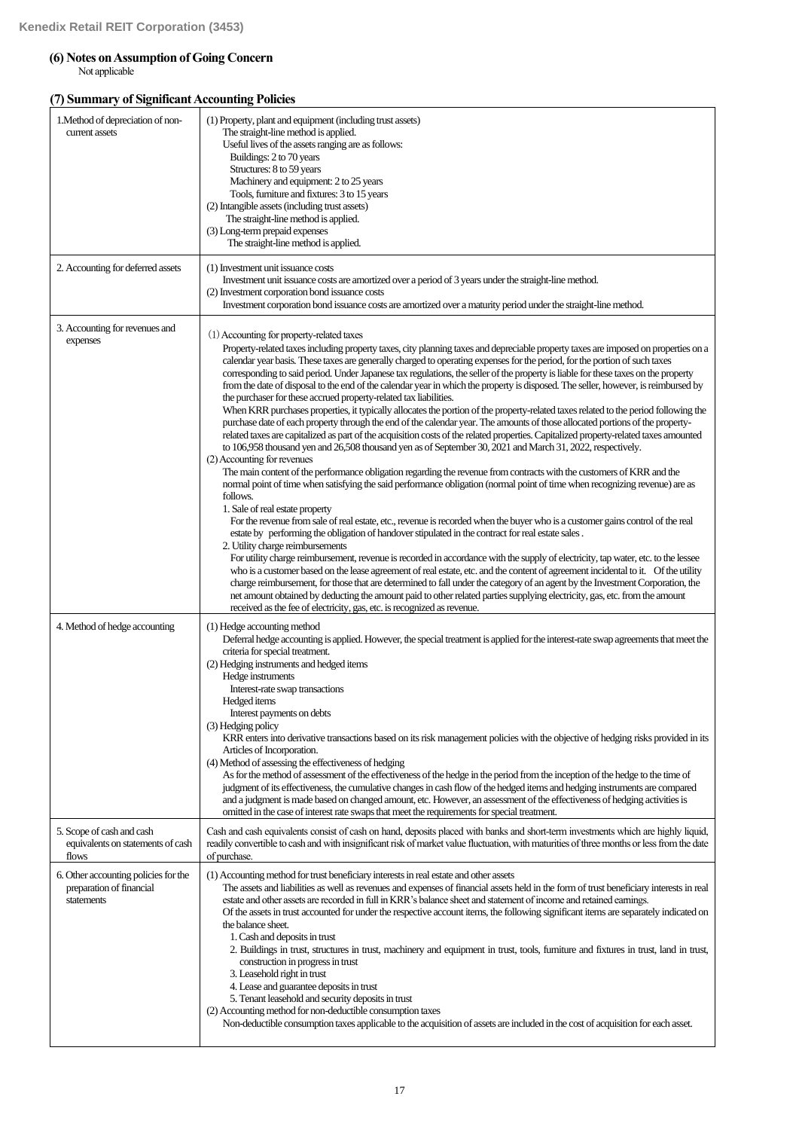# **(6) Notes on Assumption of Going Concern**

Not applicable

# **(7) Summary of Significant Accounting Policies**

| 1. Method of depreciation of non-<br>current assets                            | (1) Property, plant and equipment (including trust assets)<br>The straight-line method is applied.<br>Useful lives of the assets ranging are as follows:<br>Buildings: 2 to 70 years<br>Structures: 8 to 59 years<br>Machinery and equipment: 2 to 25 years<br>Tools, furniture and fixtures: 3 to 15 years<br>(2) Intangible assets (including trust assets)<br>The straight-line method is applied.<br>(3) Long-term prepaid expenses<br>The straight-line method is applied.                                                                                                                                                                                                                                                                                                                                                                                                                                                                                                                                                                                                                                                                                                                                                                                                                                                                                                                                                                                                                                                                                                                                                                                                                                                                                                                                                                                                                                                                                                                                                                                                                                                                                                                                                                                                                                                                                                                                                    |
|--------------------------------------------------------------------------------|------------------------------------------------------------------------------------------------------------------------------------------------------------------------------------------------------------------------------------------------------------------------------------------------------------------------------------------------------------------------------------------------------------------------------------------------------------------------------------------------------------------------------------------------------------------------------------------------------------------------------------------------------------------------------------------------------------------------------------------------------------------------------------------------------------------------------------------------------------------------------------------------------------------------------------------------------------------------------------------------------------------------------------------------------------------------------------------------------------------------------------------------------------------------------------------------------------------------------------------------------------------------------------------------------------------------------------------------------------------------------------------------------------------------------------------------------------------------------------------------------------------------------------------------------------------------------------------------------------------------------------------------------------------------------------------------------------------------------------------------------------------------------------------------------------------------------------------------------------------------------------------------------------------------------------------------------------------------------------------------------------------------------------------------------------------------------------------------------------------------------------------------------------------------------------------------------------------------------------------------------------------------------------------------------------------------------------------------------------------------------------------------------------------------------------|
| 2. Accounting for deferred assets                                              | (1) Investment unit issuance costs<br>Investment unit issuance costs are amortized over a period of 3 years under the straight-line method.<br>(2) Investment corporation bond issuance costs<br>Investment corporation bond issuance costs are amortized over a maturity period under the straight-line method.                                                                                                                                                                                                                                                                                                                                                                                                                                                                                                                                                                                                                                                                                                                                                                                                                                                                                                                                                                                                                                                                                                                                                                                                                                                                                                                                                                                                                                                                                                                                                                                                                                                                                                                                                                                                                                                                                                                                                                                                                                                                                                                   |
| 3. Accounting for revenues and<br>expenses                                     | (1) Accounting for property-related taxes<br>Property-related taxes including property taxes, city planning taxes and depreciable property taxes are imposed on properties on a<br>calendar year basis. These taxes are generally charged to operating expenses for the period, for the portion of such taxes<br>corresponding to said period. Under Japanese tax regulations, the seller of the property is liable for these taxes on the property<br>from the date of disposal to the end of the calendar year in which the property is disposed. The seller, however, is reimbursed by<br>the purchaser for these accrued property-related tax liabilities.<br>When KRR purchases properties, it typically allocates the portion of the property-related taxes related to the period following the<br>purchase date of each property through the end of the calendar year. The amounts of those allocated portions of the property-<br>related taxes are capitalized as part of the acquisition costs of the related properties. Capitalized property-related taxes amounted<br>to 106,958 thousand yen and 26,508 thousand yen as of September 30, 2021 and March 31, 2022, respectively.<br>(2) Accounting for revenues<br>The main content of the performance obligation regarding the revenue from contracts with the customers of KRR and the<br>normal point of time when satisfying the said performance obligation (normal point of time when recognizing revenue) are as<br>follows.<br>1. Sale of real estate property<br>For the revenue from sale of real estate, etc., revenue is recorded when the buyer who is a customer gains control of the real<br>estate by performing the obligation of handover stipulated in the contract for real estate sales.<br>2. Utility charge reimbursements<br>For utility charge reimbursement, revenue is recorded in accordance with the supply of electricity, tap water, etc. to the lessee<br>who is a customer based on the lease agreement of real estate, etc. and the content of agreement incidental to it. Of the utility<br>charge reimbursement, for those that are determined to fall under the category of an agent by the Investment Corporation, the<br>net amount obtained by deducting the amount paid to other related parties supplying electricity, gas, etc. from the amount<br>received as the fee of electricity, gas, etc. is recognized as revenue. |
| 4. Method of hedge accounting                                                  | (1) Hedge accounting method<br>Deferral hedge accounting is applied. However, the special treatment is applied for the interest-rate swap agreements that meet the<br>criteria for special treatment.<br>(2) Hedging instruments and hedged items<br>Hedge instruments<br>Interest-rate swap transactions<br>Hedged items<br>Interest payments on debts<br>(3) Hedging policy<br>KRR enters into derivative transactions based on its risk management policies with the objective of hedging risks provided in its<br>Articles of Incorporation.<br>(4) Method of assessing the effectiveness of hedging<br>As for the method of assessment of the effectiveness of the hedge in the period from the inception of the hedge to the time of<br>judgment of its effectiveness, the cumulative changes in cash flow of the hedged items and hedging instruments are compared<br>and a judgment is made based on changed amount, etc. However, an assessment of the effectiveness of hedging activities is<br>omitted in the case of interest rate swaps that meet the requirements for special treatment.                                                                                                                                                                                                                                                                                                                                                                                                                                                                                                                                                                                                                                                                                                                                                                                                                                                                                                                                                                                                                                                                                                                                                                                                                                                                                                                             |
| 5. Scope of cash and cash<br>equivalents on statements of cash<br>flows        | Cash and cash equivalents consist of cash on hand, deposits placed with banks and short-term investments which are highly liquid,<br>readily convertible to cash and with insignificant risk of market value fluctuation, with maturities of three months or less from the date<br>of purchase.                                                                                                                                                                                                                                                                                                                                                                                                                                                                                                                                                                                                                                                                                                                                                                                                                                                                                                                                                                                                                                                                                                                                                                                                                                                                                                                                                                                                                                                                                                                                                                                                                                                                                                                                                                                                                                                                                                                                                                                                                                                                                                                                    |
| 6. Other accounting policies for the<br>preparation of financial<br>statements | (1) Accounting method for trust beneficiary interests in real estate and other assets<br>The assets and liabilities as well as revenues and expenses of financial assets held in the form of trust beneficiary interests in real<br>estate and other assets are recorded in full in KRR's balance sheet and statement of income and retained earnings.<br>Of the assets in trust accounted for under the respective account items, the following significant items are separately indicated on<br>the balance sheet.<br>1. Cash and deposits in trust<br>2. Buildings in trust, structures in trust, machinery and equipment in trust, tools, furniture and fixtures in trust, land in trust,<br>construction in progress in trust<br>3. Leasehold right in trust<br>4. Lease and guarantee deposits in trust<br>5. Tenant leasehold and security deposits in trust<br>(2) Accounting method for non-deductible consumption taxes<br>Non-deductible consumption taxes applicable to the acquisition of assets are included in the cost of acquisition for each asset.                                                                                                                                                                                                                                                                                                                                                                                                                                                                                                                                                                                                                                                                                                                                                                                                                                                                                                                                                                                                                                                                                                                                                                                                                                                                                                                                                              |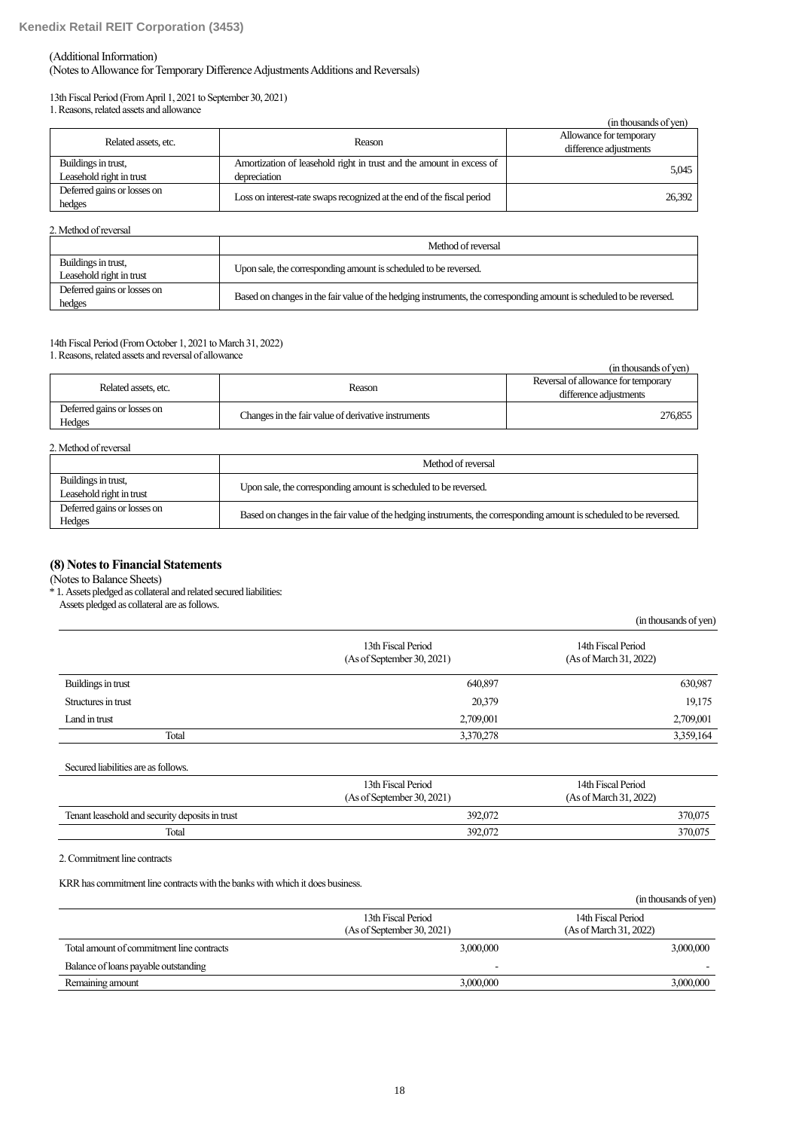#### (Additional Information)

(Notes to Allowance for Temporary Difference Adjustments Additions and Reversals)

13th Fiscal Period (From April 1, 2021 to September 30, 2021) 1. Reasons, related assets and allowance

|                                                 |                                                                                      | (in thousands of yen)                             |
|-------------------------------------------------|--------------------------------------------------------------------------------------|---------------------------------------------------|
| Related assets, etc.                            | Reason                                                                               | Allowance for temporary<br>difference adjustments |
| Buildings in trust,<br>Leasehold right in trust | Amortization of leasehold right in trust and the amount in excess of<br>depreciation | 5,045                                             |
| Deferred gains or losses on<br>hedges           | Loss on interest-rate swaps recognized at the end of the fiscal period               | 26.392                                            |

#### 2. Method of reversal

|                                                 | Method of reversal                                                                                                   |
|-------------------------------------------------|----------------------------------------------------------------------------------------------------------------------|
| Buildings in trust,<br>Leasehold right in trust | Upon sale, the corresponding amount is scheduled to be reversed.                                                     |
| Deferred gains or losses on<br>hedges           | Based on changes in the fair value of the hedging instruments, the corresponding amount is scheduled to be reversed. |

# 14th Fiscal Period (From October 1, 2021 to March 31, 2022)

1. Reasons, related assets and reversal of allowance

|                                       |                                                     | (in thousands of ven)               |
|---------------------------------------|-----------------------------------------------------|-------------------------------------|
| Related assets, etc.                  |                                                     | Reversal of allowance for temporary |
|                                       | Reason                                              | difference adjustments              |
| Deferred gains or losses on<br>Hedges | Changes in the fair value of derivative instruments | 276,855                             |

| 2. Method of reversal                           |                                                                                                                      |
|-------------------------------------------------|----------------------------------------------------------------------------------------------------------------------|
|                                                 | Method of reversal                                                                                                   |
| Buildings in trust,<br>Leasehold right in trust | Upon sale, the corresponding amount is scheduled to be reversed.                                                     |
| Deferred gains or losses on<br>Hedges           | Based on changes in the fair value of the hedging instruments, the corresponding amount is scheduled to be reversed. |

# **(8) Notes to Financial Statements**

(Notes to Balance Sheets)

\* 1. Assets pledged as collateral and related secured liabilities:

Assets pledged as collateral are as follows.

|                                                  | (in thousands of yen)                        |
|--------------------------------------------------|----------------------------------------------|
| 13th Fiscal Period<br>(As of September 30, 2021) | 14th Fiscal Period<br>(As of March 31, 2022) |
| 640,897                                          | 630,987                                      |
| 20,379                                           | 19,175                                       |
| 2,709,001                                        | 2,709,001                                    |
| 3,370,278                                        | 3,359,164                                    |
|                                                  |                                              |

Secured liabilities are as follows.

|                                                 | 13th Fiscal Period<br>(As of September 30, 2021) | 14th Fiscal Period<br>(As of March 31, 2022) |
|-------------------------------------------------|--------------------------------------------------|----------------------------------------------|
| Tenant leasehold and security deposits in trust | 392,072                                          | 370,075                                      |
| Total                                           | 392,072                                          | 370,075                                      |

2. Commitment line contracts

KRR has commitment line contracts with the banks with which it does business.

|                                                  | (in thousands of yen)                        |
|--------------------------------------------------|----------------------------------------------|
| 13th Fiscal Period<br>(As of September 30, 2021) | 14th Fiscal Period<br>(As of March 31, 2022) |
| 3,000,000                                        | 3,000,000                                    |
|                                                  |                                              |
| 3,000,000                                        | 3,000,000                                    |
|                                                  |                                              |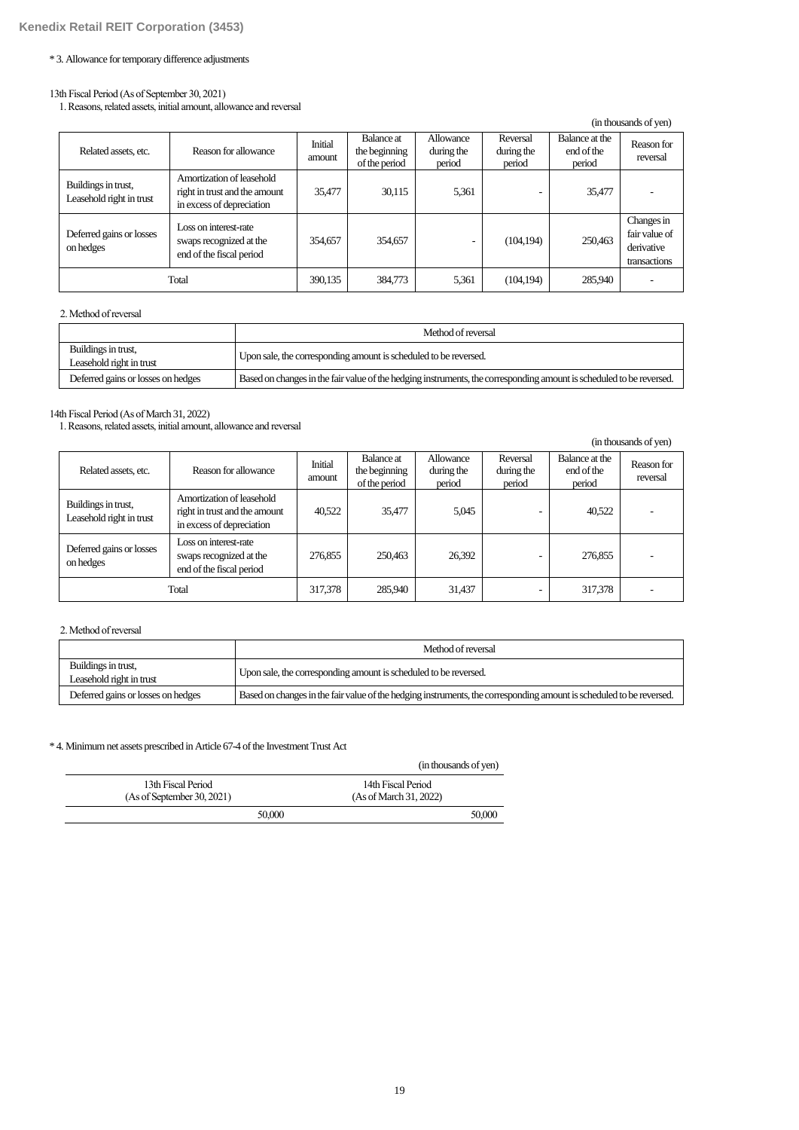### \* 3. Allowance for temporary difference adjustments

#### 13th Fiscal Period (As of September 30, 2021)

1. Reasons, related assets, initial amount, allowance and reversal

|                                                 |                                                                                         |                   |                                                     |                                   |                                  |                                        | (in thousands of yen)                                     |
|-------------------------------------------------|-----------------------------------------------------------------------------------------|-------------------|-----------------------------------------------------|-----------------------------------|----------------------------------|----------------------------------------|-----------------------------------------------------------|
| Related assets, etc.                            | Reason for allowance                                                                    | Initial<br>amount | <b>Balance</b> at<br>the beginning<br>of the period | Allowance<br>during the<br>period | Reversal<br>during the<br>period | Balance at the<br>end of the<br>period | Reason for<br>reversal                                    |
| Buildings in trust,<br>Leasehold right in trust | Amortization of leasehold<br>right in trust and the amount<br>in excess of depreciation | 35,477            | 30.115                                              | 5,361                             |                                  | 35,477                                 |                                                           |
| Deferred gains or losses<br>on hedges           | Loss on interest-rate<br>swaps recognized at the<br>end of the fiscal period            | 354.657           | 354,657                                             | ٠                                 | (104, 194)                       | 250,463                                | Changes in<br>fair value of<br>derivative<br>transactions |
| Total                                           |                                                                                         | 390,135           | 384,773                                             | 5.361                             | (104, 194)                       | 285,940                                |                                                           |

# 2. Method of reversal

|                                                 | Method of reversal                                                                                                   |
|-------------------------------------------------|----------------------------------------------------------------------------------------------------------------------|
| Buildings in trust,<br>Leasehold right in trust | Upon sale, the corresponding amount is scheduled to be reversed.                                                     |
| Deferred gains or losses on hedges              | Based on changes in the fair value of the hedging instruments, the corresponding amount is scheduled to be reversed. |

### 14th Fiscal Period (As of March 31, 2022)

1. Reasons, related assets, initial amount, allowance and reversal

|                                                 |                                                                                         |                   |                                              |                                   |                                  |                                        | (in thousands of yen)  |
|-------------------------------------------------|-----------------------------------------------------------------------------------------|-------------------|----------------------------------------------|-----------------------------------|----------------------------------|----------------------------------------|------------------------|
| Related assets, etc.                            | Reason for allowance                                                                    | Initial<br>amount | Balance at<br>the beginning<br>of the period | Allowance<br>during the<br>period | Reversal<br>during the<br>period | Balance at the<br>end of the<br>period | Reason for<br>reversal |
| Buildings in trust,<br>Leasehold right in trust | Amortization of leasehold<br>right in trust and the amount<br>in excess of depreciation | 40,522            | 35,477                                       | 5,045                             |                                  | 40,522                                 |                        |
| Deferred gains or losses<br>on hedges           | Loss on interest-rate<br>swaps recognized at the<br>end of the fiscal period            | 276,855           | 250.463                                      | 26,392                            |                                  | 276,855                                |                        |
|                                                 | Total                                                                                   | 317,378           | 285,940                                      | 31,437                            |                                  | 317,378                                |                        |

## 2. Method of reversal

|                                                 | Method of reversal                                                                                                   |
|-------------------------------------------------|----------------------------------------------------------------------------------------------------------------------|
| Buildings in trust,<br>Leasehold right in trust | Upon sale, the corresponding amount is scheduled to be reversed.                                                     |
| Deferred gains or losses on hedges              | Based on changes in the fair value of the hedging instruments, the corresponding amount is scheduled to be reversed. |

### \* 4. Minimum net assets prescribed in Article 67-4 of the Investment Trust Act

|                                                  | (in thousands of yen)                        |
|--------------------------------------------------|----------------------------------------------|
| 13th Fiscal Period<br>(As of September 30, 2021) | 14th Fiscal Period<br>(As of March 31, 2022) |
| 50,000                                           | 50,000                                       |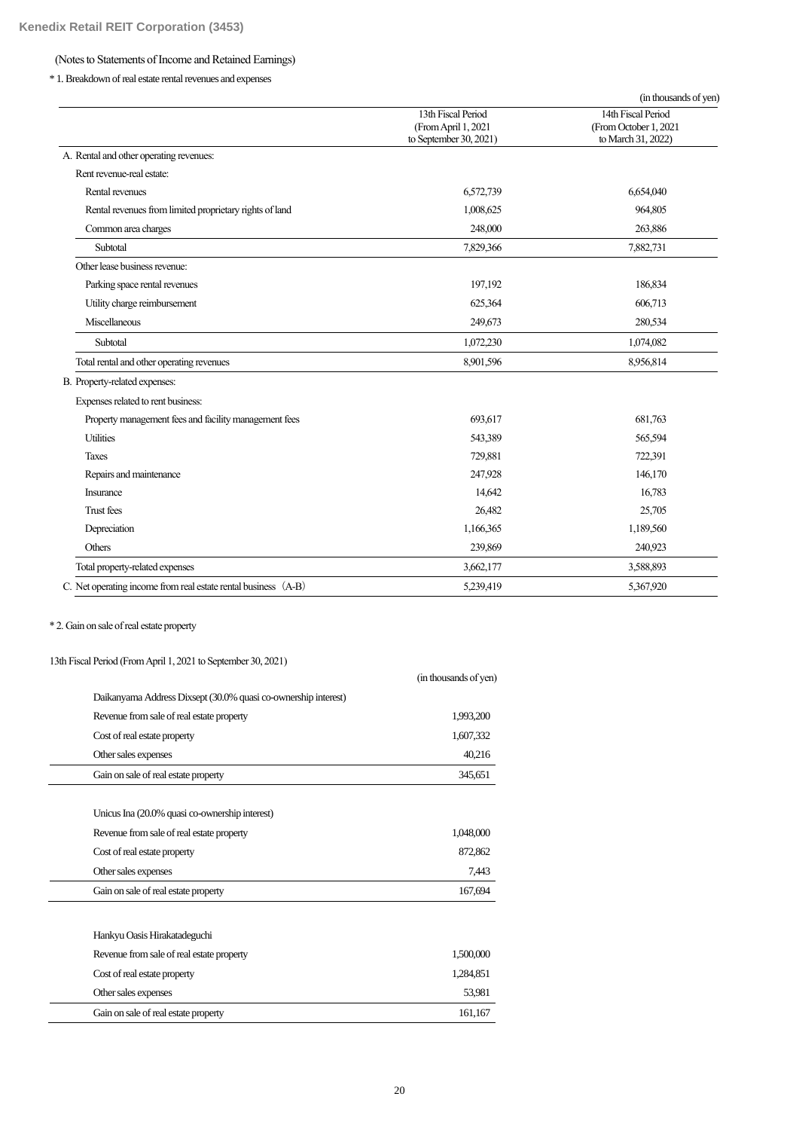# (Notes to Statements of Income and Retained Earnings)

\* 1. Breakdown of real estate rental revenues and expenses

|                                                                |                                                                     | (in thousands of yen)                                             |
|----------------------------------------------------------------|---------------------------------------------------------------------|-------------------------------------------------------------------|
|                                                                | 13th Fiscal Period<br>(From April 1, 2021<br>to September 30, 2021) | 14th Fiscal Period<br>(From October 1, 2021<br>to March 31, 2022) |
| A. Rental and other operating revenues:                        |                                                                     |                                                                   |
| Rent revenue-real estate:                                      |                                                                     |                                                                   |
| Rental revenues                                                | 6,572,739                                                           | 6,654,040                                                         |
| Rental revenues from limited proprietary rights of land        | 1,008,625                                                           | 964,805                                                           |
| Common area charges                                            | 248,000                                                             | 263,886                                                           |
| Subtotal                                                       | 7,829,366                                                           | 7,882,731                                                         |
| Other lease business revenue:                                  |                                                                     |                                                                   |
| Parking space rental revenues                                  | 197,192                                                             | 186,834                                                           |
| Utility charge reimbursement                                   | 625,364                                                             | 606,713                                                           |
| Miscellaneous                                                  | 249,673                                                             | 280,534                                                           |
| Subtotal                                                       | 1,072,230                                                           | 1,074,082                                                         |
| Total rental and other operating revenues                      | 8,901,596                                                           | 8,956,814                                                         |
| B. Property-related expenses:                                  |                                                                     |                                                                   |
| Expenses related to rent business:                             |                                                                     |                                                                   |
| Property management fees and facility management fees          | 693,617                                                             | 681,763                                                           |
| <b>Utilities</b>                                               | 543,389                                                             | 565,594                                                           |
| <b>Taxes</b>                                                   | 729,881                                                             | 722,391                                                           |
| Repairs and maintenance                                        | 247,928                                                             | 146,170                                                           |
| Insurance                                                      | 14,642                                                              | 16,783                                                            |
| <b>Trust fees</b>                                              | 26,482                                                              | 25,705                                                            |
| Depreciation                                                   | 1,166,365                                                           | 1,189,560                                                         |
| Others                                                         | 239,869                                                             | 240,923                                                           |
| Total property-related expenses                                | 3,662,177                                                           | 3,588,893                                                         |
| C. Net operating income from real estate rental business (A-B) | 5,239,419                                                           | 5,367,920                                                         |

\* 2. Gain on sale of real estate property

13th Fiscal Period (From April 1, 2021 to September 30, 2021)

|                                                                | (in thousands of yen) |
|----------------------------------------------------------------|-----------------------|
| Daikanyama Address Dixsept (30.0% quasi co-ownership interest) |                       |
| Revenue from sale of real estate property                      | 1,993,200             |
| Cost of real estate property                                   | 1,607,332             |
| Other sales expenses                                           | 40,216                |
| Gain on sale of real estate property                           | 345,651               |
| Unicus Ina (20.0% quasi co-ownership interest)                 |                       |
| Revenue from sale of real estate property                      | 1,048,000             |
| Cost of real estate property                                   | 872,862               |
| Other sales expenses                                           | 7,443                 |
| Gain on sale of real estate property                           | 167,694               |
| Hankyu Oasis Hirakatadeguchi                                   |                       |
| Revenue from sale of real estate property                      | 1,500,000             |
| Cost of real estate property                                   | 1,284,851             |
| Other sales expenses                                           | 53,981                |
| Gain on sale of real estate property                           | 161,167               |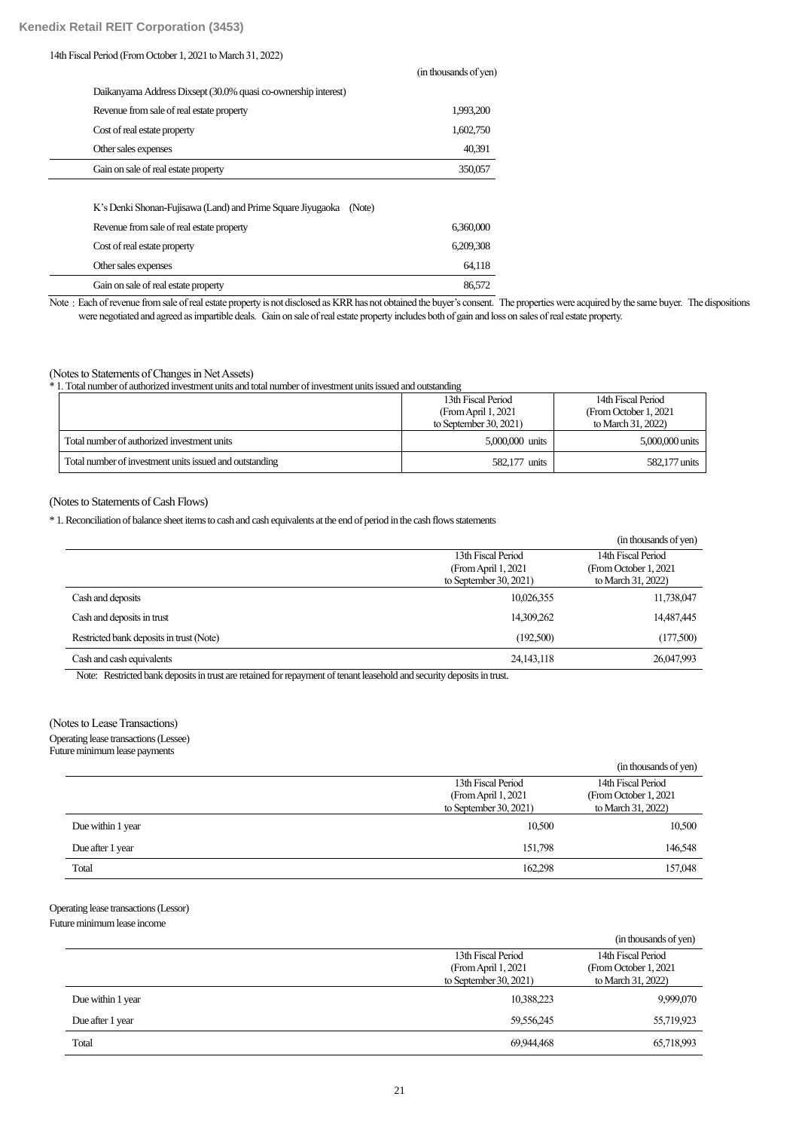### 14th Fiscal Period (FromOctober 1, 2021 to March 31, 2022)

|                                                                       | THE REDUCTION OF YOUR |
|-----------------------------------------------------------------------|-----------------------|
| Daikanyama Address Dixsept (30.0% quasi co-ownership interest)        |                       |
| Revenue from sale of real estate property                             | 1,993,200             |
| Cost of real estate property                                          | 1,602,750             |
| Other sales expenses                                                  | 40,391                |
| Gain on sale of real estate property                                  | 350,057               |
|                                                                       |                       |
| K's Denki Shonan-Fujisawa (Land) and Prime Square Jiyugaoka<br>(Note) |                       |
| Revenue from sale of real estate property                             | 6,360,000             |
| Cost of real estate property                                          | 6.209.308             |
| Other sales expenses                                                  | 64,118                |
| Gain on sale of real estate property                                  | 86.572                |

Note: Each of revenue from sale of real estate property is not disclosed as KRR has not obtained the buyer's consent. The properties were acquired by the same buyer. The dispositions were negotiated and agreed as impartible deals. Gain on sale of real estate property includes both of gain and loss on sales of real estate property.

(in thousands of yen)

# (Notes to Statements of Changes in Net Assets)

\* 1. Total number of authorized investment units and total number of investment units issued and outstanding

|                                                         | 13th Fiscal Period      | 14th Fiscal Period     |
|---------------------------------------------------------|-------------------------|------------------------|
|                                                         | (From April 1, 2021)    | (From October 1, 2021) |
|                                                         | to September $30, 2021$ | to March 31, 2022)     |
| Total number of authorized investment units             | 5,000,000 units         | 5,000,000 units        |
| Total number of investment units issued and outstanding | 582,177 units           | 582,177 units          |

### (Notes to Statements of Cash Flows)

\* 1. Reconciliation of balance sheet items to cash and cash equivalents at the end of period in the cash flows statements

|                                          |                           | (in thousands of yen)  |
|------------------------------------------|---------------------------|------------------------|
|                                          | 13th Fiscal Period        | 14th Fiscal Period     |
|                                          | (From April 1, 2021)      | (From October 1, 2021) |
|                                          | to September $30, 2021$ ) | to March 31, 2022)     |
| Cash and deposits                        | 10,026,355                | 11,738,047             |
| Cash and deposits in trust               | 14,309,262                | 14,487,445             |
| Restricted bank deposits in trust (Note) | (192,500)                 | (177,500)              |
| Cash and cash equivalents                | 24, 143, 118              | 26,047,993             |
|                                          |                           |                        |

Note: Restricted bank deposits in trust are retained for repayment of tenant leasehold and security deposits in trust.

# (Notes to Lease Transactions)

Operating lease transactions (Lessee)

Future minimum lease payments

|                   |                           | (in thousands of yen)  |
|-------------------|---------------------------|------------------------|
|                   | 13th Fiscal Period        | 14th Fiscal Period     |
|                   | (From April 1, 2021)      | (From October 1, 2021) |
|                   | to September $30, 2021$ ) | to March 31, 2022)     |
| Due within 1 year | 10,500                    | 10,500                 |
| Due after 1 year  | 151.798                   | 146,548                |
| Total             | 162,298                   | 157,048                |

# Operating lease transactions (Lessor)

Future minimum lease income

|                   |                                                                         | (in thousands of yen)                                              |
|-------------------|-------------------------------------------------------------------------|--------------------------------------------------------------------|
|                   | 13th Fiscal Period<br>(From April 1, 2021)<br>to September $30, 2021$ ) | 14th Fiscal Period<br>(From October 1, 2021)<br>to March 31, 2022) |
| Due within 1 year | 10,388,223                                                              | 9,999,070                                                          |
| Due after 1 year  | 59,556,245                                                              | 55,719,923                                                         |
| Total             | 69,944,468                                                              | 65,718,993                                                         |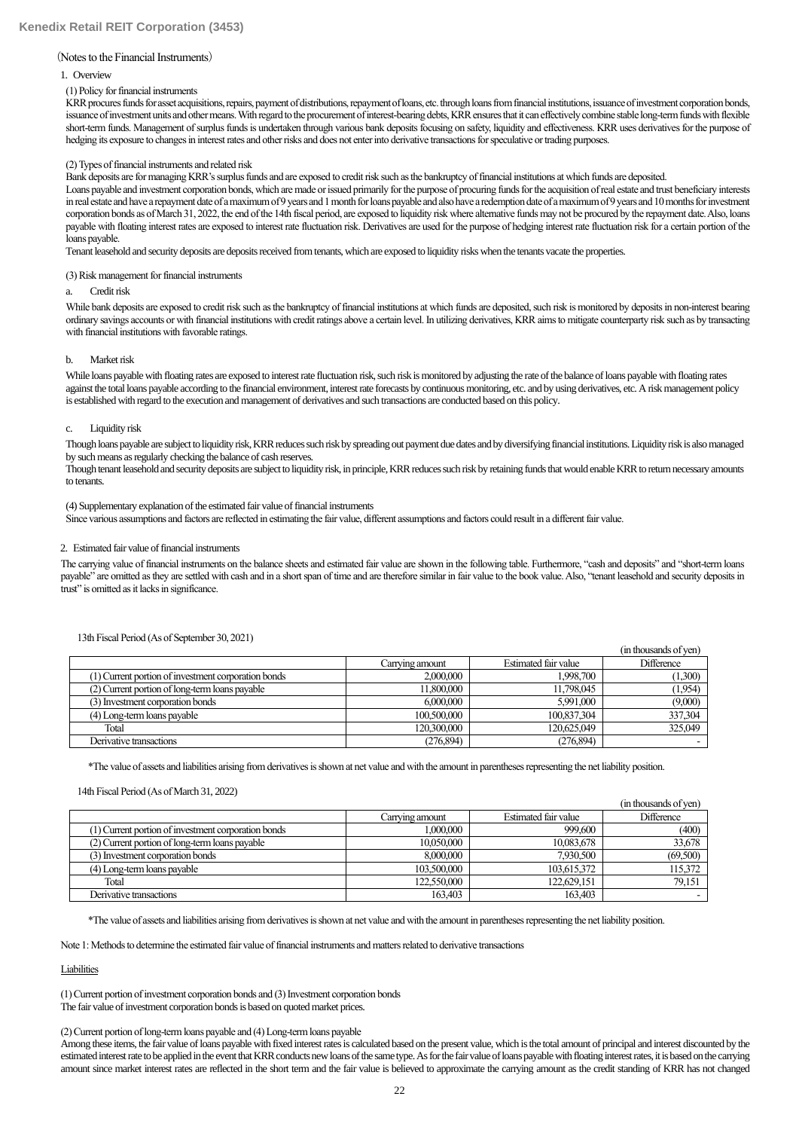#### (Notes to the Financial Instruments)

#### 1. Overview

#### (1) Policy for financial instruments

KRR procures funds for asset acquisitions, repairs, payment of distributions, repayment of loans, etc. through loans from financial institutions, issuance of investment corporation bonds, issuance of investment units and other means. With regard tothe procurement of interest-bearing debts, KRR ensures that it can effectively combine stable long-term funds with flexible short-term funds. Management of surplus funds is undertaken through various bank deposits focusing on safety, liquidity and effectiveness. KRR uses derivatives for the purpose of hedging its exposure to changes in interest rates and other risks and does not enter into derivative transactions for speculative or trading purposes.

#### (2) Types of financial instruments and related risk

Bank deposits are for managing KRR's surplus funds and are exposed to credit risk such as the bankruptcy of financial institutions at which funds are deposited.

Loans payable and investment corporation bonds, which are made or issued primarily for the purpose of procuring funds for the acquisition of real estate and trust beneficiary interests in real estate and have a repayment date of a maximum of 9 years and 1 month for loans payable and also have a redemption date of a maximum of 9 years and 10 months for investment corporation bonds as of March 31, 2022, the end of the 14th fiscal period, are exposed to liquidity risk where alternative funds may not be procured by the repayment date. Also, loans payable with floating interest rates are exposed to interest rate fluctuation risk. Derivatives are used for the purpose of hedging interest rate fluctuation risk for a certain portion of the loans payable.

Tenant leasehold and security deposits are deposits received from tenants, which are exposed to liquidity risks when the tenants vacate the properties.

#### (3) Risk management for financial instruments

#### a. Credit risk

While bank deposits are exposed to credit risk such as the bankruptcy of financial institutions at which funds are deposited, such risk is monitored by deposits in non-interest bearing ordinary savings accounts or with financial institutions with credit ratings above a certain level.In utilizing derivatives, KRR aims to mitigate counterparty risk such as by transacting with financial institutions with favorable ratings.

#### b. Market risk

While loans payable with floating rates are exposed to interest rate fluctuation risk, such risk is monitored by adjusting the rate of the balance of loans payable with floating rates against the total loans payable according to the financial environment, interest rate forecasts by continuous monitoring, etc. and by using derivatives, etc. A risk management policy is established with regard to the execution and management of derivatives and such transactions are conducted based on this policy.

#### c. Liquidity risk

Though loans payable are subject to liquidity risk, KRR reduces such risk by spreading out payment due dates and by diversifying financial institutions. Liquidity risk is also managed by such means as regularly checking the balance of cash reserves.

Though tenant leasehold and security deposits are subject to liquidity risk, in principle, KRR reduces such risk by retaining funds that would enable KRR to return necessary amounts to tenants.

#### (4) Supplementary explanation of the estimated fair value of financial instruments

Since various assumptions and factors are reflected in estimating the fair value, different assumptions and factors could result in a different fair value.

#### 2. Estimated fair value of financial instruments

The carrying value of financial instruments on the balance sheets and estimated fair value are shown in the following table. Furthermore, "cash and deposits" and "short-term loans payable" are omitted as they are settled with cash and in a short span of time and are therefore similar in fair value to the book value. Also, "tenant leasehold and security deposits in trust" is omitted as it lacks in significance.

|                                                     |                 |                      | (in thousands of ven) |
|-----------------------------------------------------|-----------------|----------------------|-----------------------|
|                                                     | Carrying amount | Estimated fair value | <b>Difference</b>     |
| (1) Current portion of investment corporation bonds | 2,000,000       | 1.998.700            | (1,300)               |
| (2) Current portion of long-term loans payable      | 11,800,000      | 11,798,045           | (1,954)               |
| (3) Investment corporation bonds                    | 6,000,000       | 5,991,000            | (9,000)               |
| (4) Long-term loans payable                         | 100,500,000     | 100,837,304          | 337,304               |
| Total                                               | 120,300,000     | 120,625,049          | 325,049               |
| Derivative transactions                             | (276, 894)      | (276, 894)           |                       |

### 13th Fiscal Period (As of September 30, 2021)

\*The value of assets and liabilities arising from derivatives is shown at net value and with the amount in parentheses representing the net liability position.

#### 14th Fiscal Period (As of March 31, 2022)

|                                                     |                 |                      | (in thousands of ven) |
|-----------------------------------------------------|-----------------|----------------------|-----------------------|
|                                                     | Carrying amount | Estimated fair value | <b>Difference</b>     |
| (1) Current portion of investment corporation bonds | 1,000,000       | 999,600              | (400)                 |
| (2) Current portion of long-term loans payable      | 10,050,000      | 10,083,678           | 33,678                |
| (3) Investment corporation bonds                    | 8,000,000       | 7.930.500            | (69,500)              |
| (4) Long-term loans payable                         | 103,500,000     | 103,615,372          | 115,372               |
| Total                                               | 122,550,000     | 122,629,151          | 79,151                |
| Derivative transactions                             | 163,403         | 163.403              |                       |

\*The value of assets and liabilities arising from derivatives is shown at net value and with the amount in parentheses representing the net liability position.

Note 1: Methods to determine the estimated fair value of financial instruments and matters related to derivative transactions

### Liabilities

(1)Current portion of investment corporation bonds and (3)Investment corporation bonds The fair value of investment corporation bonds is based on quoted market prices.

#### (2)Current portion of long-term loans payable and (4) Long-term loans payable

Among these items, the fair value of loans payable with fixed interest rates is calculated based on the present value, which is the total amount of principal and interest discounted by the estimated interest rate to be applied in the event that KRR conducts new loans of the same type. As for the fair value of loans payable with floating interest rates, it is based on the carrying amount since market interest rates are reflected in the short term and the fair value is believed to approximate the carrying amount as the credit standing of KRR has not changed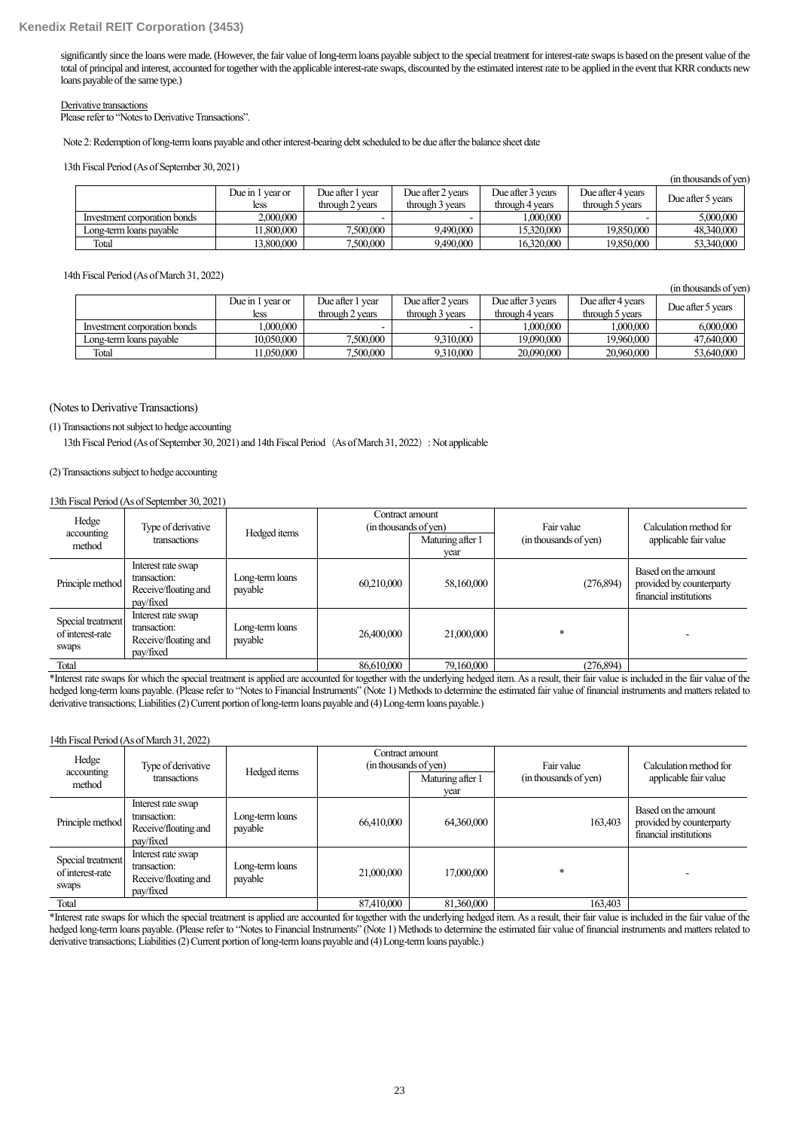significantly since the loans were made. (However, the fair value of long-term loans payable subject to the special treatment for interest-rate swaps is based on the present value of the total of principal and interest, accounted for together with the applicable interest-rate swaps, discounted by the estimated interest rate to be applied in the event that KRR conducts new loans payable of the same type.)

#### Derivative transactions

Please refer to "Notes to Derivative Transactions".

Note 2: Redemption of long-term loans payable and other interest-bearing debt scheduled to be due after the balance sheet date

13th Fiscal Period (As of September 30, 2021)

|                              |                  |                  |                   |                   |                   | (in thousands of ven) |
|------------------------------|------------------|------------------|-------------------|-------------------|-------------------|-----------------------|
|                              | Due in 1 year or | Due after 1 year | Due after 2 years | Due after 3 years | Due after 4 vears |                       |
|                              | less             | through 2 years  | through 3 years   | through 4 years   | through 5 years   | Due after 5 years     |
| Investment corporation bonds | 2,000,000        |                  |                   | 1,000,000         |                   | 5,000,000             |
| Long-term loans payable      | 11.800.000       | 7,500,000        | 9,490,000         | 15,320,000        | 19,850,000        | 48,340,000            |
| Total                        | 13,800,000       | 7,500,000        | 9,490,000         | 16,320,000        | 19,850,000        | 53,340,000            |

14th Fiscal Period (As ofMarch 31, 2022)

|                              |                  |                  |                   |                   |                   | (in thousands of ven) |
|------------------------------|------------------|------------------|-------------------|-------------------|-------------------|-----------------------|
|                              | Due in 1 year or | Due after 1 year | Due after 2 vears | Due after 3 vears | Due after 4 years | Due after 5 years     |
|                              | less             | through 2 years  | through 3 years   | through 4 years   | through 5 years   |                       |
| Investment corporation bonds | .000.000         | -                |                   | 000.000.1         | .000.000          | 6,000,000             |
| Long-term loans payable      | 10.050.000       | 7,500,000        | 9.310.000         | 19,090,000        | 19,960,000        | 47,640,000            |
| Total                        | 11.050.000       | 7,500,000        | 9.310.000         | 20,090,000        | 20,960,000        | 53,640,000            |

#### (Notes to Derivative Transactions)

(1) Transactions not subject to hedge accounting

13th Fiscal Period (As of September 30, 2021) and 14th Fiscal Period (As of March 31, 2022): Not applicable

#### (2) Transactions subject to hedge accounting

#### 13th Fiscal Period (As of September 30, 2021)

| Hedge<br>accounting<br>method                  | Type of derivative<br>transactions                                      | Hedged items               | Contract amount<br>(in thousands of yen) | Maturing after 1<br>year | Fair value<br>(in thousands of yen) | Calculation method for<br>applicable fair value                           |
|------------------------------------------------|-------------------------------------------------------------------------|----------------------------|------------------------------------------|--------------------------|-------------------------------------|---------------------------------------------------------------------------|
| Principle method                               | Interest rate swap<br>transaction:<br>Receive/floating and<br>pay/fixed | Long-term loans<br>payable | 60,210,000                               | 58,160,000               | (276, 894)                          | Based on the amount<br>provided by counterparty<br>financial institutions |
| Special treatment<br>of interest-rate<br>swaps | Interest rate swap<br>transaction:<br>Receive/floating and<br>pay/fixed | Long-term loans<br>payable | 26,400,000                               | 21,000,000               | $\ast$                              |                                                                           |
| Total                                          |                                                                         |                            | 86,610,000                               | 79,160,000               | (276, 894)                          |                                                                           |

\*Interest rate swaps for which the special treatment is applied are accounted for together with the underlying hedged item. As a result, their fair value is included in the fair value of the hedged long-term loans payable. (Please refer to "Notes to Financial Instruments" (Note 1) Methods to determine the estimated fair value of financial instruments and matters related to derivative transactions; Liabilities (2) Current portion of long-term loans payable and (4) Long-term loans payable.)

#### 14th Fiscal Period (As of March 31, 2022)

| Hedge<br>accounting<br>method                  | Type of derivative<br>transactions                                      | Hedged items               | Contract amount<br>(in thousands of yen) | Maturing after 1<br>year | Fair value<br>(in thousands of yen) | Calculation method for<br>applicable fair value                           |
|------------------------------------------------|-------------------------------------------------------------------------|----------------------------|------------------------------------------|--------------------------|-------------------------------------|---------------------------------------------------------------------------|
| Principle method                               | Interest rate swap<br>transaction:<br>Receive/floating and<br>pay/fixed | Long-term loans<br>payable | 66,410,000                               | 64,360,000               | 163,403                             | Based on the amount<br>provided by counterparty<br>financial institutions |
| Special treatment<br>of interest-rate<br>swaps | Interest rate swap<br>transaction:<br>Receive/floating and<br>pay/fixed | Long-term loans<br>payable | 21,000,000                               | 17,000,000               | $\ast$                              |                                                                           |
| Total                                          |                                                                         |                            | 87,410,000                               | 81,360,000               | 163,403                             |                                                                           |

\*Interest rate swaps for which the special treatment is applied are accounted for together with the underlying hedged item. As a result, their fair value is included in the fair value of the hedged long-term loans payable. (Please refer to "Notes to Financial Instruments" (Note 1) Methods to determine the estimated fair value of financial instruments and matters related to derivative transactions; Liabilities (2) Current portion of long-term loans payable and (4) Long-term loans payable.)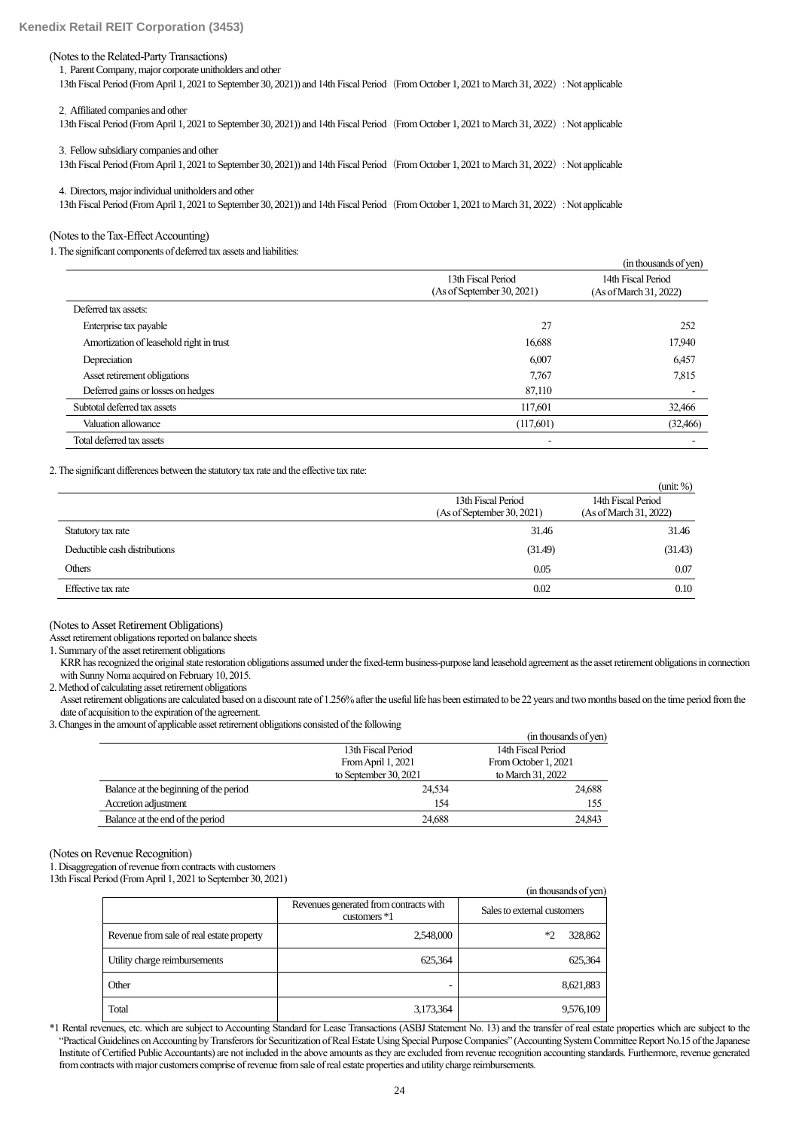#### (Notes to the Related-Party Transactions)

1.Parent Company, major corporate unitholders and other

13th Fiscal Period (From April 1, 2021 to September 30, 2021)) and 14th Fiscal Period(From October 1, 2021 to March 31, 2022): Not applicable

2.Affiliated companies and other

13th Fiscal Period (From April 1, 2021 to September 30, 2021)) and 14th Fiscal Period(From October 1, 2021 to March 31, 2022): Not applicable

3.Fellow subsidiary companies and other

13th Fiscal Period (From April 1, 2021 to September 30, 2021)) and 14th Fiscal Period(From October 1, 2021 to March 31, 2022): Not applicable

4.Directors, major individual unitholders and other

13th Fiscal Period (From April 1, 2021 to September 30, 2021)) and 14th Fiscal Period (From October 1, 2021 to March 31, 2022): Not applicable

(Notes to the Tax-Effect Accounting)

1. The significant components of deferred tax assets and liabilities:

|                                          |                                                  | (in thousands of yen)                        |
|------------------------------------------|--------------------------------------------------|----------------------------------------------|
|                                          | 13th Fiscal Period<br>(As of September 30, 2021) | 14th Fiscal Period<br>(As of March 31, 2022) |
| Deferred tax assets:                     |                                                  |                                              |
| Enterprise tax payable                   | 27                                               | 252                                          |
| Amortization of leasehold right in trust | 16,688                                           | 17,940                                       |
| Depreciation                             | 6,007                                            | 6,457                                        |
| Asset retirement obligations             | 7.767                                            | 7,815                                        |
| Deferred gains or losses on hedges       | 87,110                                           |                                              |
| Subtotal deferred tax assets             | 117,601                                          | 32,466                                       |
| Valuation allowance                      | (117,601)                                        | (32, 466)                                    |
| Total deferred tax assets                |                                                  |                                              |

2. The significant differences between the statutory tax rate and the effective tax rate:

|                               |                                                  | (mit: %)                                     |
|-------------------------------|--------------------------------------------------|----------------------------------------------|
|                               | 13th Fiscal Period<br>(As of September 30, 2021) | 14th Fiscal Period<br>(As of March 31, 2022) |
| Statutory tax rate            | 31.46                                            | 31.46                                        |
| Deductible cash distributions | (31.49)                                          | (31.43)                                      |
| Others                        | 0.05                                             | 0.07                                         |
| Effective tax rate            | 0.02                                             | 0.10                                         |

(Notes to Asset Retirement Obligations)

Asset retirement obligations reported on balance sheets

1. Summary of the asset retirement obligations

KRR has recognized the original state restoration obligations assumed under the fixed-term business-purpose land leasehold agreement as the asset retirement obligations in connection with Sunny Noma acquired on February 10, 2015.

2. Method of calculating asset retirement obligations

Asset retirement obligations are calculated based on a discount rate of 1.256% after the useful life has been estimated to be 22 years and two months based on the time period fromthe date of acquisition to the expiration of the agreement.

3.Changes in the amount of applicable asset retirement obligations consisted of the following

|                                        |                       | (in thousands of yen) |
|----------------------------------------|-----------------------|-----------------------|
|                                        | 13th Fiscal Period    | 14th Fiscal Period    |
|                                        | From April 1, 2021    | From October 1, 2021  |
|                                        | to September 30, 2021 | to March 31, 2022     |
| Balance at the beginning of the period | 24,534                | 24,688                |
| Accretion adjustment                   | 154                   | 155                   |
| Balance at the end of the period       | 24.688                | 24,843                |

(Notes on Revenue Recognition)

1. Disaggregation of revenue from contracts with customers

13th Fiscal Period (From April 1, 2021 to September 30, 2021)

|                                           |                                                          | un inquisanus of vent       |
|-------------------------------------------|----------------------------------------------------------|-----------------------------|
|                                           | Revenues generated from contracts with<br>customers $*1$ | Sales to external customers |
| Revenue from sale of real estate property | 2,548,000                                                | 328,862<br>$*2$             |
| Utility charge reimbursements             | 625,364                                                  | 625,364                     |
| Other                                     |                                                          | 8,621,883                   |
| Total                                     | 3,173,364                                                | 9,576,109                   |

\*1 Rental revenues, etc. which are subject to Accounting Standard for Lease Transactions (ASBJ Statement No. 13) and the transfer of real estate properties which are subject to the "Practical Guidelines on Accounting by Transferors for Securitization of Real Estate Using Special Purpose Companies" (Accounting System Committee Report No.15 of the Japanese Institute of Certified Public Accountants) are not included in the above amounts as they are excluded from revenue recognition accounting standards. Furthermore, revenue generated from contracts with major customers comprise of revenue from sale of real estate properties and utility charge reimbursements.

 $\mathcal{C}$  and  $\mathcal{C}$   $\rightarrow$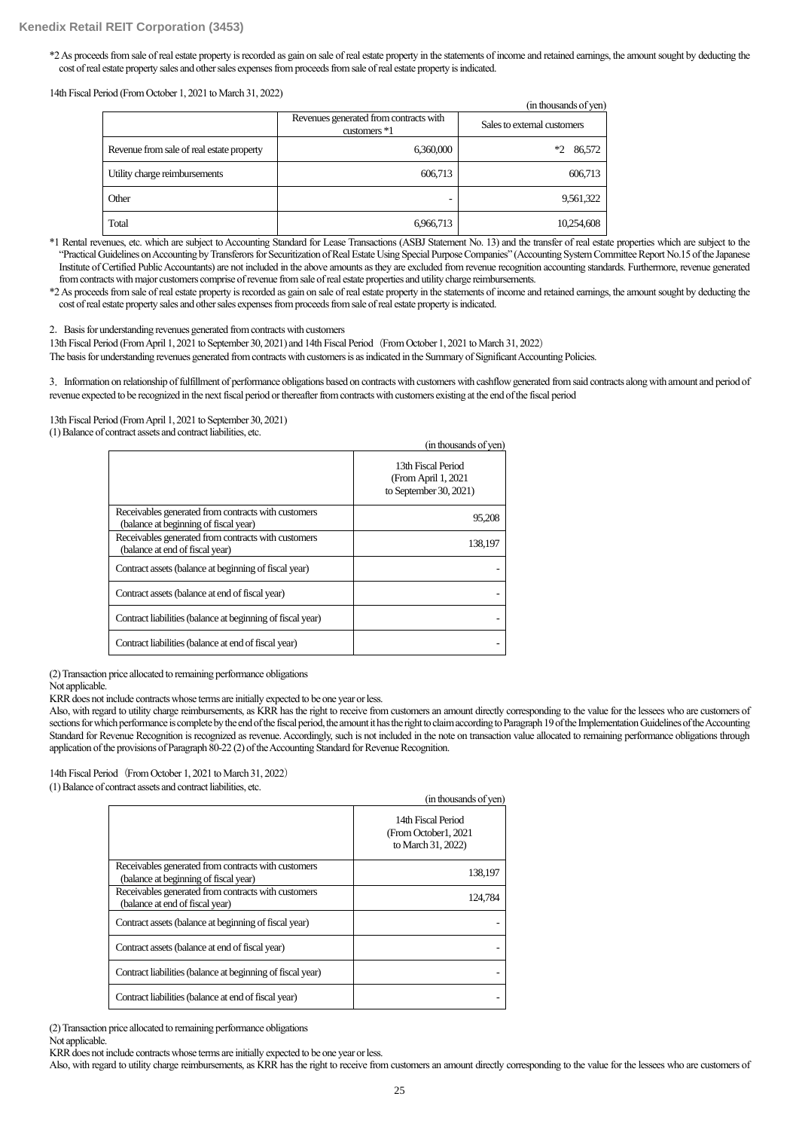### **Kenedix Retail REIT Corporation (3453)**

\*2As proceedsfrom sale of real estate property is recorded as gain on sale of real estate property in the statements of income and retained earnings, the amount sought by deducting the cost of real estate property sales and other sales expenses from proceeds from sale of real estate property is indicated.

14th Fiscal Period (From October 1, 2021 to March 31, 2022)

|                                           |                                                          | (in thousands of yen)       |
|-------------------------------------------|----------------------------------------------------------|-----------------------------|
|                                           | Revenues generated from contracts with<br>customers $*1$ | Sales to external customers |
| Revenue from sale of real estate property | 6,360,000                                                | 86,572<br>$*2$              |
| Utility charge reimbursements             | 606,713                                                  | 606,713                     |
| Other                                     | -                                                        | 9,561,322                   |
| Total                                     | 6,966,713                                                | 10,254,608                  |

\*1 Rental revenues, etc. which are subject to Accounting Standard for Lease Transactions (ASBJ Statement No. 13) and the transfer of real estate properties which are subject to the "Practical Guidelines on Accounting by Transferors for Securitization of Real Estate Using Special Purpose Companies" (Accounting System Committee Report No.15 of the Japanese Institute of Certified Public Accountants) are not included in the above amounts as they are excluded from revenue recognition accounting standards. Furthermore, revenue generated from contracts with major customers comprise of revenue from sale of real estate properties and utility charge reimbursements.

\*2As proceeds from sale of real estate property is recorded as gain on sale of real estate property in the statements of income and retained earnings, the amount sought by deducting the cost of real estate property sales and other sales expenses from proceeds from sale of real estate property is indicated.

2.Basis for understanding revenues generated from contracts with customers

13th Fiscal Period (From April 1, 2021 to September 30, 2021) and 14th Fiscal Period (From October 1, 2021 to March 31, 2022)

The basis for understanding revenues generated from contracts with customers is as indicated in the Summary of Significant Accounting Policies.

3.Information on relationship of fulfillment of performance obligations based on contracts with customers with cashflow generated from said contracts along with amount and period of revenue expected to be recognized in the next fiscal period or thereafter from contracts with customers existing at the end of the fiscal period

13th Fiscal Period (From April 1, 2021 to September 30, 2021)

(1) Balance of contract assets and contract liabilities, etc.

|                                                                                              | (in thousands of yen)                                                |
|----------------------------------------------------------------------------------------------|----------------------------------------------------------------------|
|                                                                                              | 13th Fiscal Period<br>(From April 1, 2021)<br>to September 30, 2021) |
| Receivables generated from contracts with customers<br>(balance at beginning of fiscal year) | 95,208                                                               |
| Receivables generated from contracts with customers<br>(balance at end of fiscal year)       | 138,197                                                              |
| Contract assets (balance at beginning of fiscal year)                                        |                                                                      |
| Contract assets (balance at end of fiscal year)                                              |                                                                      |
| Contract liabilities (balance at beginning of fiscal year)                                   |                                                                      |
| Contract liabilities (balance at end of fiscal year)                                         |                                                                      |

(2) Transaction price allocated to remaining performance obligations

Not applicable.

KRR does not include contracts whose terms are initially expected to be one year or less.

Also, with regard to utility charge reimbursements, as KRR has the right to receive from customers an amount directly corresponding to the value for the lessees who are customers of sections for which performance is complete by the end of the fiscal period, the amount it has the right to claim according to Paragraph 19 of the Implementation Guidelines of the Accounting Standard for Revenue Recognition is recognized as revenue.Accordingly, such is not included in the note on transaction value allocated to remaining performance obligations through application of the provisions of Paragraph 80-22 (2) of the Accounting Standard for Revenue Recognition.

14th Fiscal Period (From October 1, 2021 to March 31, 2022)

(1) Balance of contract assets and contract liabilities, etc.

|                                                                                              | (in thousands of yen)                                             |
|----------------------------------------------------------------------------------------------|-------------------------------------------------------------------|
|                                                                                              | 14th Fiscal Period<br>(From October1, 2021)<br>to March 31, 2022) |
| Receivables generated from contracts with customers<br>(balance at beginning of fiscal year) | 138.197                                                           |
| Receivables generated from contracts with customers<br>(balance at end of fiscal year)       | 124,784                                                           |
| Contract assets (balance at beginning of fiscal year)                                        |                                                                   |
| Contract assets (balance at end of fiscal year)                                              |                                                                   |
| Contract liabilities (balance at beginning of fiscal year)                                   |                                                                   |
| Contract liabilities (balance at end of fiscal year)                                         |                                                                   |

(2) Transaction price allocated to remaining performance obligations Not applicable.

KRR does not include contracts whose terms are initially expected to be one year or less.

Also, with regard to utility charge reimbursements, as KRR has the right to receive from customers an amount directly corresponding to the value for the lessees who are customers of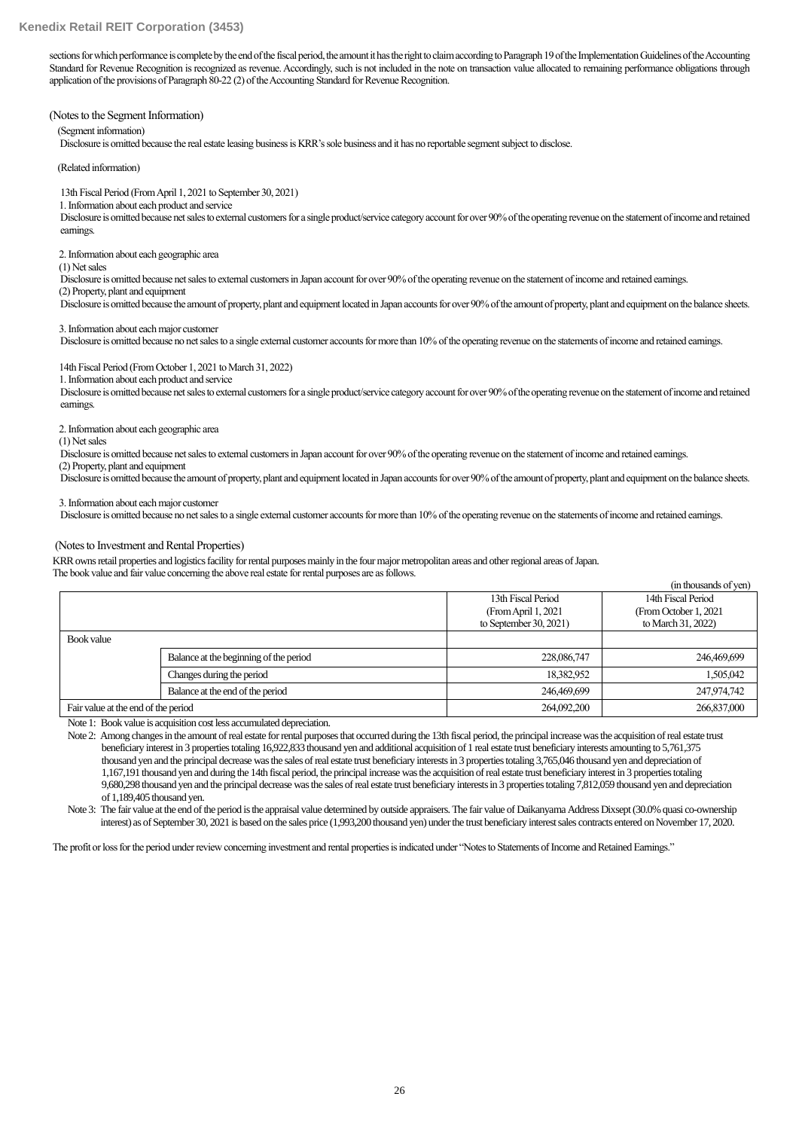sections for which performance is complete by the end of the fiscal period, the amount it has the right to claim according to Paragraph 19 of the Implementation Guidelines of the Accounting Standard for Revenue Recognition is recognized as revenue. Accordingly, such is not included in the note on transaction value allocated to remaining performance obligations through application of the provisions of Paragraph 80-22 (2) of the Accounting Standard for Revenue Recognition.

(Notes to the Segment Information)

(Segment information)

Disclosure is omitted because the real estate leasing business is KRR's sole business and it has no reportable segment subject to disclose.

(Related information)

13th Fiscal Period (From April 1, 2021 to September 30, 2021)

1. Information about each product and service

Disclosure is omitted because net sales to external customers for a single product/service category account for over 90% of the operating revenue on the statement of income and retained earnings.

2. Information about each geographic area

(1) Net sales

Disclosure is omitted because net sales to external customers in Japan account for over 90% of the operating revenue on the statement of income and retained earnings.

(2) Property, plant and equipment

Disclosure is omitted because the amount of property, plant and equipment located in Japan accounts for over 90% of the amount of property, plant and equipment on the balance sheets.

3. Information about each major customer

Disclosure is omitted because no net sales to a single external customer accounts for more than 10% of the operating revenue on the statements of income and retained earnings.

14th Fiscal Period (From October 1, 2021 to March 31, 2022)

1. Information about each product and service

Disclosure is omitted because net sales to external customers for a single product/service category account for over 90% of the operating revenue on the statement of income and retained earnings.

2. Information about each geographic area

(1) Net sales

Disclosure is omitted because net sales to external customers in Japan account for over 90% of the operating revenue on the statement of income and retained earnings.

(2) Property, plant and equipment

Disclosure is omitted because the amount of property, plant and equipment located in Japan accounts for over 90% of the amount of property, plant and equipment on the balance sheets.

3. Information about each major customer

Disclosure is omitted because no net sales to a single external customer accounts for more than 10% of the operating revenue on the statements of income and retained earnings.

#### (Notes to Investment and Rental Properties)

KRR owns retail properties and logistics facility for rental purposes mainly in the four major metropolitan areas and other regional areas of Japan. The book value and fair value concerning the above real estate for rental purposes are as follows.

|                                     |                                        |                           | (in thousands of yen)  |
|-------------------------------------|----------------------------------------|---------------------------|------------------------|
|                                     |                                        | 13th Fiscal Period        | 14th Fiscal Period     |
|                                     |                                        | (From April 1, 2021)      | (From October 1, 2021) |
|                                     |                                        | to September $30, 2021$ ) | to March 31, 2022)     |
| Book value                          |                                        |                           |                        |
|                                     | Balance at the beginning of the period | 228,086,747               | 246,469,699            |
|                                     | Changes during the period              | 18,382,952                | 1,505,042              |
|                                     | Balance at the end of the period       | 246,469,699               | 247,974,742            |
| Fair value at the end of the period |                                        | 264,092,200               | 266,837,000            |

Note 1: Book value is acquisition cost less accumulated depreciation.

Note 2: Among changes in the amount of real estate for rental purposes that occurred during the 13th fiscal period, the principal increase was the acquisition of real estate trust beneficiary interest in 3 properties totaling 16,922,833 thousand yen and additional acquisition of 1 real estate trust beneficiary interests amounting to 5,761,375 thousand yen and the principal decrease was the sales of real estate trust beneficiary interests in 3 properties totaling 3,765,046 thousand yen and depreciation of 1,167,191 thousand yen and during the 14th fiscal period, the principal increase was the acquisition of real estate trust beneficiary interest in 3 propertiestotaling 9,680,298 thousand yen and the principal decrease was the sales of real estate trust beneficiary interests in 3 propertiestotaling 7,812,059 thousand yen and depreciation of 1,189,405 thousand yen.

Note 3: The fair value at the end of the period is the appraisal value determined by outside appraisers. The fair value of Daikanyama Address Dixsept (30.0% quasi co-ownership interest) as of September 30, 2021 is based on the sales price (1,993,200 thousand yen) under the trust beneficiary interest sales contracts entered on November 17, 2020.

The profit or loss for the period under review concerning investment and rental properties is indicated under "Notes to Statements of Income and Retained Earnings."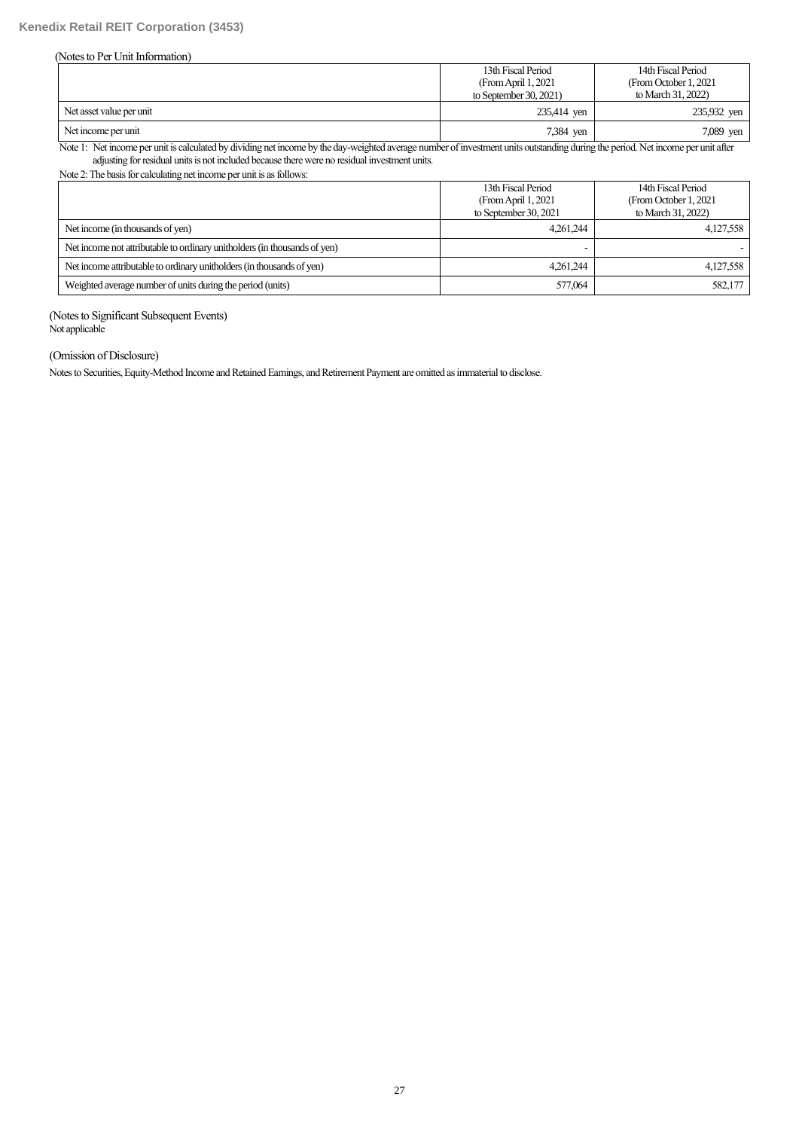### (Notes to Per Unit Information)

|                          | 13th Fiscal Period     | 14th Fiscal Period     |  |  |
|--------------------------|------------------------|------------------------|--|--|
|                          | (From April 1, 2021)   | (From October 1, 2021) |  |  |
|                          | to September 30, 2021) | to March 31, 2022)     |  |  |
| Net asset value per unit | 235,414 yen            | 235,932 yen            |  |  |
| Net income per unit      | 7,384 yen              | 7,089 yen              |  |  |

Note 1: Net income per unit is calculated by dividing net income by the day-weighted average number of investment units outstanding during the period. Net income per unit after adjusting for residual units is not included because there were no residual investment units.

Note 2:The basis for calculating net income per unit is as follows:

|                                                                           | 13th Fiscal Period<br>(From April 1, 2021)<br>to September 30, 2021 | 14th Fiscal Period<br>(From October 1, 2021)<br>to March 31, 2022) |
|---------------------------------------------------------------------------|---------------------------------------------------------------------|--------------------------------------------------------------------|
| Net income (in thousands of yen)                                          | 4.261.244                                                           | 4,127,558                                                          |
| Net income not attributable to ordinary unitholders (in thousands of yen) |                                                                     |                                                                    |
| Net income attributable to ordinary unitholders (in thousands of yen)     | 4.261.244                                                           | 4,127,558                                                          |
| Weighted average number of units during the period (units)                | 577,064                                                             | 582,177                                                            |

(Notes to Significant Subsequent Events) Not applicable

# (Omission of Disclosure)

Notes to Securities, Equity-Method Income and Retained Earnings, and Retirement Payment are omitted as immaterial to disclose.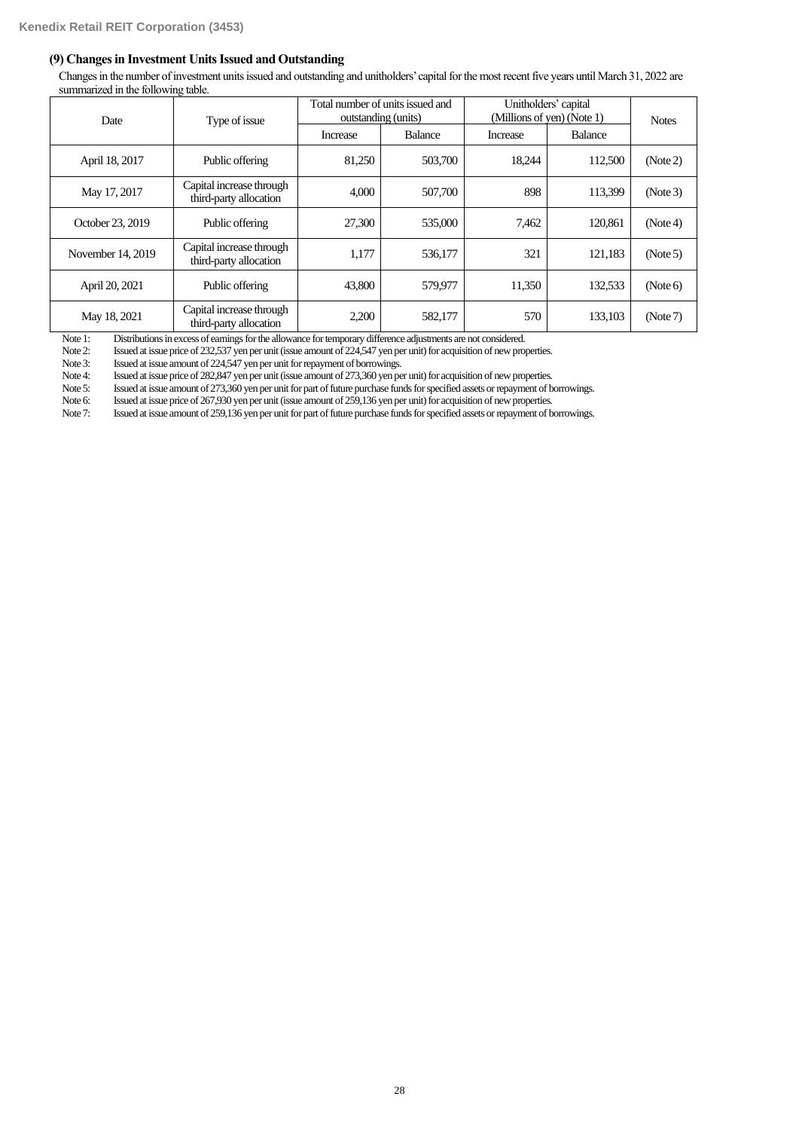### **(9) Changes in Investment Units Issued and Outstanding**

Changesin the number of investment units issued and outstanding and unitholders' capital for the most recent five years until March 31, 2022 are summarized in the following table.

| Date              | Type of issue                                      | Total number of units issued and<br>outstanding (units) |         | Unitholders' capital<br>(Millions of yen) (Note 1) | <b>Notes</b> |          |
|-------------------|----------------------------------------------------|---------------------------------------------------------|---------|----------------------------------------------------|--------------|----------|
|                   |                                                    | Balance<br>Increase                                     |         | Increase                                           |              |          |
| April 18, 2017    | Public offering                                    | 81,250                                                  | 503,700 | 18.244                                             | 112,500      | (Note 2) |
| May 17, 2017      | Capital increase through<br>third-party allocation | 4,000                                                   | 507,700 | 898                                                | 113.399      | (Note 3) |
| October 23, 2019  | Public offering                                    | 27,300                                                  | 535,000 | 7,462                                              | 120,861      | (Note4)  |
| November 14, 2019 | Capital increase through<br>third-party allocation | 1.177                                                   | 536,177 | 321                                                | 121.183      | (Note 5) |
| April 20, 2021    | Public offering                                    | 43,800                                                  | 579,977 | 11,350                                             | 132,533      | (Note 6) |
| May 18, 2021      | Capital increase through<br>third-party allocation | 2,200                                                   | 582,177 | 570                                                | 133,103      | (Note 7) |

Note 1: Distributions in excess of earnings for the allowance for temporary difference adjustments are not considered.<br>Note 2: Issued at issue price of 232,537 yen per unit (issue amount of 224,547 yen per unit) for acquis

Issued at issue price of 232,537 yen per unit (issue amount of 224,547 yen per unit) for acquisition of new properties.

Note 3: Issued at issue amount of 224,547 yen per unit for repayment of borrowings.<br>Note 4: Issued at issue price of 282,847 yen per unit (issue amount of 273,360 yen pe

Note 4: Issued at issue price of 282,847 yen per unit (issue amount of 273,360 yen per unit) for acquisition of new properties.<br>Note 5: Issued at issue amount of 273,360 yen per unit for part of future purchase funds for s

Note 5: Issued at issue amount of 273,360 yen per unit for part of future purchase funds for specified assets or repayment of borrowings.<br>Note 6: Issued at issue price of 267,930 yen per unit (issue amount of 259,136 yen p

Issued at issue price of 267,930 yen per unit (issue amount of 259,136 yen per unit) for acquisition of new properties.

Note 7: Issued at issue amount of 259,136 yen per unit for part of future purchase funds for specified assets or repayment of borrowings.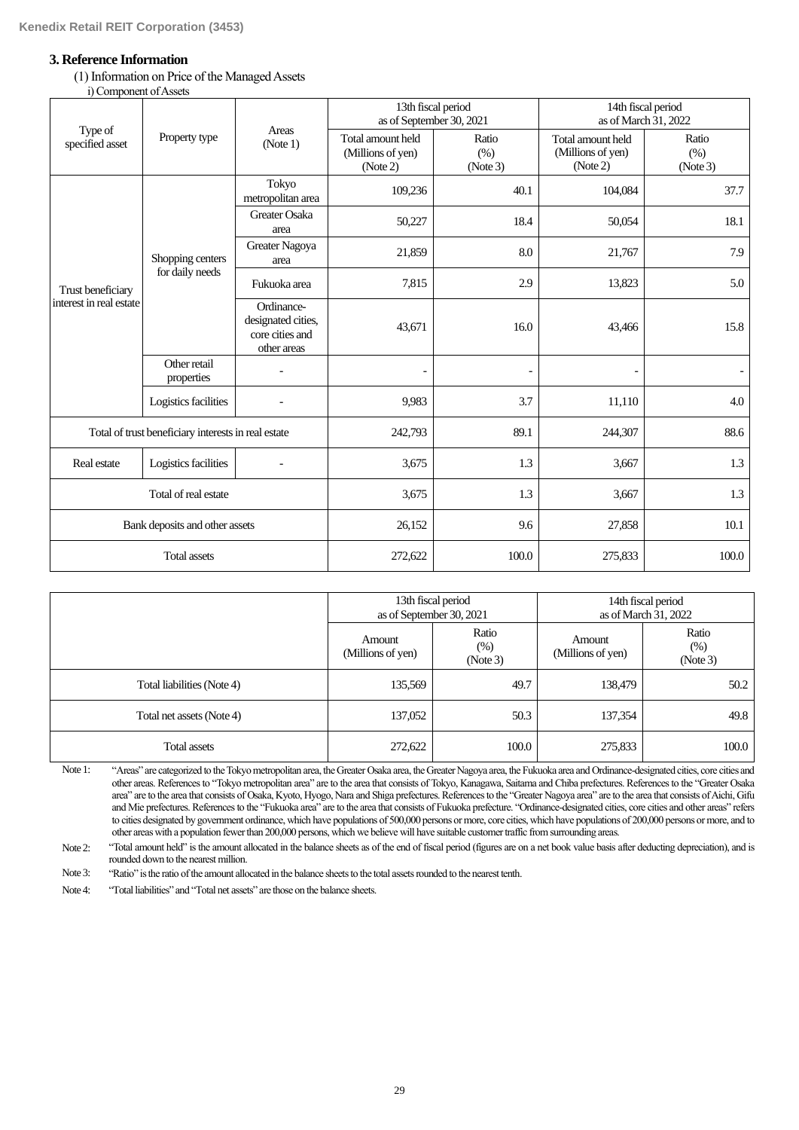# **3. Reference Information**

(1) Information on Price of the Managed Assets i) Component of Assets

|                                              | $-0.11$ $-0.11$ $-0.11$ $-0.00$ $-0.00$             |                                                                    | 13th fiscal period<br>as of September 30, 2021     |                          | 14th fiscal period<br>as of March 31, 2022         |                           |  |  |
|----------------------------------------------|-----------------------------------------------------|--------------------------------------------------------------------|----------------------------------------------------|--------------------------|----------------------------------------------------|---------------------------|--|--|
| Type of<br>specified asset                   | Property type                                       | Areas<br>(Note 1)                                                  | Total amount held<br>(Millions of yen)<br>(Note 2) | Ratio<br>(% )<br>(Note3) | Total amount held<br>(Millions of yen)<br>(Note 2) | Ratio<br>(% )<br>(Note 3) |  |  |
| Trust beneficiary<br>interest in real estate |                                                     | Tokyo<br>metropolitan area                                         | 109,236                                            | 40.1                     | 104,084                                            | 37.7                      |  |  |
|                                              |                                                     | Greater Osaka<br>area                                              | 50,227                                             | 18.4                     | 50,054                                             | 18.1                      |  |  |
|                                              | Shopping centers<br>for daily needs                 | Greater Nagoya<br>area                                             | 21,859                                             | 8.0                      | 21,767                                             | 7.9                       |  |  |
|                                              |                                                     | Fukuoka area                                                       | 7,815                                              | 2.9                      | 13,823                                             | 5.0                       |  |  |
|                                              |                                                     | Ordinance-<br>designated cities,<br>core cities and<br>other areas | 43,671                                             | 16.0                     | 43,466                                             | 15.8                      |  |  |
|                                              | Other retail<br>properties                          |                                                                    |                                                    |                          |                                                    |                           |  |  |
|                                              | Logistics facilities                                |                                                                    | 9,983                                              | 3.7                      | 11,110                                             | 4.0                       |  |  |
|                                              | Total of trust beneficiary interests in real estate |                                                                    | 242,793                                            | 89.1                     | 244,307                                            | 88.6                      |  |  |
| Real estate                                  | Logistics facilities                                |                                                                    | 3,675                                              | 1.3                      | 3,667                                              | 1.3                       |  |  |
|                                              | Total of real estate                                |                                                                    | 3,675                                              | 1.3                      | 3,667                                              | 1.3                       |  |  |
| Bank deposits and other assets               |                                                     |                                                                    | 26,152                                             | 9.6                      | 27,858                                             | 10.1                      |  |  |
|                                              | <b>Total assets</b>                                 |                                                                    | 272,622                                            | 100.0                    | 275,833                                            | 100.0                     |  |  |

|                            | as of September 30, 2021    | 13th fiscal period       | 14th fiscal period<br>as of March 31, 2022 |                             |  |
|----------------------------|-----------------------------|--------------------------|--------------------------------------------|-----------------------------|--|
|                            | Amount<br>(Millions of yen) | Ratio<br>(%)<br>(Note 3) | Amount<br>(Millions of yen)                | Ratio<br>$(\%)$<br>(Note 3) |  |
| Total liabilities (Note 4) | 135,569                     | 49.7                     | 138,479                                    | 50.2                        |  |
| Total net assets (Note 4)  | 137,052                     | 50.3                     | 137,354                                    | 49.8                        |  |
| Total assets               | 272,622                     | 100.0                    | 275,833                                    | 100.0                       |  |

Note 1: "Areas" are categorized to the Tokyo metropolitan area, the Greater Osaka area, the Greater Nagoya area, the Fukuoka area and Ordinance-designated cities, core cities and other areas. References to "Tokyo metropolitan area" are to the area that consists of Tokyo, Kanagawa, Saitama and Chiba prefectures. References to the "Greater Osaka area" are to the area that consists of Osaka, Kyoto, Hyogo, Nara and Shiga prefectures. References to the "Greater Nagoya area" are to the area that consists of Aichi, Gifu and Mie prefectures. References to the "Fukuoka area" are to the area that consists of Fukuoka prefecture. "Ordinance-designated cities, core cities and other areas" refers to cities designated by government ordinance, which have populations of 500,000 persons or more, core cities, which have populations of 200,000 persons or more, and to other areas with a population fewer than 200,000 persons, which we believe will have suitable customer traffic from surrounding areas.

Note 2: "Total amount held" is the amount allocated in the balance sheets as of the end of fiscal period (figures are on a net book value basis after deducting depreciation), and is rounded down to the nearest million.

Note 3: "Ratio" is the ratio of the amount allocated in the balance sheets to the total assets rounded to the nearest tenth.

Note 4: "Total liabilities" and "Total net assets" are those on the balance sheets.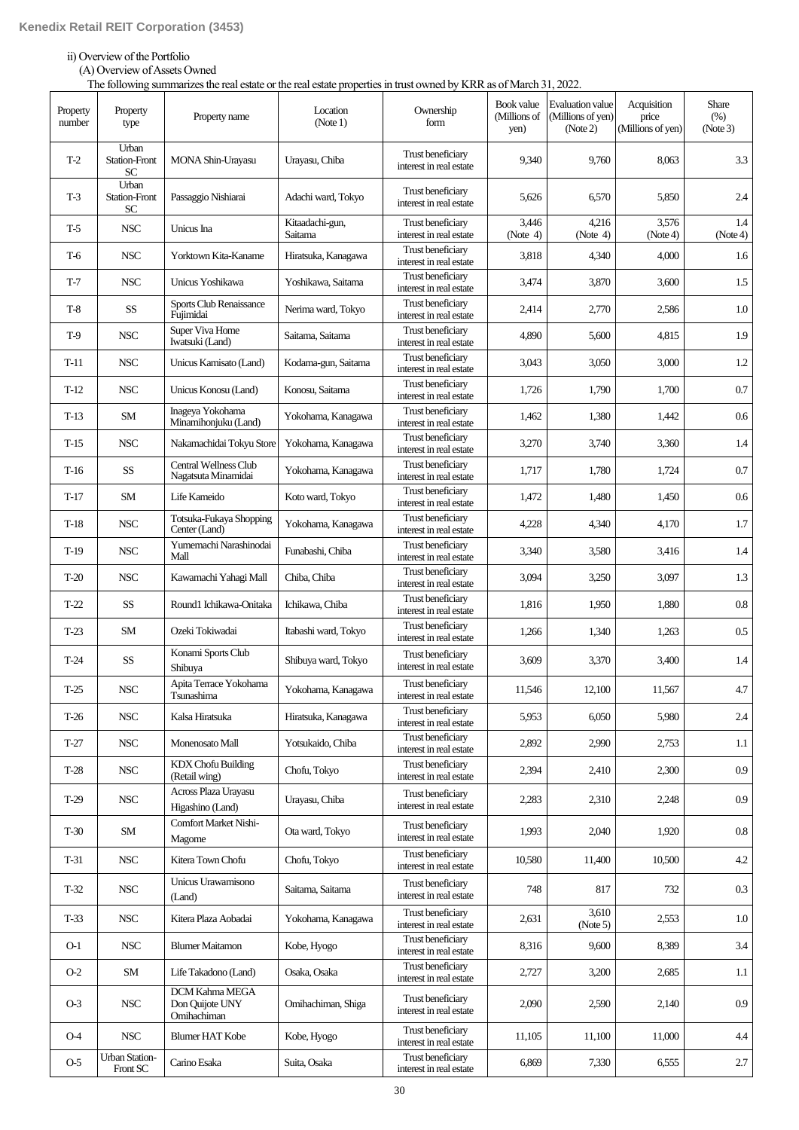# ii) Overview of the Portfolio

(A) Overview of Assets Owned

The following summarizes the real estate or the real estate properties in trust owned by KRR as of March 31, 2022.

| Property<br>number | Property<br>type                           | Property name                                    | Location<br>(Note 1)       | Ownership<br>form                            | Book value<br>(Millions of<br>yen) | <b>Evaluation</b> value<br>(Millions of yen)<br>(Note 2) | Acquisition<br>price<br>(Millions of yen) | Share<br>(% )<br>(Note 3) |
|--------------------|--------------------------------------------|--------------------------------------------------|----------------------------|----------------------------------------------|------------------------------------|----------------------------------------------------------|-------------------------------------------|---------------------------|
| $T-2$              | Urban<br><b>Station-Front</b><br><b>SC</b> | MONA Shin-Urayasu                                | Urayasu, Chiba             | Trust beneficiary<br>interest in real estate | 9,340                              | 9,760                                                    | 8,063                                     | 3.3                       |
| $T-3$              | Urban<br><b>Station-Front</b><br>SC        | Passaggio Nishiarai                              | Adachi ward, Tokyo         | Trust beneficiary<br>interest in real estate | 5,626                              | 6,570                                                    | 5,850                                     | 2.4                       |
| $T-5$              | <b>NSC</b>                                 | Unicus Ina                                       | Kitaadachi-gun,<br>Saitama | Trust beneficiary<br>interest in real estate | 3,446<br>(Note $4$ )               | 4,216<br>(Note $4$ )                                     | 3,576<br>(Note4)                          | 1.4<br>(Note4)            |
| $T-6$              | <b>NSC</b>                                 | Yorktown Kita-Kaname                             | Hiratsuka, Kanagawa        | Trust beneficiary<br>interest in real estate | 3,818                              | 4,340                                                    | 4,000                                     | 1.6                       |
| $T-7$              | <b>NSC</b>                                 | Unicus Yoshikawa                                 | Yoshikawa, Saitama         | Trust beneficiary<br>interest in real estate | 3,474                              | 3,870                                                    | 3,600                                     | 1.5                       |
| $T-8$              | <b>SS</b>                                  | Sports Club Renaissance<br>Fujimidai             | Nerima ward, Tokyo         | Trust beneficiary<br>interest in real estate | 2,414                              | 2,770                                                    | 2,586                                     | 1.0                       |
| $T-9$              | <b>NSC</b>                                 | Super Viva Home<br>Iwatsuki (Land)               | Saitama, Saitama           | Trust beneficiary<br>interest in real estate | 4,890                              | 5,600                                                    | 4,815                                     | 1.9                       |
| T-11               | <b>NSC</b>                                 | Unicus Kamisato (Land)                           | Kodama-gun, Saitama        | Trust beneficiary<br>interest in real estate | 3,043                              | 3,050                                                    | 3,000                                     | 1.2                       |
| $T-12$             | <b>NSC</b>                                 | Unicus Konosu (Land)                             | Konosu, Saitama            | Trust beneficiary<br>interest in real estate | 1,726                              | 1,790                                                    | 1,700                                     | 0.7                       |
| $T-13$             | SM                                         | Inageya Yokohama<br>Minamihonjuku (Land)         | Yokohama, Kanagawa         | Trust beneficiary<br>interest in real estate | 1,462                              | 1,380                                                    | 1,442                                     | 0.6                       |
| $T-15$             | <b>NSC</b>                                 | Nakamachidai Tokyu Store                         | Yokohama, Kanagawa         | Trust beneficiary<br>interest in real estate | 3,270                              | 3,740                                                    | 3,360                                     | 1.4                       |
| $T-16$             | <b>SS</b>                                  | Central Wellness Club<br>Nagatsuta Minamidai     | Yokohama, Kanagawa         | Trust beneficiary<br>interest in real estate | 1,717                              | 1,780                                                    | 1,724                                     | 0.7                       |
| $T-17$             | SM                                         | Life Kameido                                     | Koto ward, Tokyo           | Trust beneficiary<br>interest in real estate | 1,472                              | 1,480                                                    | 1,450                                     | 0.6                       |
| $T-18$             | <b>NSC</b>                                 | Totsuka-Fukaya Shopping<br>Center (Land)         | Yokohama, Kanagawa         | Trust beneficiary<br>interest in real estate | 4,228                              | 4,340                                                    | 4,170                                     | 1.7                       |
| $T-19$             | <b>NSC</b>                                 | Yumemachi Narashinodai<br>Mall                   | Funabashi, Chiba           | Trust beneficiary<br>interest in real estate | 3,340                              | 3,580                                                    | 3,416                                     | 1.4                       |
| $T-20$             | <b>NSC</b>                                 | Kawamachi Yahagi Mall                            | Chiba, Chiba               | Trust beneficiary<br>interest in real estate | 3,094                              | 3,250                                                    | 3,097                                     | 1.3                       |
| $T-22$             | SS                                         | Round1 Ichikawa-Onitaka                          | Ichikawa, Chiba            | Trust beneficiary<br>interest in real estate | 1,816                              | 1,950                                                    | 1,880                                     | $0.8\,$                   |
| $T-23$             | SM                                         | Ozeki Tokiwadai                                  | Itabashi ward, Tokyo       | Trust beneficiary<br>interest in real estate | 1,266                              | 1,340                                                    | 1,263                                     | 0.5                       |
| $T-24$             | SS                                         | Konami Sports Club<br>Shibuya                    | Shibuya ward, Tokyo        | Trust beneficiary<br>interest in real estate | 3,609                              | 3,370                                                    | 3,400                                     | 1.4                       |
| T-25               | <b>NSC</b>                                 | Apita Terrace Yokohama<br>Tsunashima             | Yokohama, Kanagawa         | Trust beneficiary<br>interest in real estate | 11,546                             | 12,100                                                   | 11,567                                    | 4.7                       |
| $T-26$             | <b>NSC</b>                                 | Kalsa Hiratsuka                                  | Hiratsuka, Kanagawa        | Trust beneficiary<br>interest in real estate | 5.953                              | 6,050                                                    | 5,980                                     | 2.4                       |
| $T-27$             | <b>NSC</b>                                 | Monenosato Mall                                  | Yotsukaido, Chiba          | Trust beneficiary<br>interest in real estate | 2,892                              | 2,990                                                    | 2,753                                     | 1.1                       |
| $T-28$             | <b>NSC</b>                                 | <b>KDX</b> Chofu Building<br>(Retail wing)       | Chofu, Tokyo               | Trust beneficiary<br>interest in real estate | 2,394                              | 2,410                                                    | 2,300                                     | 0.9                       |
| $T-29$             | <b>NSC</b>                                 | Across Plaza Urayasu<br>Higashino (Land)         | Urayasu, Chiba             | Trust beneficiary<br>interest in real estate | 2,283                              | 2,310                                                    | 2,248                                     | 0.9                       |
| $T-30$             | SM                                         | <b>Comfort Market Nishi-</b><br>Magome           | Ota ward, Tokyo            | Trust beneficiary<br>interest in real estate | 1.993                              | 2,040                                                    | 1,920                                     | $0.8\,$                   |
| T-31               | <b>NSC</b>                                 | Kitera Town Chofu                                | Chofu, Tokyo               | Trust beneficiary<br>interest in real estate | 10,580                             | 11,400                                                   | 10,500                                    | 4.2                       |
| $T-32$             | <b>NSC</b>                                 | Unicus Urawamisono<br>(Land)                     | Saitama, Saitama           | Trust beneficiary<br>interest in real estate | 748                                | 817                                                      | 732                                       | 0.3                       |
| $T-33$             | <b>NSC</b>                                 | Kitera Plaza Aobadai                             | Yokohama, Kanagawa         | Trust beneficiary<br>interest in real estate | 2,631                              | 3,610<br>(Note 5)                                        | 2,553                                     | 1.0                       |
| $O-1$              | <b>NSC</b>                                 | <b>Blumer Maitamon</b>                           | Kobe, Hyogo                | Trust beneficiary<br>interest in real estate | 8,316                              | 9,600                                                    | 8,389                                     | 3.4                       |
| $O-2$              | SM                                         | Life Takadono (Land)                             | Osaka, Osaka               | Trust beneficiary<br>interest in real estate | 2,727                              | 3,200                                                    | 2,685                                     | $1.1\,$                   |
| $O-3$              | <b>NSC</b>                                 | DCM Kahma MEGA<br>Don Quijote UNY<br>Omihachiman | Omihachiman, Shiga         | Trust beneficiary<br>interest in real estate | 2,090                              | 2,590                                                    | 2,140                                     | 0.9                       |
| <b>O</b> -4        | <b>NSC</b>                                 | <b>Blumer HAT Kobe</b>                           | Kobe, Hyogo                | Trust beneficiary<br>interest in real estate | 11,105                             | 11,100                                                   | 11,000                                    | 4.4                       |
| $O-5$              | Urban Station-<br>Front SC                 | Carino Esaka                                     | Suita, Osaka               | Trust beneficiary<br>interest in real estate | 6,869                              | 7,330                                                    | 6,555                                     | 2.7                       |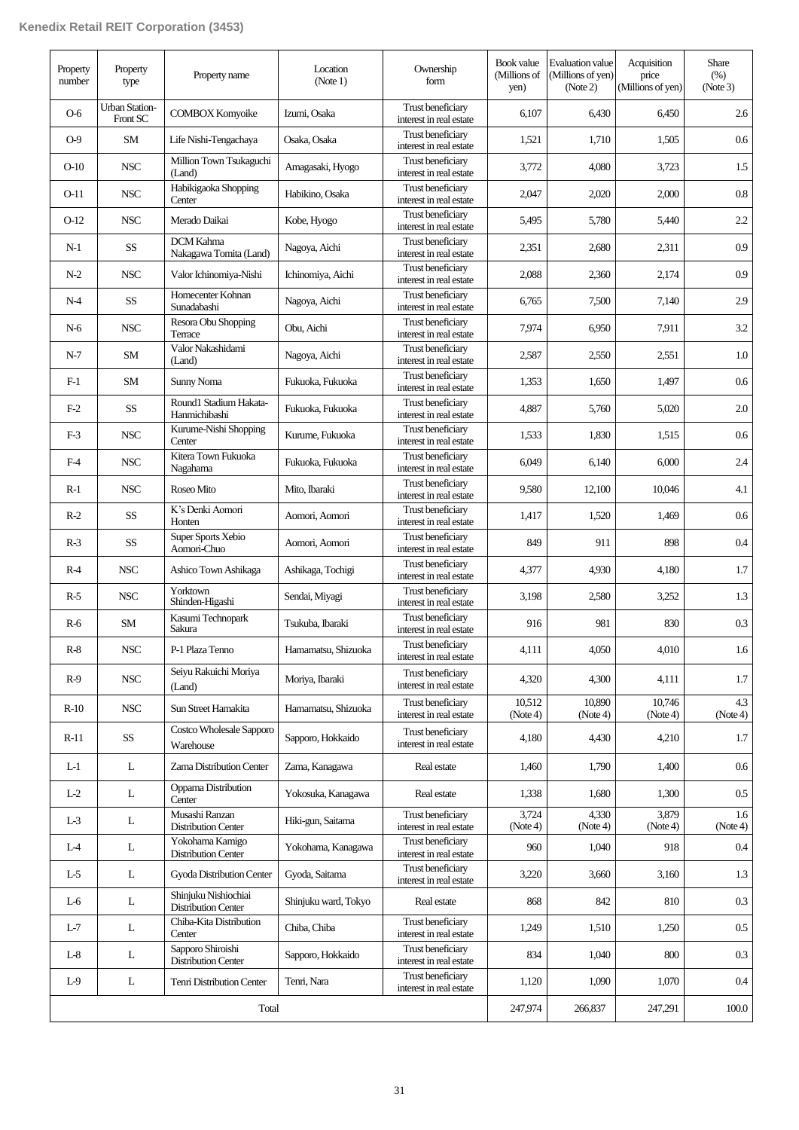| Property<br>number | Property<br>type                  | Property name                                      | Location<br>(Note 1) | Ownership<br>form                            | Book value<br>(Millions of<br>yen) | <b>Evaluation value</b><br>(Millions of yen)<br>(Note 2) | Acquisition<br>price<br>(Millions of yen) | <b>Share</b><br>(% )<br>(Note3) |
|--------------------|-----------------------------------|----------------------------------------------------|----------------------|----------------------------------------------|------------------------------------|----------------------------------------------------------|-------------------------------------------|---------------------------------|
| $O-6$              | <b>Urban Station-</b><br>Front SC | <b>COMBOX Komyoike</b>                             | Izumi, Osaka         | Trust beneficiary<br>interest in real estate | 6,107                              | 6,430                                                    | 6,450                                     | 2.6                             |
| $O-9$              | <b>SM</b>                         | Life Nishi-Tengachaya                              | Osaka, Osaka         | Trust beneficiary<br>interest in real estate | 1,521                              | 1,710                                                    | 1,505                                     | $0.6\,$                         |
| $O-10$             | <b>NSC</b>                        | Million Town Tsukaguchi<br>(Land)                  | Amagasaki, Hyogo     | Trust beneficiary<br>interest in real estate | 3,772                              | 4,080                                                    | 3,723                                     | 1.5                             |
| $O-11$             | <b>NSC</b>                        | Habikigaoka Shopping<br>Center                     | Habikino, Osaka      | Trust beneficiary<br>interest in real estate | 2,047                              | 2,020                                                    | 2,000                                     | $0.8\,$                         |
| $O-12$             | <b>NSC</b>                        | Merado Daikai                                      | Kobe, Hyogo          | Trust beneficiary<br>interest in real estate | 5,495                              | 5,780                                                    | 5,440                                     | $2.2\,$                         |
| $N-1$              | <b>SS</b>                         | <b>DCM</b> Kahma<br>Nakagawa Tomita (Land)         | Nagoya, Aichi        | Trust beneficiary<br>interest in real estate | 2,351                              | 2,680                                                    | 2,311                                     | 0.9                             |
| $N-2$              | <b>NSC</b>                        | Valor Ichinomiya-Nishi                             | Ichinomiya, Aichi    | Trust beneficiary<br>interest in real estate | 2,088                              | 2,360                                                    | 2,174                                     | 0.9                             |
| $N-4$              | SS                                | Homecenter Kohnan<br>Sunadabashi                   | Nagoya, Aichi        | Trust beneficiary<br>interest in real estate | 6,765                              | 7,500                                                    | 7,140                                     | 2.9                             |
| $N-6$              | <b>NSC</b>                        | Resora Obu Shopping<br>Terrace                     | Obu, Aichi           | Trust beneficiary<br>interest in real estate | 7.974                              | 6,950                                                    | 7.911                                     | 3.2                             |
| $N-7$              | SM                                | Valor Nakashidami<br>(Land)                        | Nagoya, Aichi        | Trust beneficiary<br>interest in real estate | 2,587                              | 2,550                                                    | 2,551                                     | 1.0                             |
| $F-1$              | <b>SM</b>                         | Sunny Noma                                         | Fukuoka, Fukuoka     | Trust beneficiary<br>interest in real estate | 1,353                              | 1,650                                                    | 1,497                                     | $0.6\,$                         |
| $F-2$              | <b>SS</b>                         | Round1 Stadium Hakata-<br>Hanmichibashi            | Fukuoka, Fukuoka     | Trust beneficiary<br>interest in real estate | 4,887                              | 5,760                                                    | 5,020                                     | 2.0                             |
| $F-3$              | <b>NSC</b>                        | Kurume-Nishi Shopping<br>Center                    | Kurume, Fukuoka      | Trust beneficiary<br>interest in real estate | 1,533                              | 1,830                                                    | 1,515                                     | 0.6                             |
| $F-4$              | <b>NSC</b>                        | Kitera Town Fukuoka<br>Nagahama                    | Fukuoka, Fukuoka     | Trust beneficiary<br>interest in real estate | 6,049                              | 6,140                                                    | 6,000                                     | 2.4                             |
| $R-1$              | <b>NSC</b>                        | Roseo Mito                                         | Mito, Ibaraki        | Trust beneficiary<br>interest in real estate | 9,580                              | 12,100                                                   | 10,046                                    | 4.1                             |
| $R-2$              | SS                                | K's Denki Aomori<br>Honten                         | Aomori, Aomori       | Trust beneficiary<br>interest in real estate | 1,417                              | 1,520                                                    | 1,469                                     | $0.6\,$                         |
| $R-3$              | $\rm SS$                          | Super Sports Xebio<br>Aomori-Chuo                  | Aomori, Aomori       | Trust beneficiary<br>interest in real estate | 849                                | 911                                                      | 898                                       | $0.4\,$                         |
| $R-4$              | <b>NSC</b>                        | Ashico Town Ashikaga                               | Ashikaga, Tochigi    | Trust beneficiary<br>interest in real estate | 4,377                              | 4,930                                                    | 4,180                                     | 1.7                             |
| $R-5$              | <b>NSC</b>                        | Yorktown<br>Shinden-Higashi                        | Sendai, Miyagi       | Trust beneficiary<br>interest in real estate | 3,198                              | 2,580                                                    | 3,252                                     | 1.3                             |
| $R-6$              | <b>SM</b>                         | Kasumi Technopark<br>Sakura                        | Tsukuba, Ibaraki     | Trust beneficiary<br>interest in real estate | 916                                | 981                                                      | 830                                       | 0.3                             |
| $R-8$              | NSC                               | P-1 Plaza Tenno                                    | Hamamatsu, Shizuoka  | Trust beneficiary<br>interest in real estate | 4,111                              | 4,050                                                    | 4,010                                     | 1.6 <sup>1</sup>                |
| $R-9$              | $_{\rm NSC}$                      | Seiyu Rakuichi Moriya<br>(Land)                    | Moriya, Ibaraki      | Trust beneficiary<br>interest in real estate | 4,320                              | 4,300                                                    | 4,111                                     | 1.7                             |
| $R-10$             | <b>NSC</b>                        | Sun Street Hamakita                                | Hamamatsu, Shizuoka  | Trust beneficiary<br>interest in real estate | 10,512<br>(Note4)                  | 10.890<br>(Note4)                                        | 10,746<br>(Note 4)                        | 4.3<br>(Note4)                  |
| $R-11$             | $\rm SS$                          | Costco Wholesale Sapporo<br>Warehouse              | Sapporo, Hokkaido    | Trust beneficiary<br>interest in real estate | 4,180                              | 4,430                                                    | 4,210                                     | 1.7                             |
| $L-1$              | L                                 | Zama Distribution Center                           | Zama, Kanagawa       | Real estate                                  | 1,460                              | 1,790                                                    | 1,400                                     | $0.6\,$                         |
| $L-2$              | L                                 | Oppama Distribution<br>Center                      | Yokosuka, Kanagawa   | Real estate                                  | 1,338                              | 1,680                                                    | 1,300                                     | $0.5\,$                         |
| $L-3$              | L                                 | Musashi Ranzan<br><b>Distribution Center</b>       | Hiki-gun, Saitama    | Trust beneficiary<br>interest in real estate | 3,724<br>(Note4)                   | 4,330<br>(Note4)                                         | 3,879<br>(Note4)                          | 1.6<br>(Note4)                  |
| $L-4$              | L                                 | Yokohama Kamigo<br><b>Distribution Center</b>      | Yokohama, Kanagawa   | Trust beneficiary<br>interest in real estate | 960                                | 1,040                                                    | 918                                       | 0.4                             |
| L-5                | L                                 | Gyoda Distribution Center                          | Gyoda, Saitama       | Trust beneficiary<br>interest in real estate | 3,220                              | 3,660                                                    | 3,160                                     | 1.3                             |
| $L-6$              | L                                 | Shinjuku Nishiochiai<br><b>Distribution Center</b> | Shinjuku ward, Tokyo | Real estate                                  | 868                                | 842                                                      | 810                                       | $0.3\,$                         |
| $L-7$              | L                                 | Chiba-Kita Distribution<br>Center                  | Chiba, Chiba         | Trust beneficiary<br>interest in real estate | 1,249                              | 1,510                                                    | 1,250                                     | $0.5\,$                         |
| $L-8$              | L                                 | Sapporo Shiroishi<br><b>Distribution Center</b>    | Sapporo, Hokkaido    | Trust beneficiary<br>interest in real estate | 834                                | 1,040                                                    | 800                                       | 0.3                             |
| $L-9$              | L                                 | Tenri Distribution Center                          | Tenri, Nara          | Trust beneficiary<br>interest in real estate | 1,120                              | 1,090                                                    | 1,070                                     | 0.4                             |
|                    |                                   | Total                                              |                      |                                              | 247,974                            | 266,837                                                  | 247,291                                   | 100.0                           |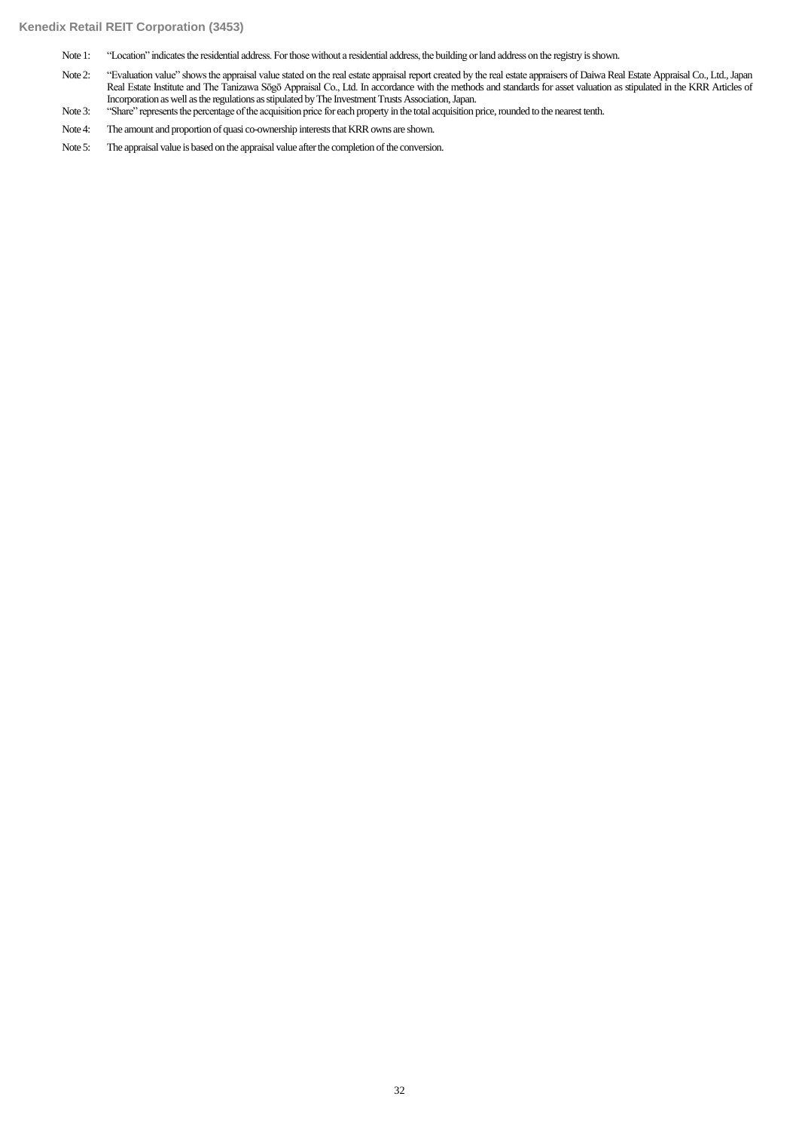Note 1: "Location" indicates the residential address. For those without a residential address, the building or land address on the registry is shown.

- Note 2: "Evaluation value" shows the appraisal value stated on the real estate appraisal report created by the real estate appraisers of Daiwa Real Estate Appraisal Co., Ltd., Japan Real Estate Institute and The Tanizawa Sōgō Appraisal Co., Ltd. In accordance with the methods and standards for asset valuation as stipulated in the KRR Articles of Incorporation as well as the regulations as stipulated by The Investment Trusts Association, Japan.
- Note 3: "Share" represents the percentage of the acquisition price for each property in the total acquisition price, rounded to the nearest tenth.
- Note 4: The amount and proportion of quasi co-ownership interests that KRR owns are shown.
- Note 5: The appraisal value is based on the appraisal value after the completion of the conversion.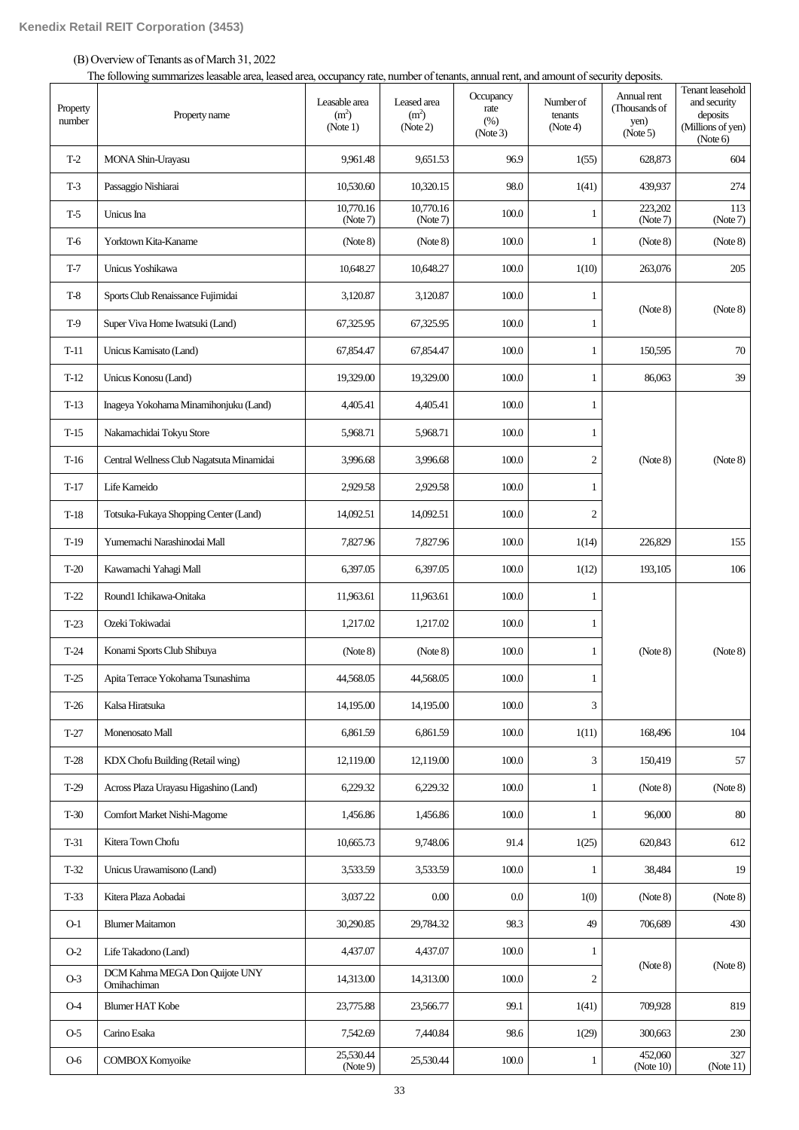(B) Overview of Tenants as of March 31, 2022

The following summarizes leasable area, leased area, occupancy rate, number of tenants, annual rent, and amount of security deposits.

| Property<br>number | Property name                                 | Leasable area<br>(m <sup>2</sup> )<br>(Note 1) | Leased area<br>(m <sup>2</sup> )<br>(Note 2) | Occupancy<br>rate<br>(%)<br>(Note3) | Number of<br>tenants<br>(Note4) | Annual rent<br>(Thousands of<br>yen)<br>(Note 5) | Tenant leasehold<br>and security<br>deposits<br>(Millions of yen)<br>(Note 6) |
|--------------------|-----------------------------------------------|------------------------------------------------|----------------------------------------------|-------------------------------------|---------------------------------|--------------------------------------------------|-------------------------------------------------------------------------------|
| $T-2$              | MONA Shin-Urayasu                             | 9,961.48                                       | 9,651.53                                     | 96.9                                | 1(55)                           | 628,873                                          | 604                                                                           |
| $T-3$              | Passaggio Nishiarai                           | 10,530.60                                      | 10,320.15                                    | 98.0                                | 1(41)                           | 439,937                                          | 274                                                                           |
| $T-5$              | Unicus Ina                                    | 10,770.16<br>(Note 7)                          | 10,770.16<br>(Note7)                         | 100.0                               | 1                               | 223,202<br>(Note 7)                              | 113<br>(Note 7)                                                               |
| T-6                | Yorktown Kita-Kaname                          | (Note 8)                                       | (Note 8)                                     | 100.0                               | 1                               | (Note 8)                                         | (Note 8)                                                                      |
| $T-7$              | Unicus Yoshikawa                              | 10,648.27                                      | 10,648.27                                    | 100.0                               | 1(10)                           | 263,076                                          | 205                                                                           |
| $T-8$              | Sports Club Renaissance Fujimidai             | 3,120.87                                       | 3,120.87                                     | 100.0                               | 1                               |                                                  |                                                                               |
| $T-9$              | Super Viva Home Iwatsuki (Land)               | 67,325.95                                      | 67,325.95                                    | 100.0                               | 1                               | (Note 8)                                         | (Note 8)                                                                      |
| $T-11$             | Unicus Kamisato (Land)                        | 67,854.47                                      | 67,854.47                                    | 100.0                               | 1                               | 150,595                                          | 70                                                                            |
| $T-12$             | Unicus Konosu (Land)                          | 19,329.00                                      | 19,329.00                                    | 100.0                               | 1                               | 86,063                                           | 39                                                                            |
| $T-13$             | Inageya Yokohama Minamihonjuku (Land)         | 4,405.41                                       | 4,405.41                                     | 100.0                               | 1                               |                                                  |                                                                               |
| $T-15$             | Nakamachidai Tokyu Store                      | 5,968.71                                       | 5,968.71                                     | 100.0                               | 1                               |                                                  |                                                                               |
| $T-16$             | Central Wellness Club Nagatsuta Minamidai     | 3,996.68                                       | 3,996.68                                     | 100.0                               | $\overline{c}$                  | (Note 8)                                         | (Note 8)                                                                      |
| $T-17$             | Life Kameido                                  | 2,929.58                                       | 2,929.58                                     | 100.0                               | 1                               |                                                  |                                                                               |
| $T-18$             | Totsuka-Fukaya Shopping Center (Land)         | 14,092.51                                      | 14,092.51                                    | 100.0                               | $\overline{c}$                  |                                                  |                                                                               |
| $T-19$             | Yumemachi Narashinodai Mall                   | 7,827.96                                       | 7,827.96                                     | 100.0                               | 1(14)                           | 226,829                                          | 155                                                                           |
| $T-20$             | Kawamachi Yahagi Mall                         | 6,397.05                                       | 6,397.05                                     | 100.0                               | 1(12)                           | 193,105                                          | 106                                                                           |
| $T-22$             | Round1 Ichikawa-Onitaka                       | 11,963.61                                      | 11,963.61                                    | 100.0                               | 1                               |                                                  |                                                                               |
| $T-23$             | Ozeki Tokiwadai                               | 1,217.02                                       | 1,217.02                                     | 100.0                               | 1                               |                                                  |                                                                               |
| $T-24$             | Konami Sports Club Shibuya                    | (Note 8)                                       | (Note 8)                                     | 100.0                               | 1                               | (Note 8)                                         | (Note 8)                                                                      |
| $T-25$             | Apita Terrace Yokohama Tsunashima             | 44,568.05                                      | 44,568.05                                    | 100.0                               | 1                               |                                                  |                                                                               |
| $T-26$             | Kalsa Hiratsuka                               | 14.195.00                                      | 14,195.00                                    | 100.0                               | 3                               |                                                  |                                                                               |
| $T-27$             | Monenosato Mall                               | 6,861.59                                       | 6,861.59                                     | 100.0                               | 1(11)                           | 168,496                                          | 104                                                                           |
| $T-28$             | KDX Chofu Building (Retail wing)              | 12,119.00                                      | 12,119.00                                    | 100.0                               | 3                               | 150,419                                          | 57                                                                            |
| $T-29$             | Across Plaza Urayasu Higashino (Land)         | 6,229.32                                       | 6,229.32                                     | 100.0                               | $\mathbf{1}$                    | (Note 8)                                         | (Note 8)                                                                      |
| $T-30$             | Comfort Market Nishi-Magome                   | 1,456.86                                       | 1,456.86                                     | 100.0                               | 1                               | 96,000                                           | $80\,$                                                                        |
| $T-31$             | Kitera Town Chofu                             | 10,665.73                                      | 9,748.06                                     | 91.4                                | 1(25)                           | 620,843                                          | 612                                                                           |
| $T-32$             | Unicus Urawamisono (Land)                     | 3,533.59                                       | 3,533.59                                     | 100.0                               | 1                               | 38,484                                           | 19                                                                            |
| $T-33$             | Kitera Plaza Aobadai                          | 3,037.22                                       | 0.00                                         | $0.0\,$                             | 1(0)                            | (Note 8)                                         | (Note 8)                                                                      |
| $O-1$              | <b>Blumer Maitamon</b>                        | 30,290.85                                      | 29,784.32                                    | 98.3                                | 49                              | 706,689                                          | 430                                                                           |
| $O-2$              | Life Takadono (Land)                          | 4,437.07                                       | 4,437.07                                     | 100.0                               | 1                               |                                                  |                                                                               |
| $O-3$              | DCM Kahma MEGA Don Quijote UNY<br>Omihachiman | 14,313.00                                      | 14,313.00                                    | 100.0                               | $\mathfrak{2}$                  | (Note 8)                                         | (Note 8)                                                                      |
| $O-4$              | <b>Blumer HAT Kobe</b>                        | 23,775.88                                      | 23,566.77                                    | 99.1                                | 1(41)                           | 709,928                                          | 819                                                                           |
| $O-5$              | Carino Esaka                                  | 7,542.69                                       | 7,440.84                                     | 98.6                                | 1(29)                           | 300,663                                          | 230                                                                           |
| $O-6$              | <b>COMBOX Komyoike</b>                        | 25,530.44<br>(Note9)                           | 25,530.44                                    | 100.0                               | 1                               | 452,060<br>(Note 10)                             | 327<br>(Note $11$ )                                                           |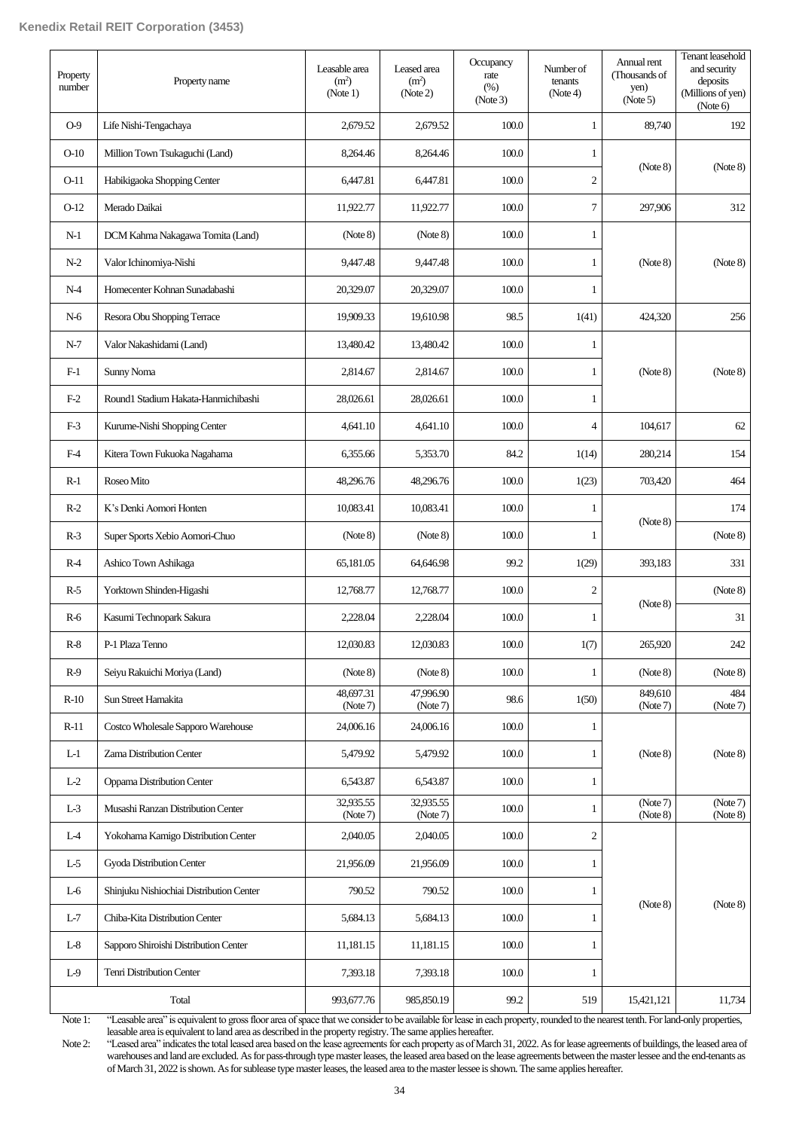| Property<br>number | Property name                            | Leasable area<br>(m <sup>2</sup> )<br>(Note 1) | Leased area<br>(m <sup>2</sup> )<br>(Note 2) | Occupancy<br>rate<br>(% )<br>(Note3) | Number of<br>tenants<br>(Note4) | Annual rent<br>(Thousands of<br>yen)<br>(Note 5) | Tenant leasehold<br>and security<br>deposits<br>(Millions of yen)<br>(Note 6) |
|--------------------|------------------------------------------|------------------------------------------------|----------------------------------------------|--------------------------------------|---------------------------------|--------------------------------------------------|-------------------------------------------------------------------------------|
| $O-9$              | Life Nishi-Tengachaya                    | 2,679.52                                       | 2,679.52                                     | 100.0                                | $\mathbf{1}$                    | 89,740                                           | 192                                                                           |
| $O-10$             | Million Town Tsukaguchi (Land)           | 8,264.46                                       | 8,264.46                                     | 100.0                                | 1                               |                                                  |                                                                               |
| $O-11$             | Habikigaoka Shopping Center              | 6,447.81                                       | 6,447.81                                     | 100.0                                | $\mathfrak{2}$                  | (Note 8)                                         | (Note 8)                                                                      |
| $O-12$             | Merado Daikai                            | 11,922.77                                      | 11,922.77                                    | 100.0                                | $\tau$                          | 297,906                                          | 312                                                                           |
| $N-1$              | DCM Kahma Nakagawa Tomita (Land)         | (Note 8)                                       | (Note 8)                                     | 100.0                                | $\mathbf{1}$                    |                                                  |                                                                               |
| $N-2$              | Valor Ichinomiya-Nishi                   | 9,447.48                                       | 9,447.48                                     | 100.0                                | 1                               | (Note 8)                                         | (Note 8)                                                                      |
| $N-4$              | Homecenter Kohnan Sunadabashi            | 20,329.07                                      | 20,329.07                                    | 100.0                                | 1                               |                                                  |                                                                               |
| N-6                | Resora Obu Shopping Terrace              | 19,909.33                                      | 19,610.98                                    | 98.5                                 | 1(41)                           | 424,320                                          | 256                                                                           |
| $N-7$              | Valor Nakashidami (Land)                 | 13,480.42                                      | 13,480.42                                    | 100.0                                | 1                               |                                                  |                                                                               |
| $F-1$              | Sunny Noma                               | 2,814.67                                       | 2,814.67                                     | 100.0                                | 1                               | (Note 8)                                         | (Note 8)                                                                      |
| $F-2$              | Round1 Stadium Hakata-Hanmichibashi      | 28,026.61                                      | 28,026.61                                    | 100.0                                | 1                               |                                                  |                                                                               |
| $F-3$              | Kurume-Nishi Shopping Center             | 4,641.10                                       | 4,641.10                                     | 100.0                                | 4                               | 104,617                                          | 62                                                                            |
| F-4                | Kitera Town Fukuoka Nagahama             | 6,355.66                                       | 5,353.70                                     | 84.2                                 | 1(14)                           | 280,214                                          | 154                                                                           |
| $R-1$              | Roseo Mito                               | 48,296.76                                      | 48,296.76                                    | 100.0                                | 1(23)                           | 703,420                                          | 464                                                                           |
| $R-2$              | K's Denki Aomori Honten                  | 10,083.41                                      | 10,083.41                                    | 100.0                                | 1                               |                                                  | 174                                                                           |
| $R-3$              | Super Sports Xebio Aomori-Chuo           | (Note 8)                                       | (Note 8)                                     | 100.0                                | 1                               | (Note 8)                                         | (Note 8)                                                                      |
| $R-4$              | Ashico Town Ashikaga                     | 65,181.05                                      | 64,646.98                                    | 99.2                                 | 1(29)                           | 393,183                                          | 331                                                                           |
| $R-5$              | Yorktown Shinden-Higashi                 | 12,768.77                                      | 12,768.77                                    | 100.0                                | $\overline{2}$                  |                                                  | (Note 8)                                                                      |
| $R-6$              | Kasumi Technopark Sakura                 | 2,228.04                                       | 2,228.04                                     | 100.0                                | 1                               | (Note 8)                                         | 31                                                                            |
| $R-8$              | P-1 Plaza Tenno                          | 12,030.83                                      | 12,030.83                                    | $100.0\,$                            | 1(7)                            | 265,920                                          | $242\,$                                                                       |
| $R-9$              | Seiyu Rakuichi Moriya (Land)             | (Note 8)                                       | (Note 8)                                     | 100.0                                | 1                               | (Note 8)                                         | (Note 8)                                                                      |
| $R-10$             | Sun Street Hamakita                      | 48,697.31<br>(Note 7)                          | 47,996.90<br>(Note 7)                        | 98.6                                 | 1(50)                           | 849,610<br>(Note 7)                              | 484<br>(Note 7)                                                               |
| $R-11$             | Costco Wholesale Sapporo Warehouse       | 24,006.16                                      | 24,006.16                                    | 100.0                                | 1                               |                                                  |                                                                               |
| $L-1$              | Zama Distribution Center                 | 5,479.92                                       | 5,479.92                                     | 100.0                                | 1                               | (Note 8)                                         | (Note 8)                                                                      |
| $L-2$              | Oppama Distribution Center               | 6,543.87                                       | 6,543.87                                     | 100.0                                | $\mathbf{1}$                    |                                                  |                                                                               |
| $L-3$              | Musashi Ranzan Distribution Center       | 32,935.55<br>(Note 7)                          | 32,935.55<br>(Note 7)                        | 100.0                                | 1                               | (Note 7)<br>(Note 8)                             | (Note 7)<br>(Note 8)                                                          |
| $L-4$              | Yokohama Kamigo Distribution Center      | 2,040.05                                       | 2,040.05                                     | 100.0                                | $\sqrt{2}$                      |                                                  |                                                                               |
| $L-5$              | Gyoda Distribution Center                | 21,956.09                                      | 21,956.09                                    | 100.0                                | $\mathbf{1}$                    |                                                  |                                                                               |
| $L-6$              | Shinjuku Nishiochiai Distribution Center | 790.52                                         | 790.52                                       | 100.0                                | $\mathbf{1}$                    |                                                  |                                                                               |
| $L-7$              | Chiba-Kita Distribution Center           | 5,684.13                                       | 5,684.13                                     | 100.0                                | $\mathbf{1}$                    | (Note 8)                                         | (Note 8)                                                                      |
| $L-8$              | Sapporo Shiroishi Distribution Center    | 11,181.15                                      | 11,181.15                                    | 100.0                                | 1                               |                                                  |                                                                               |
| $L-9$              | Tenri Distribution Center                | 7,393.18                                       | 7,393.18                                     | 100.0                                | $\mathbf{1}$                    |                                                  |                                                                               |
|                    | Total                                    | 993,677.76                                     | 985,850.19                                   | 99.2                                 | 519                             | 15,421,121                                       | 11,734                                                                        |

Note 1: "Leasable area" is equivalent to gross floor area of space that we consider to be available for lease in each property, rounded to the nearest tenth. For land-only properties, leasable area is equivalent to land area as described in the property registry. The same applies hereafter.

Note 2: "Leased area" indicates the total leased area based on the lease agreements for each property as of March 31, 2022. As for lease agreements of buildings, the leased area of warehouses and land are excluded. As for pass-through type master leases, the leased area based on the lease agreements between the master lessee and the end-tenants as of March 31, 2022 is shown. As for sublease type master leases, the leased area to the master lessee is shown. The same applies hereafter.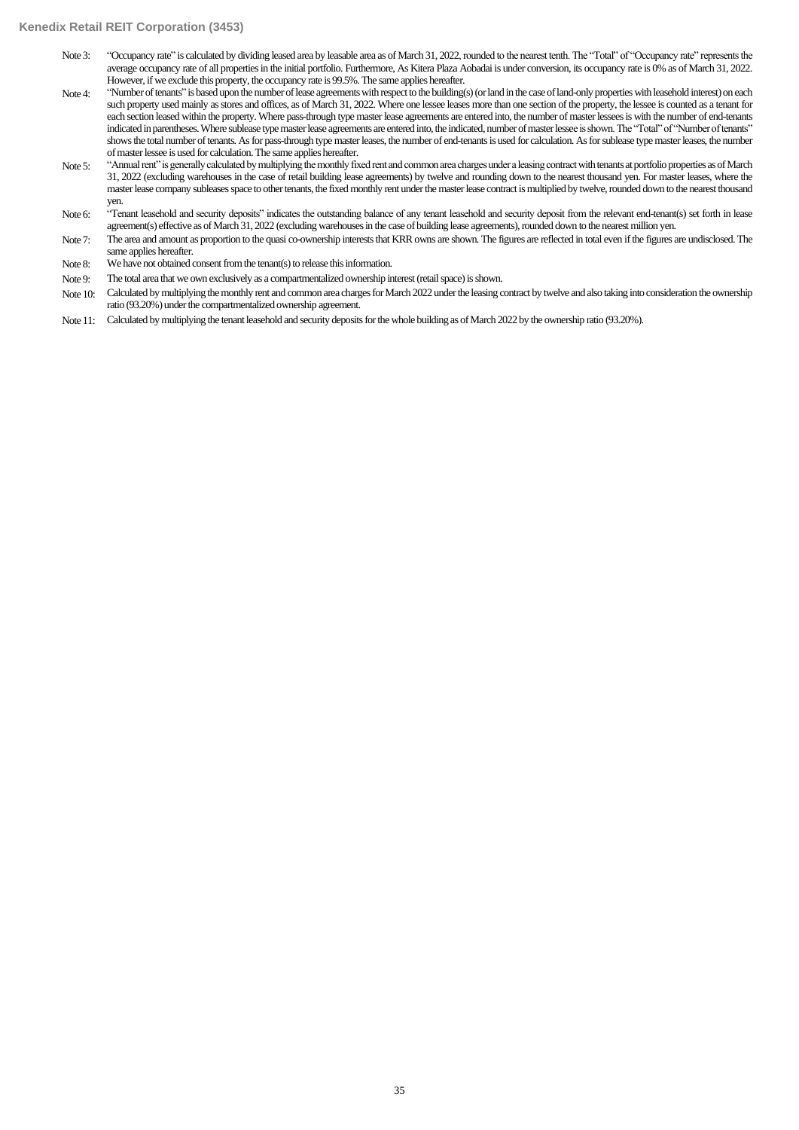#### **Kenedix Retail REIT Corporation (3453)**

- Note 3: "Occupancy rate" is calculated by dividing leased area by leasable area as of March 31, 2022, rounded to the nearest tenth. The "Total" of "Occupancy rate" represents the average occupancy rate of all properties in the initial portfolio. Furthermore, As Kitera Plaza Aobadai is under conversion, its occupancy rate is 0% as of March 31, 2022. However, if we exclude this property, the occupancy rate is 99.5%. The same applies hereafter.
- Note 4: "Number of tenants" is based upon the number of lease agreements with respect to the building(s) (or land in the case of land-only properties with leasehold interest) on each such property used mainly as stores and offices, as of March 31, 2022. Where one lessee leases more than one section of the property, the lessee is counted as a tenant for each section leased within the property. Where pass-through type master lease agreements are entered into, the number of master lessees is with the number of end-tenants indicated in parentheses. Where sublease type master lease agreements are entered into, the indicated, number of master lessee is shown. The "Total" of "Number of tenants" shows the total number of tenants. As for pass-through type master leases, the number of end-tenants is used for calculation. As for sublease type master leases, the number of master lessee is used for calculation.The same applies hereafter.
- Note 5: "Annual rent" is generally calculated by multiplying the monthly fixed rent and common area charges under a leasing contract with tenants at portfolio properties as of March 31, 2022 (excluding warehouses in the case of retail building lease agreements) by twelve and rounding down to the nearest thousand yen. For master leases, where the master lease company subleases space to other tenants, the fixed monthly rent under the master lease contract is multiplied by twelve, rounded down to the nearest thousand yen.
- Note 6: "Tenant leasehold and security deposits" indicates the outstanding balance of any tenant leasehold and security deposit from the relevant end-tenant(s) set forth in lease agreement(s) effective as of March 31, 2022 (excluding warehouses in the case of building lease agreements), rounded down to the nearest million yen.
- Note 7: The area and amount as proportion to the quasi co-ownership interests that KRR owns are shown. The figures are reflected in total even if the figures are undisclosed. The same applies hereafter.
- Note 8: We have not obtained consent from the tenant(s) to release this information.
- Note 9: The total area that we own exclusively as a compartmentalized ownership interest (retail space) is shown.
- Note 10: Calculated by multiplying the monthly rent and common area charges for March 2022 under the leasing contract by twelve and also taking into consideration the ownership ratio (93.20%) under the compartmentalized ownership agreement.
- Note 11: Calculated by multiplying the tenant leasehold and security deposits for the whole building as of March 2022 by the ownership ratio (93.20%).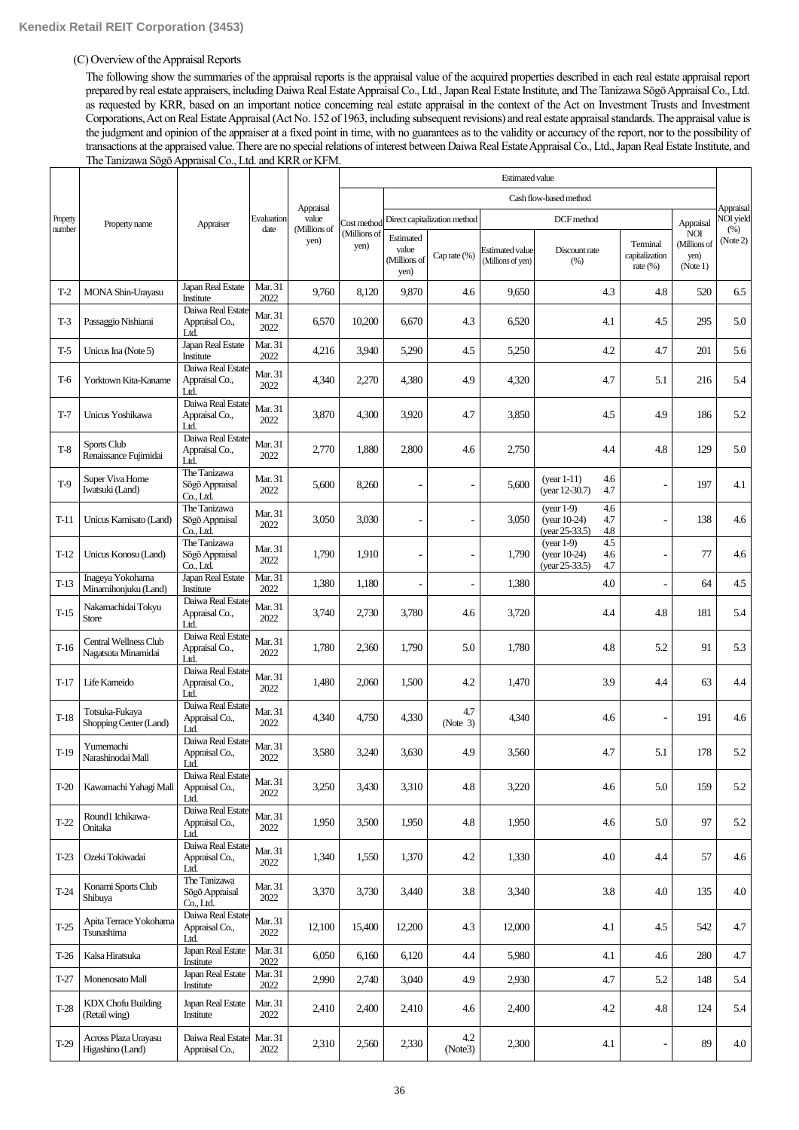# (C) Overview of the Appraisal Reports

The following show the summaries of the appraisal reports is the appraisal value of the acquired properties described in each real estate appraisal report prepared by real estate appraisers, including Daiwa Real Estate Appraisal Co., Ltd., Japan Real Estate Institute, and The Tanizawa Sōgō Appraisal Co., Ltd. as requested by KRR, based on an important notice concerning real estate appraisal in the context of the Act on Investment Trusts and Investment Corporations, Act on Real Estate Appraisal (Act No. 152 of 1963, including subsequent revisions) and real estate appraisal standards. The appraisal value is the judgment and opinion of the appraiser at a fixed point in time, with no guarantees as to the validity or accuracy of the report, nor to the possibility of transactions at the appraised value. There are no special relations of interest between Daiwa Real Estate Appraisal Co., Ltd., Japan Real Estate Institute, and The Tanizawa Sōgō Appraisal Co., Ltd. and KRR or KFM.

|          |                                              |                                             |                 |                      |                      | <b>Estimated value</b>                     |                              |                                             |                                                     |                   |                                           |                                                |                               |
|----------|----------------------------------------------|---------------------------------------------|-----------------|----------------------|----------------------|--------------------------------------------|------------------------------|---------------------------------------------|-----------------------------------------------------|-------------------|-------------------------------------------|------------------------------------------------|-------------------------------|
|          |                                              |                                             |                 |                      |                      |                                            |                              |                                             | Cash flow-based method                              |                   |                                           |                                                |                               |
| Property | Property name                                |                                             | Evaluation      | Appraisal<br>value   | Cost method          |                                            | Direct capitalization method |                                             | DCF method                                          |                   |                                           | Appraisal                                      | Appraisal<br><b>NOI</b> yield |
| number   |                                              | Appraiser                                   | date            | (Millions of<br>yen) | (Millions of<br>yen) | Estimated<br>value<br>(Millions of<br>yen) | Cap rate $(\%)$              | <b>Estimated value</b><br>(Millions of yen) | Discount rate<br>(%)                                |                   | Terminal<br>capitalization<br>rate $(\%)$ | <b>NOI</b><br>(Millions of<br>yen)<br>(Note 1) | (% )<br>(Note 2)              |
| $T-2$    | MONA Shin-Urayasu                            | Japan Real Estate<br>Institute              | Mar. 31<br>2022 | 9,760                | 8,120                | 9,870                                      | 4.6                          | 9,650                                       |                                                     | 4.3               | 4.8                                       | 520                                            | 6.5                           |
| $T-3$    | Passaggio Nishiarai                          | Daiwa Real Estate<br>Appraisal Co.,<br>Ltd. | Mar. 31<br>2022 | 6,570                | 10,200               | 6,670                                      | 4.3                          | 6,520                                       |                                                     | 4.1               | 4.5                                       | 295                                            | 5.0                           |
| T-5      | Unicus Ina (Note 5)                          | Japan Real Estate<br>Institute              | Mar. 31<br>2022 | 4,216                | 3,940                | 5,290                                      | 4.5                          | 5,250                                       |                                                     | 4.2               | 4.7                                       | 201                                            | 5.6                           |
| T-6      | Yorktown Kita-Kaname                         | Daiwa Real Estate<br>Appraisal Co.,<br>Ltd. | Mar. 31<br>2022 | 4,340                | 2,270                | 4,380                                      | 4.9                          | 4,320                                       |                                                     | 4.7               | 5.1                                       | 216                                            | 5.4                           |
| $T-7$    | Unicus Yoshikawa                             | Daiwa Real Estate<br>Appraisal Co.,<br>Ltd. | Mar. 31<br>2022 | 3,870                | 4,300                | 3,920                                      | 4.7                          | 3,850                                       |                                                     | 4.5               | 4.9                                       | 186                                            | 5.2                           |
| $T-8$    | Sports Club<br>Renaissance Fujimidai         | Daiwa Real Estate<br>Appraisal Co.,<br>Ltd. | Mar. 31<br>2022 | 2,770                | 1,880                | 2,800                                      | 4.6                          | 2,750                                       |                                                     | 4.4               | 4.8                                       | 129                                            | 5.0                           |
| $T-9$    | Super Viva Home<br>Iwatsuki (Land)           | The Tanizawa<br>Sögö Appraisal<br>Co., Ltd. | Mar. 31<br>2022 | 5,600                | 8,260                |                                            |                              | 5,600                                       | $(year 1-11)$<br>(year 12-30.7)                     | 4.6<br>4.7        |                                           | 197                                            | 4.1                           |
| $T-11$   | Unicus Kamisato (Land)                       | The Tanizawa<br>Sōgō Appraisal<br>Co., Ltd. | Mar. 31<br>2022 | 3,050                | 3,030                |                                            |                              | 3,050                                       | $(vear 1-9)$<br>(year $10-24$ )<br>$(year 25-33.5)$ | 4.6<br>4.7<br>4.8 |                                           | 138                                            | 4.6                           |
| $T-12$   | Unicus Konosu (Land)                         | The Tanizawa<br>Sōgō Appraisal<br>Co., Ltd. | Mar. 31<br>2022 | 1,790                | 1,910                | $\overline{a}$                             |                              | 1,790                                       | $(year 1-9)$<br>$(year 10-24)$<br>$(year 25-33.5)$  | 4.5<br>4.6<br>4.7 |                                           | 77                                             | 4.6                           |
| $T-13$   | Inageya Yokohama<br>Minamihonjuku (Land)     | Japan Real Estate<br>Institute              | Mar. 31<br>2022 | 1,380                | 1,180                |                                            |                              | 1,380                                       |                                                     | 4.0               |                                           | 64                                             | 4.5                           |
| $T-15$   | Nakamachidai Tokyu<br><b>Store</b>           | Daiwa Real Estate<br>Appraisal Co.,<br>Ltd. | Mar. 31<br>2022 | 3,740                | 2,730                | 3,780                                      | 4.6                          | 3,720                                       |                                                     | 4.4               | 4.8                                       | 181                                            | 5.4                           |
| $T-16$   | Central Wellness Club<br>Nagatsuta Minamidai | Daiwa Real Estate<br>Appraisal Co.,<br>Ltd. | Mar. 31<br>2022 | 1,780                | 2,360                | 1,790                                      | 5.0                          | 1,780                                       |                                                     | 4.8               | 5.2                                       | 91                                             | 5.3                           |
| $T-17$   | Life Kameido                                 | Daiwa Real Estate<br>Appraisal Co.,<br>Ltd. | Mar. 31<br>2022 | 1,480                | 2,060                | 1,500                                      | 4.2                          | 1,470                                       |                                                     | 3.9               | 4.4                                       | 63                                             | 4.4                           |
| $T-18$   | Totsuka-Fukaya<br>Shopping Center (Land)     | Daiwa Real Estate<br>Appraisal Co.,<br>Ltd. | Mar. 31<br>2022 | 4,340                | 4,750                | 4,330                                      | 4.7<br>(Note 3)              | 4,340                                       |                                                     | 4.6               |                                           | 191                                            | 4.6                           |
| $T-19$   | Yumemachi<br>Narashinodai Mall               | Daiwa Real Estate<br>Appraisal Co.,<br>Ltd. | Mar. 31<br>2022 | 3,580                | 3,240                | 3,630                                      | 4.9                          | 3,560                                       |                                                     | 4.7               | 5.1                                       | 178                                            | 5.2                           |
| $T-20$   | Kawamachi Yahagi Mall                        | Daiwa Real Estate<br>Appraisal Co.,<br>Ltd. | Mar. 31<br>2022 | 3,250                | 3,430                | 3,310                                      | $4.8\,$                      | 3,220                                       |                                                     | 4.6               | 5.0                                       | 159                                            | 5.2                           |
| $T-22$   | Round1 Ichikawa-<br>Onitaka                  | Daiwa Real Estate<br>Appraisal Co.,<br>Ltd. | Mar. 31<br>2022 | 1,950                | 3,500                | 1,950                                      | 4.8                          | 1,950                                       |                                                     | 4.6               | 5.0                                       | 97                                             | 5.2                           |
| $T-23$   | Ozeki Tokiwadai                              | Daiwa Real Estate<br>Appraisal Co.,<br>Ltd. | Mar. 31<br>2022 | 1,340                | 1,550                | 1,370                                      | 4.2                          | 1,330                                       |                                                     | 4.0               | 4.4                                       | 57                                             | 4.6                           |
| $T-24$   | Konami Sports Club<br>Shibuya                | The Tanizawa<br>Sögö Appraisal<br>Co., Ltd. | Mar. 31<br>2022 | 3,370                | 3,730                | 3,440                                      | 3.8                          | 3,340                                       |                                                     | 3.8               | 4.0                                       | 135                                            | 4.0                           |
| $T-25$   | Apita Terrace Yokohama<br>Tsunashima         | Daiwa Real Estate<br>Appraisal Co.,<br>Ltd. | Mar. 31<br>2022 | 12,100               | 15,400               | 12,200                                     | 4.3                          | 12,000                                      |                                                     | 4.1               | 4.5                                       | 542                                            | 4.7                           |
| $T-26$   | Kalsa Hiratsuka                              | Japan Real Estate<br>Institute              | Mar. 31<br>2022 | 6,050                | 6,160                | 6,120                                      | 4.4                          | 5,980                                       |                                                     | 4.1               | 4.6                                       | 280                                            | 4.7                           |
| $T-27$   | Monenosato Mall                              | Japan Real Estate<br>Institute              | Mar. 31<br>2022 | 2,990                | 2,740                | 3,040                                      | 4.9                          | 2,930                                       |                                                     | 4.7               | 5.2                                       | 148                                            | 5.4                           |
| $T-28$   | <b>KDX</b> Chofu Building<br>(Retail wing)   | Japan Real Estate<br>Institute              | Mar. 31<br>2022 | 2,410                | 2,400                | 2,410                                      | 4.6                          | 2,400                                       |                                                     | 4.2               | 4.8                                       | 124                                            | 5.4                           |
| $T-29$   | Across Plaza Urayasu<br>Higashino (Land)     | Daiwa Real Estate<br>Appraisal Co.,         | Mar. 31<br>2022 | 2,310                | 2,560                | 2,330                                      | 4.2<br>(Note3)               | 2,300                                       |                                                     | 4.1               |                                           | 89                                             | 4.0                           |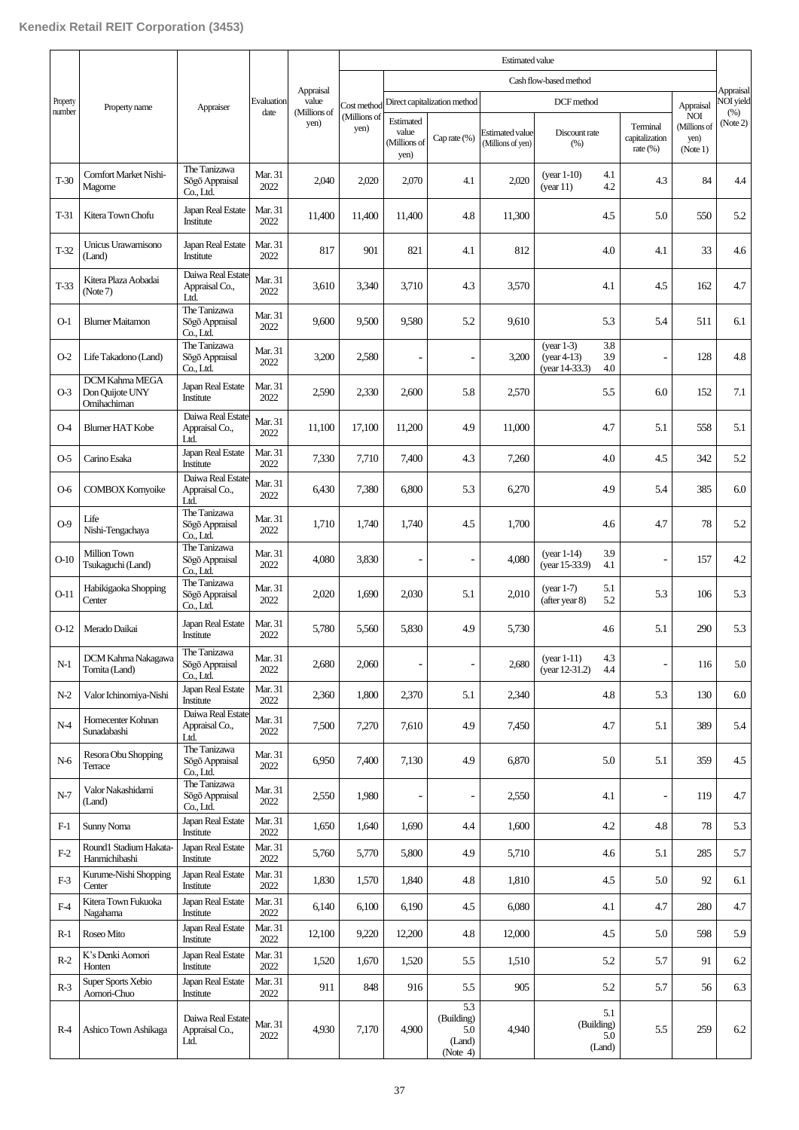|                    |                                                         |                                               |                 |           | <b>Estimated value</b> |                                            |                                                |                                             |                                                                      |                                           |                                                |           |  |                          |
|--------------------|---------------------------------------------------------|-----------------------------------------------|-----------------|-----------|------------------------|--------------------------------------------|------------------------------------------------|---------------------------------------------|----------------------------------------------------------------------|-------------------------------------------|------------------------------------------------|-----------|--|--------------------------|
|                    |                                                         |                                               |                 | Appraisal |                        |                                            |                                                |                                             | Cash flow-based method                                               |                                           |                                                | Appraisal |  |                          |
| Property<br>number | Property name                                           |                                               | Appraiser       |           | Evaluation<br>date     | value<br>(Millions of                      | Cost method                                    | Direct capitalization method                |                                                                      |                                           | DCF method                                     |           |  | <b>VOI</b> yield<br>(% ) |
|                    |                                                         |                                               |                 | yen)      | (Millions of<br>yen)   | Estimated<br>value<br>(Millions of<br>yen) | Cap rate (%)                                   | <b>Estimated value</b><br>(Millions of yen) | Discount rate<br>(% )                                                | Terminal<br>capitalization<br>rate $(\%)$ | <b>NOI</b><br>(Millions of<br>yen)<br>(Note 1) | (Note 2)  |  |                          |
| $T-30$             | Comfort Market Nishi-<br>Magome                         | The Tanizawa<br>Sōgō Appraisal<br>Co., Ltd.   | Mar. 31<br>2022 | 2,040     | 2,020                  | 2,070                                      | 4.1                                            | 2,020                                       | $(year 1-10)$<br>4.1<br>4.2<br>(year 11)                             | 4.3                                       | 84                                             | 4.4       |  |                          |
| $T-31$             | Kitera Town Chofu                                       | Japan Real Estate<br>Institute                | Mar. 31<br>2022 | 11,400    | 11,400                 | 11,400                                     | 4.8                                            | 11,300                                      | 4.5                                                                  | 5.0                                       | 550                                            | 5.2       |  |                          |
| $T-32$             | Unicus Urawamisono<br>(Land)                            | Japan Real Estate<br>Institute                | Mar. 31<br>2022 | 817       | 901                    | 821                                        | 4.1                                            | 812                                         | 4.0                                                                  | 4.1                                       | 33                                             | 4.6       |  |                          |
| $T-33$             | Kitera Plaza Aobadai<br>(Note 7)                        | Daiwa Real Estate<br>Appraisal Co.,<br>Ltd.   | Mar. 31<br>2022 | 3,610     | 3,340                  | 3,710                                      | 4.3                                            | 3,570                                       | 4.1                                                                  | 4.5                                       | 162                                            | 4.7       |  |                          |
| $O-1$              | <b>Blumer Maitamon</b>                                  | The Tanizawa<br>Sögö Appraisal<br>Co., Ltd.   | Mar. 31<br>2022 | 9,600     | 9,500                  | 9,580                                      | 5.2                                            | 9,610                                       | 5.3                                                                  | 5.4                                       | 511                                            | 6.1       |  |                          |
| $O-2$              | Life Takadono (Land)                                    | The Tanizawa<br>Sögö Appraisal<br>Co., Ltd.   | Mar. 31<br>2022 | 3,200     | 2,580                  |                                            |                                                | 3,200                                       | 3.8<br>$(vear 1-3)$<br>$(year 4-13)$<br>3.9<br>4.0<br>(year 14-33.3) |                                           | 128                                            | 4.8       |  |                          |
| $O-3$              | <b>DCM Kahma MEGA</b><br>Don Quijote UNY<br>Omihachiman | Japan Real Estate<br>Institute                | Mar. 31<br>2022 | 2,590     | 2,330                  | 2,600                                      | 5.8                                            | 2,570                                       | 5.5                                                                  | 6.0                                       | 152                                            | 7.1       |  |                          |
| 04                 | <b>Blumer HAT Kobe</b>                                  | Daiwa Real Estate<br>Appraisal Co.,<br>Ltd.   | Mar. 31<br>2022 | 11,100    | 17,100                 | 11,200                                     | 4.9                                            | 11,000                                      | 4.7                                                                  | 5.1                                       | 558                                            | 5.1       |  |                          |
| O-5                | Carino Esaka                                            | Japan Real Estate<br>Institute                | Mar. 31<br>2022 | 7,330     | 7,710                  | 7,400                                      | 4.3                                            | 7,260                                       | 4.0                                                                  | 4.5                                       | 342                                            | 5.2       |  |                          |
| $O-6$              | <b>COMBOX Komyoike</b>                                  | Daiwa Real Estate<br>Appraisal Co.,<br>Ltd.   | Mar. 31<br>2022 | 6,430     | 7,380                  | 6,800                                      | 5.3                                            | 6,270                                       | 4.9                                                                  | 5.4                                       | 385                                            | 6.0       |  |                          |
| $O-9$              | Life<br>Nishi-Tengachaya                                | The Tanizawa<br>Sögö Appraisal<br>Co., Ltd.   | Mar. 31<br>2022 | 1,710     | 1.740                  | 1,740                                      | 4.5                                            | 1.700                                       | 4.6                                                                  | 4.7                                       | 78                                             | 5.2       |  |                          |
| $O-10$             | Million Town<br>Tsukaguchi (Land)                       | The Tanizawa<br>Sögö Appraisal<br>$Co.$ I td. | Mar. 31<br>2022 | 4,080     | 3,830                  | ÷                                          |                                                | 4,080                                       | 3.9<br>$(year 1-14)$<br>(year 15-33.9)<br>4.1                        | $\overline{\phantom{a}}$                  | 157                                            | 4.2       |  |                          |
| $O-11$             | Habikigaoka Shopping<br>Center                          | The Tanizawa<br>Sögö Appraisal<br>Co., Ltd.   | Mar. 31<br>2022 | 2,020     | 1,690                  | 2,030                                      | 5.1                                            | 2,010                                       | 5.1<br>$(year 1-7)$<br>5.2<br>(after year 8)                         | 5.3                                       | 106                                            | 5.3       |  |                          |
| $O-12$             | Merado Daikai                                           | Japan Real Estate<br>Institute                | Mar. 31<br>2022 | 5,780     | 5,560                  | 5,830                                      | 4.9                                            | 5,730                                       | 4.6                                                                  | 5.1                                       | 290                                            | 5.3       |  |                          |
| $N-1$              | DCM Kahma Nakagawa<br>Tomita (Land)                     | The Tanizawa<br>Sögö Appraisal<br>Co., Ltd.   | Mar. 31<br>2022 | 2,680     | 2,060                  | $\overline{a}$                             | $\overline{\phantom{0}}$                       | 2,680                                       | 4.3<br>$(year 1-11)$<br>(year 12-31.2)<br>4.4                        | $\overline{\phantom{a}}$                  | 116                                            | 5.0       |  |                          |
| $N-2$              | Valor Ichinomiya-Nishi                                  | Japan Real Estate<br>Institute                | Mar. 31<br>2022 | 2,360     | 1,800                  | 2,370                                      | 5.1                                            | 2,340                                       | 4.8                                                                  | 5.3                                       | 130                                            | 6.0       |  |                          |
| N-4                | Homecenter Kohnan<br>Sunadabashi                        | Daiwa Real Estate<br>Appraisal Co.,<br>Ltd.   | Mar. 31<br>2022 | 7,500     | 7,270                  | 7,610                                      | 4.9                                            | 7,450                                       | 4.7                                                                  | 5.1                                       | 389                                            | 5.4       |  |                          |
| N-6                | Resora Obu Shopping<br>Terrace                          | The Tanizawa<br>Sōgō Appraisal<br>Co., Ltd.   | Mar. 31<br>2022 | 6,950     | 7,400                  | 7,130                                      | 4.9                                            | 6,870                                       | 5.0                                                                  | 5.1                                       | 359                                            | 4.5       |  |                          |
| $N-7$              | Valor Nakashidami<br>(Land)                             | The Tanizawa<br>Sögö Appraisal<br>Co., Ltd.   | Mar. 31<br>2022 | 2,550     | 1,980                  |                                            | L,                                             | 2,550                                       | 4.1                                                                  | $\overline{\phantom{a}}$                  | 119                                            | 4.7       |  |                          |
| $F-1$              | Sunny Noma                                              | Japan Real Estate<br>Institute                | Mar. 31<br>2022 | 1,650     | 1,640                  | 1,690                                      | 4.4                                            | 1,600                                       | 4.2                                                                  | 4.8                                       | 78                                             | 5.3       |  |                          |
| $F-2$              | Round1 Stadium Hakata-<br>Hanmichibashi                 | Japan Real Estate<br>Institute                | Mar. 31<br>2022 | 5,760     | 5,770                  | 5,800                                      | 4.9                                            | 5,710                                       | 4.6                                                                  | 5.1                                       | 285                                            | 5.7       |  |                          |
| $F-3$              | Kurume-Nishi Shopping<br>Center                         | Japan Real Estate<br>Institute                | Mar. 31<br>2022 | 1,830     | 1,570                  | 1,840                                      | 4.8                                            | 1,810                                       | $4.5\,$                                                              | 5.0                                       | 92                                             | 6.1       |  |                          |
| $F-4$              | Kitera Town Fukuoka<br>Nagahama                         | Japan Real Estate<br>Institute                | Mar. 31<br>2022 | 6,140     | 6,100                  | 6,190                                      | 4.5                                            | 6,080                                       | 4.1                                                                  | 4.7                                       | 280                                            | 4.7       |  |                          |
| $R-1$              | Roseo Mito                                              | Japan Real Estate<br>Institute                | Mar. 31<br>2022 | 12,100    | 9,220                  | 12,200                                     | 4.8                                            | 12,000                                      | 4.5                                                                  | 5.0                                       | 598                                            | 5.9       |  |                          |
| $R-2$              | K's Denki Aomori<br>Honten                              | Japan Real Estate<br>Institute                | Mar. 31<br>2022 | 1,520     | 1,670                  | 1,520                                      | 5.5                                            | 1,510                                       | 5.2                                                                  | 5.7                                       | 91                                             | 6.2       |  |                          |
| $R-3$              | Super Sports Xebio<br>Aomori-Chuo                       | Japan Real Estate<br>Institute                | Mar. 31<br>2022 | 911       | 848                    | 916                                        | 5.5                                            | 905                                         | 5.2                                                                  | 5.7                                       | 56                                             | 6.3       |  |                          |
| R-4                | Ashico Town Ashikaga                                    | Daiwa Real Estate<br>Appraisal Co.,<br>Ltd.   | Mar. 31<br>2022 | 4,930     | 7,170                  | 4,900                                      | 5.3<br>(Building)<br>5.0<br>(Land)<br>(Note 4) | 4,940                                       | 5.1<br>(Building)<br>5.0<br>(Land)                                   | 5.5                                       | 259                                            | 6.2       |  |                          |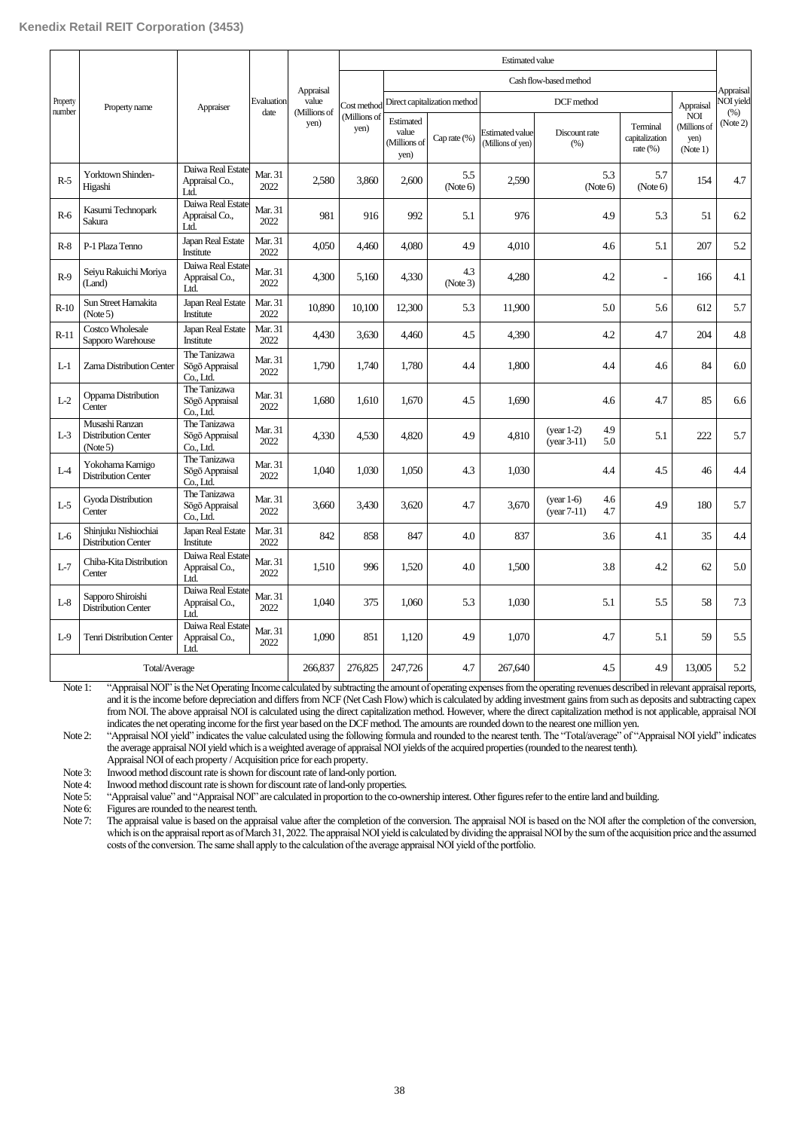|                    |                                                          |                                             |                 |                       |                      | <b>Estimated value</b>                     |                              |                                             |                                             |                                           |                                                |                  |
|--------------------|----------------------------------------------------------|---------------------------------------------|-----------------|-----------------------|----------------------|--------------------------------------------|------------------------------|---------------------------------------------|---------------------------------------------|-------------------------------------------|------------------------------------------------|------------------|
|                    | Property name                                            | Appraiser                                   |                 | Appraisal             |                      | Cash flow-based method                     |                              |                                             |                                             |                                           |                                                | Appraisal        |
| Property<br>number |                                                          |                                             | Evaluation      | value<br>(Millions of | Cost method          |                                            | Direct capitalization method |                                             | DCF method                                  | Appraisal                                 | <b>VOI</b> yield                               |                  |
|                    |                                                          |                                             | date            | yen)                  | (Millions of<br>yen) | Estimated<br>value<br>(Millions of<br>yen) | Cap rate (%)                 | <b>Estimated value</b><br>(Millions of yen) | Discount rate<br>(% )                       | Terminal<br>capitalization<br>rate $(\%)$ | <b>NOI</b><br>(Millions of<br>yen)<br>(Note 1) | (% )<br>(Note 2) |
| $R-5$              | Yorktown Shinden-<br>Higashi                             | Daiwa Real Estate<br>Appraisal Co.,<br>Ltd. | Mar. 31<br>2022 | 2.580                 | 3.860                | 2,600                                      | 5.5<br>(Note 6)              | 2.590                                       | 5.3<br>(Note 6)                             | 5.7<br>(Note 6)                           | 154                                            | 4.7              |
| $R-6$              | Kasumi Technopark<br>Sakura                              | Daiwa Real Estate<br>Appraisal Co.,<br>Ltd. | Mar. 31<br>2022 | 981                   | 916                  | 992                                        | 5.1                          | 976                                         | 4.9                                         | 5.3                                       | 51                                             | 6.2              |
| $R-8$              | P-1 Plaza Tenno                                          | Japan Real Estate<br>Institute              | Mar. 31<br>2022 | 4.050                 | 4.460                | 4,080                                      | 4.9                          | 4.010                                       | 4.6                                         | 5.1                                       | 207                                            | 5.2              |
| $R-9$              | Seiyu Rakuichi Moriya<br>(Land)                          | Daiwa Real Estate<br>Appraisal Co.,<br>Ltd. | Mar. 31<br>2022 | 4,300                 | 5,160                | 4,330                                      | 4.3<br>(Note3)               | 4,280                                       | 4.2                                         | $\overline{a}$                            | 166                                            | 4.1              |
| $R-10$             | Sun Street Hamakita<br>(Note 5)                          | Japan Real Estate<br>Institute              | Mar. 31<br>2022 | 10,890                | 10,100               | 12,300                                     | 5.3                          | 11,900                                      | 5.0                                         | 5.6                                       | 612                                            | 5.7              |
| $R-11$             | Costco Wholesale<br>Sapporo Warehouse                    | Japan Real Estate<br>Institute              | Mar. 31<br>2022 | 4,430                 | 3,630                | 4,460                                      | 4.5                          | 4,390                                       | 4.2                                         | 4.7                                       | 204                                            | 4.8              |
| $L-1$              | Zama Distribution Center                                 | The Tanizawa<br>Sōgō Appraisal<br>Co., Ltd. | Mar. 31<br>2022 | 1,790                 | 1.740                | 1,780                                      | 4.4                          | 1.800                                       | 4.4                                         | 4.6                                       | 84                                             | 6.0              |
| $L-2$              | Oppama Distribution<br>Center                            | The Tanizawa<br>Sögö Appraisal<br>Co., Ltd. | Mar. 31<br>2022 | 1,680                 | 1,610                | 1,670                                      | 4.5                          | 1,690                                       | 4.6                                         | 4.7                                       | 85                                             | 6.6              |
| $L-3$              | Musashi Ranzan<br><b>Distribution Center</b><br>(Note 5) | The Tanizawa<br>Sōgō Appraisal<br>Co., Ltd. | Mar. 31<br>2022 | 4.330                 | 4.530                | 4,820                                      | 4.9                          | 4.810                                       | 4.9<br>$(year 1-2)$<br>$(year 3-11)$<br>5.0 | 5.1                                       | 222                                            | 5.7              |
| $L-4$              | Yokohama Kamigo<br><b>Distribution Center</b>            | The Tanizawa<br>Sögö Appraisal<br>Co., Ltd. | Mar. 31<br>2022 | 1,040                 | 1.030                | 1,050                                      | 4.3                          | 1.030                                       | 4.4                                         | 4.5                                       | 46                                             | 4.4              |
| $L-5$              | Gyoda Distribution<br>Center                             | The Tanizawa<br>Sōgō Appraisal<br>Co., Ltd. | Mar. 31<br>2022 | 3,660                 | 3,430                | 3,620                                      | 4.7                          | 3,670                                       | 4.6<br>$(year 1-6)$<br>4.7<br>$(year 7-11)$ | 4.9                                       | 180                                            | 5.7              |
| $L-6$              | Shinjuku Nishiochiai<br><b>Distribution Center</b>       | Japan Real Estate<br>Institute              | Mar. 31<br>2022 | 842                   | 858                  | 847                                        | 4.0                          | 837                                         | 3.6                                         | 4.1                                       | 35                                             | 4.4              |
| $L-7$              | Chiba-Kita Distribution<br>Center                        | Daiwa Real Estate<br>Appraisal Co.,<br>Ltd. | Mar. 31<br>2022 | 1.510                 | 996                  | 1.520                                      | 4.0                          | 1.500                                       | 3.8                                         | 4.2                                       | 62                                             | 5.0              |
| $L-8$              | Sapporo Shiroishi<br><b>Distribution Center</b>          | Daiwa Real Estate<br>Appraisal Co.,<br>Ltd. | Mar. 31<br>2022 | 1.040                 | 375                  | 1,060                                      | 5.3                          | 1.030                                       | 5.1                                         | 5.5                                       | 58                                             | 7.3              |
| $L-9$              | <b>Tenri Distribution Center</b>                         | Daiwa Real Estate<br>Appraisal Co.,<br>Ltd. | Mar. 31<br>2022 | 1.090                 | 851                  | 1,120                                      | 4.9                          | 1.070                                       | 4.7                                         | 5.1                                       | 59                                             | 5.5              |
| Total/Average      |                                                          |                                             |                 | 266,837               | 276,825              | 247,726                                    | 4.7                          | 267,640                                     | 4.5                                         | 4.9                                       | 13,005                                         | 5.2              |

Note 1: "Appraisal NOI" is the Net Operating Income calculated by subtracting the amount of operating expenses from the operating revenues described in relevant appraisal reports, and it is the income before depreciation and differs from NCF (Net Cash Flow) which is calculated by adding investment gains from such as deposits and subtracting capex from NOI. The above appraisal NOI is calculated using the direct capitalization method. However, where the direct capitalization method is not applicable, appraisal NOI indicates the net operating income for the first year based on the DCF method. The amounts are rounded down to the nearest one million yen.

Note 2: "Appraisal NOI yield" indicates the value calculated using the following formula and rounded to the nearest tenth. The "Total/average" of "Appraisal NOI yield" indicates the average appraisal NOI yield which is a weighted average of appraisal NOI yields ofthe acquired properties (rounded to the nearest tenth).

Appraisal NOI of each property / Acquisition price for each property.

Note 3: Inwood method discount rate is shown for discount rate of land-only portion.<br>Note 4: Inwood method discount rate is shown for discount rate of land-only properties

Note 4: Inwood method discount rate is shown for discount rate of land-only properties.<br>Note 5: "Appraisal value" and "Appraisal NOP" are calculated in proportion to the co-or

"Appraisal value" and "Appraisal NOI" are calculated in proportion to the co-ownership interest. Other figures refer to the entire land and building.

Note 6: Figures are rounded to the nearest tenth.<br>Note 7: The appraisal value is based on the appr

The appraisal value is based on the appraisal value after the completion of the conversion. The appraisal NOI is based on the NOI after the completion of the conversion, which is on the appraisal report as of March 31, 2022. The appraisal NOI yield is calculated by dividing the appraisal NOI by the sum of the acquisition price and the assumed costs of the conversion. The same shall apply to the calculation of the average appraisal NOI yield of the portfolio.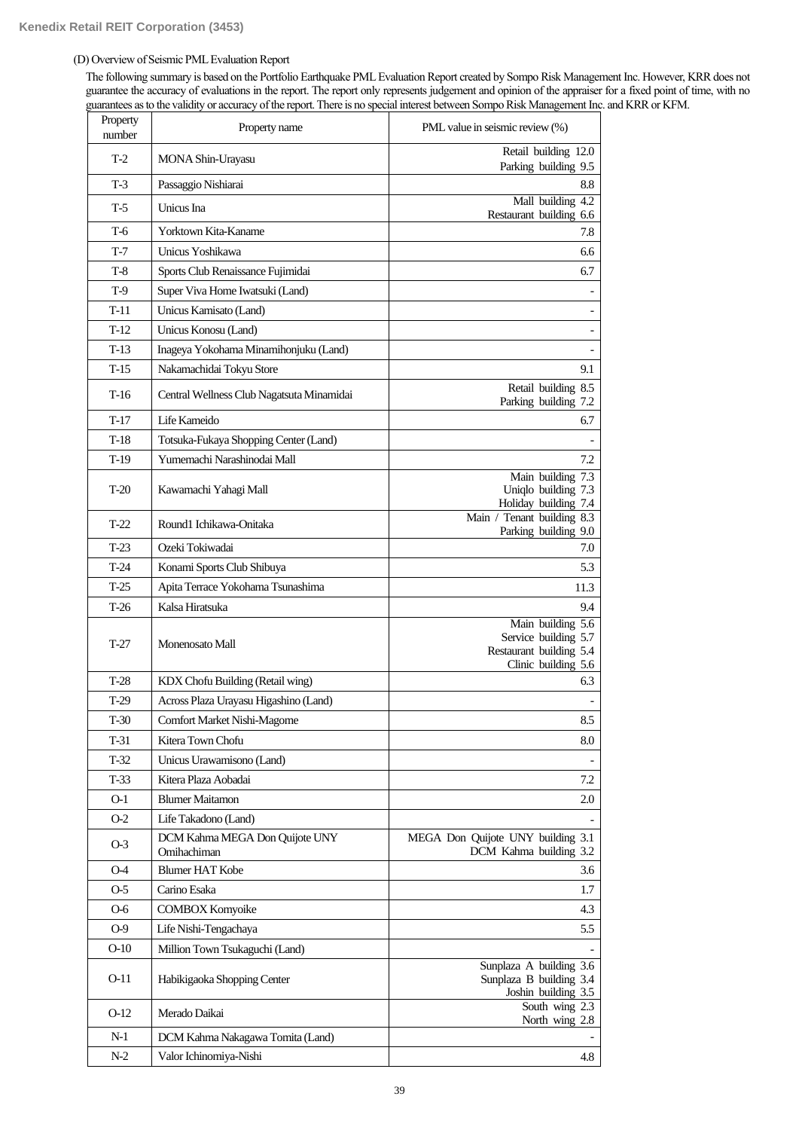# (D) Overview of Seismic PML Evaluation Report

The following summary is based on the Portfolio Earthquake PML Evaluation Report created by Sompo Risk Management Inc. However, KRR does not guarantee the accuracy of evaluations in the report. The report only represents judgement and opinion of the appraiser for a fixed point of time, with no guarantees as to the validity or accuracy of the report. There is no special interest between Sompo Risk Management Inc. and KRR or KFM.

| Property<br>number | Property name                                                   | PML value in seismic review (%)                                                             |
|--------------------|-----------------------------------------------------------------|---------------------------------------------------------------------------------------------|
| $T-2$              | MONA Shin-Urayasu                                               | Retail building 12.0<br>Parking building 9.5                                                |
| $T-3$              | Passaggio Nishiarai                                             | 8.8                                                                                         |
| $T-5$              | Unicus Ina                                                      | Mall building 4.2                                                                           |
| T-6                | Yorktown Kita-Kaname                                            | Restaurant building 6.6<br>7.8                                                              |
| $T-7$              | Unicus Yoshikawa                                                | 6.6                                                                                         |
| $T-8$              | Sports Club Renaissance Fujimidai                               | 6.7                                                                                         |
| T-9                | Super Viva Home Iwatsuki (Land)                                 |                                                                                             |
| $T-11$             | Unicus Kamisato (Land)                                          | $\overline{\phantom{a}}$                                                                    |
| $T-12$             | Unicus Konosu (Land)                                            | $\overline{\phantom{a}}$                                                                    |
| $T-13$             | Inageya Yokohama Minamihonjuku (Land)                           |                                                                                             |
| $T-15$             | Nakamachidai Tokyu Store                                        | 9.1                                                                                         |
| $T-16$             | Central Wellness Club Nagatsuta Minamidai                       | Retail building 8.5<br>Parking building 7.2                                                 |
| $T-17$             | Life Kameido                                                    | 6.7                                                                                         |
| $T-18$             | Totsuka-Fukaya Shopping Center (Land)                           |                                                                                             |
| T-19               | Yumemachi Narashinodai Mall                                     | 7.2                                                                                         |
| $T-20$             | Kawamachi Yahagi Mall                                           | Main building 7.3<br>Uniqlo building 7.3                                                    |
| $T-22$             | Round1 Ichikawa-Onitaka                                         | Holiday building 7.4<br>Main / Tenant building 8.3                                          |
| $T-23$             | Ozeki Tokiwadai                                                 | Parking building 9.0<br>7.0                                                                 |
| $T-24$             |                                                                 | 5.3                                                                                         |
| $T-25$             | Konami Sports Club Shibuya<br>Apita Terrace Yokohama Tsunashima | 11.3                                                                                        |
| T-26               | Kalsa Hiratsuka                                                 | 9.4                                                                                         |
| $T-27$             | Monenosato Mall                                                 | Main building 5.6<br>Service building 5.7<br>Restaurant building 5.4<br>Clinic building 5.6 |
| $T-28$             | KDX Chofu Building (Retail wing)                                | 6.3                                                                                         |
| T-29               | Across Plaza Urayasu Higashino (Land)                           |                                                                                             |
| T-30               | Comfort Market Nishi-Magome                                     | 8.5                                                                                         |
| $T-31$             | Kitera Town Chofu                                               | 8.0                                                                                         |
| T-32               | Unicus Urawamisono (Land)                                       |                                                                                             |
| $T-33$             | Kitera Plaza Aobadai                                            | 7.2                                                                                         |
| 0-1                | <b>Blumer Maitamon</b>                                          | 2.0                                                                                         |
| $O-2$              | Life Takadono (Land)                                            |                                                                                             |
| $O-3$              | DCM Kahma MEGA Don Quijote UNY<br>Omihachiman                   | MEGA Don Quijote UNY building 3.1<br>DCM Kahma building 3.2                                 |
| 0-4                | <b>Blumer HAT Kobe</b>                                          | 3.6                                                                                         |
| $O-5$              | Carino Esaka                                                    | 1.7                                                                                         |
| 0-6                | <b>COMBOX Komyoike</b>                                          | 4.3                                                                                         |
| $O-9$              | Life Nishi-Tengachaya                                           | 5.5                                                                                         |
| $O-10$             | Million Town Tsukaguchi (Land)                                  |                                                                                             |
| $O-11$             | Habikigaoka Shopping Center                                     | Sunplaza A building 3.6<br>Sunplaza B building 3.4<br>Joshin building 3.5                   |
| $O-12$             | Merado Daikai                                                   | South wing $2.3$<br>North wing 2.8                                                          |
| $N-1$              | DCM Kahma Nakagawa Tomita (Land)                                |                                                                                             |
| $N-2$              | Valor Ichinomiya-Nishi                                          | 4.8                                                                                         |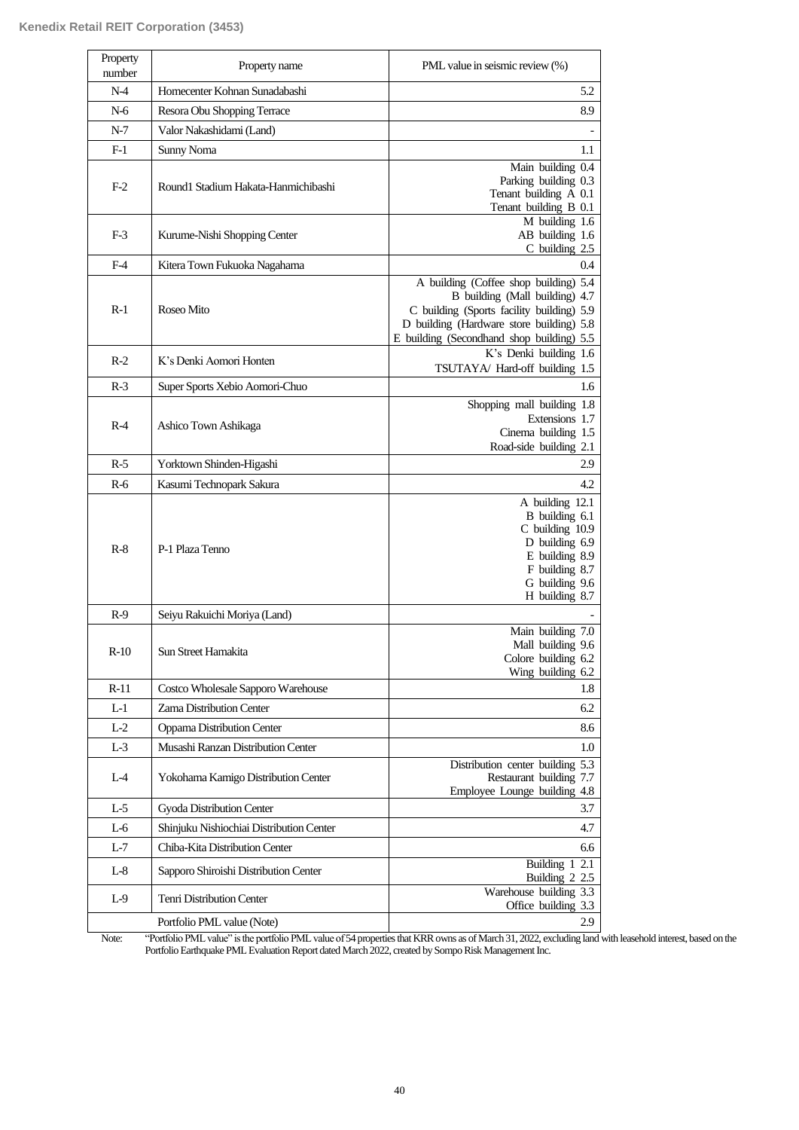| Property<br>number | Property name                            | PML value in seismic review (%)                                                                                                                                                                               |
|--------------------|------------------------------------------|---------------------------------------------------------------------------------------------------------------------------------------------------------------------------------------------------------------|
| $N-4$              | Homecenter Kohnan Sunadabashi            | 5.2                                                                                                                                                                                                           |
| N-6                | Resora Obu Shopping Terrace              | 8.9                                                                                                                                                                                                           |
| $N-7$              | Valor Nakashidami (Land)                 |                                                                                                                                                                                                               |
| $F-1$              | Sunny Noma                               | 1.1                                                                                                                                                                                                           |
| $F-2$              | Round1 Stadium Hakata-Hanmichibashi      | Main building 0.4<br>Parking building 0.3<br>Tenant building A 0.1<br>Tenant building B 0.1                                                                                                                   |
| $F-3$              | Kurume-Nishi Shopping Center             | $M$ building 1.6<br>AB building 1.6<br>C building 2.5                                                                                                                                                         |
| $F-4$              | Kitera Town Fukuoka Nagahama             | 0.4                                                                                                                                                                                                           |
| $R-1$              | Roseo Mito                               | A building (Coffee shop building) 5.4<br>B building (Mall building) 4.7<br>C building (Sports facility building) 5.9<br>D building (Hardware store building) 5.8<br>E building (Secondhand shop building) 5.5 |
| $R-2$              | K's Denki Aomori Honten                  | $\overline{K}$ 's Denki building 1.6<br>TSUTAYA/ Hard-off building 1.5                                                                                                                                        |
| $R-3$              | Super Sports Xebio Aomori-Chuo           | 1.6                                                                                                                                                                                                           |
| $R-4$              | Ashico Town Ashikaga                     | Shopping mall building 1.8<br>Extensions 1.7<br>Cinema building 1.5<br>Road-side building 2.1                                                                                                                 |
| $R-5$              | Yorktown Shinden-Higashi                 | 2.9                                                                                                                                                                                                           |
| $R-6$              | Kasumi Technopark Sakura                 | 4.2                                                                                                                                                                                                           |
| $R-8$              | P-1 Plaza Tenno                          | A building 12.1<br>B building 6.1<br>C building 10.9<br>D building 6.9<br>E building 8.9<br>F building 8.7<br>G building 9.6<br>H building 8.7                                                                |
| $R-9$              | Seiyu Rakuichi Moriya (Land)             |                                                                                                                                                                                                               |
| $R-10$             | Sun Street Hamakita                      | Main building 7.0<br>Mall building 9.6<br>Colore building 6.2<br>Wing building 6.2                                                                                                                            |
| $R-11$             | Costco Wholesale Sapporo Warehouse       | 1.8                                                                                                                                                                                                           |
| L-1                | Zama Distribution Center                 | 6.2                                                                                                                                                                                                           |
| $L-2$              | Oppama Distribution Center               | 8.6                                                                                                                                                                                                           |
| $L-3$              | Musashi Ranzan Distribution Center       | 1.0                                                                                                                                                                                                           |
| $L-4$              | Yokohama Kamigo Distribution Center      | Distribution center building 5.3<br>Restaurant building 7.7<br>Employee Lounge building 4.8                                                                                                                   |
| $L-5$              | Gyoda Distribution Center                | 3.7                                                                                                                                                                                                           |
| L-6                | Shinjuku Nishiochiai Distribution Center | 4.7                                                                                                                                                                                                           |
| $L-7$              | Chiba-Kita Distribution Center           | 6.6                                                                                                                                                                                                           |
| $L-8$              | Sapporo Shiroishi Distribution Center    | Building 1<br>2.1<br>Building 2 2.5                                                                                                                                                                           |
| $L-9$              | Tenri Distribution Center                | Warehouse building 3.3<br>Office building 3.3                                                                                                                                                                 |
|                    | Portfolio PML value (Note)               | 2.9                                                                                                                                                                                                           |

Note: "Portfolio PML value" is the portfolio PML value of 54 properties that KRR owns as of March 31, 2022, excluding land with leasehold interest, based on the Portfolio Earthquake PML Evaluation Report dated March 2022, created by Sompo Risk Management Inc.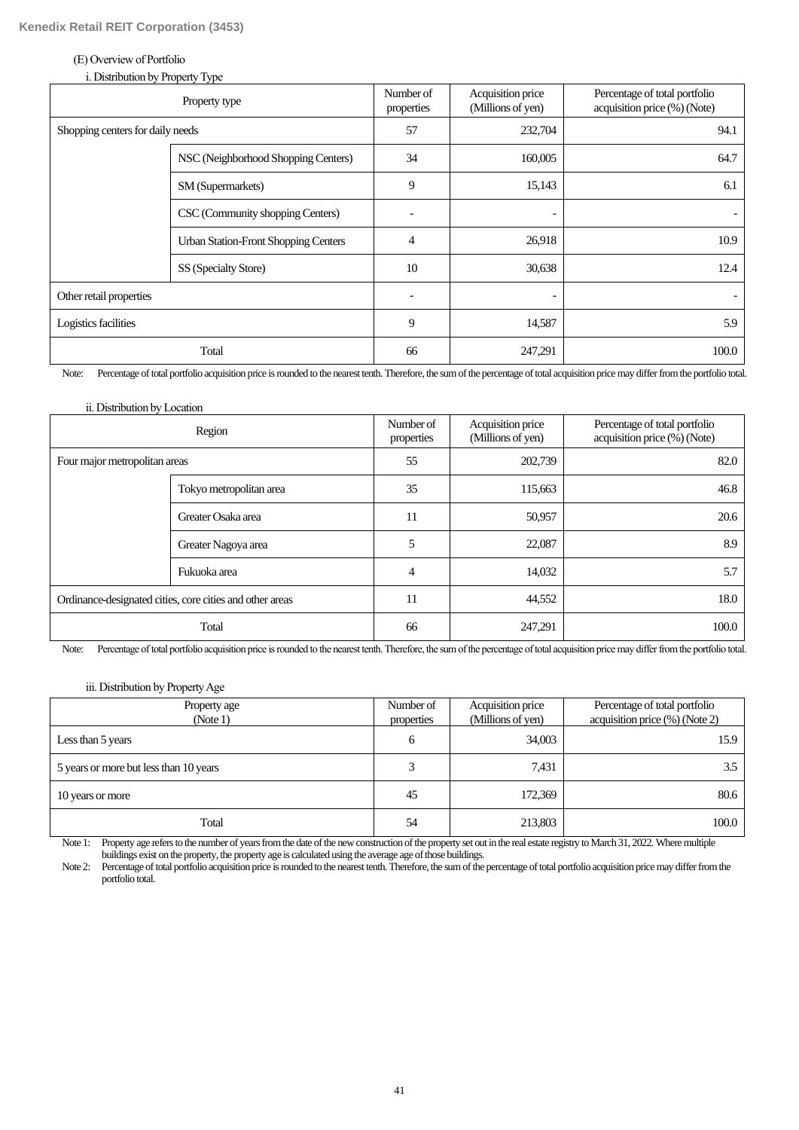### (E) Overview of Portfolio

| i. Distribution by Property Type |
|----------------------------------|
|----------------------------------|

|                                  | Property type                               | Number of<br>properties | Acquisition price<br>(Millions of yen) | Percentage of total portfolio<br>acquisition price (%) (Note) |
|----------------------------------|---------------------------------------------|-------------------------|----------------------------------------|---------------------------------------------------------------|
| Shopping centers for daily needs |                                             | 57                      | 232,704                                | 94.1                                                          |
|                                  | NSC (Neighborhood Shopping Centers)         |                         | 160,005                                | 64.7                                                          |
|                                  | SM (Supermarkets)                           | 9                       | 15,143                                 | 6.1                                                           |
|                                  | CSC (Community shopping Centers)            |                         | $\overline{\phantom{0}}$               |                                                               |
|                                  | <b>Urban Station-Front Shopping Centers</b> | $\overline{4}$          | 26,918                                 | 10.9                                                          |
|                                  | SS (Specialty Store)                        | 10                      | 30,638                                 | 12.4                                                          |
| Other retail properties          |                                             |                         | -                                      |                                                               |
| Logistics facilities             |                                             | 9                       | 14,587                                 | 5.9                                                           |
|                                  | Total                                       | 66                      | 247,291                                | 100.0                                                         |

Note: Percentage of total portfolio acquisition price is rounded to the nearest tenth. Therefore, the sum of the percentage of total acquisition price may differ from the portfolio total.

| ii. Distribution by Location                             |                         |                         |                                        |                                                               |
|----------------------------------------------------------|-------------------------|-------------------------|----------------------------------------|---------------------------------------------------------------|
|                                                          | Region                  | Number of<br>properties | Acquisition price<br>(Millions of yen) | Percentage of total portfolio<br>acquisition price (%) (Note) |
| Four major metropolitan areas                            |                         | 55                      | 202,739                                | 82.0                                                          |
|                                                          | Tokyo metropolitan area |                         | 115,663                                | 46.8                                                          |
| Greater Osaka area                                       |                         | 11                      | 50,957                                 | 20.6                                                          |
|                                                          | Greater Nagoya area     | 5                       | 22,087                                 | 8.9                                                           |
|                                                          | Fukuoka area            | $\overline{4}$          | 14,032                                 | 5.7                                                           |
| Ordinance-designated cities, core cities and other areas |                         | 11                      | 44,552                                 | 18.0                                                          |
|                                                          | Total                   | 66                      | 247,291                                | 100.0                                                         |

Note: Percentage of total portfolio acquisition price is rounded to the nearest tenth. Therefore, the sum of the percentage of total acquisition price may differ from the portfolio total.

# iii. Distribution by Property Age

| Property age<br>(Note 1)               | Number of<br>properties | Acquisition price<br>(Millions of yen) | Percentage of total portfolio<br>acquisition price (%) (Note 2) |
|----------------------------------------|-------------------------|----------------------------------------|-----------------------------------------------------------------|
| Less than 5 years                      | 6                       | 34,003                                 | 15.9                                                            |
| 5 years or more but less than 10 years |                         | 7,431                                  | 3.5                                                             |
| 10 years or more                       | 45                      | 172,369                                | 80.6                                                            |
| Total                                  | 54                      | 213,803                                | 100.0                                                           |

Note 1: Property age refers to the number of years from the date of the new construction of the property set out in the real estate registry to March 31, 2022. Where multiple buildings exist on the property, the property age is calculated using the average age of those buildings.

Note 2: Percentage of total portfolio acquisition price is rounded to the nearest tenth. Therefore, the sum of the percentage of total portfolio acquisition price may differ from the portfolio total.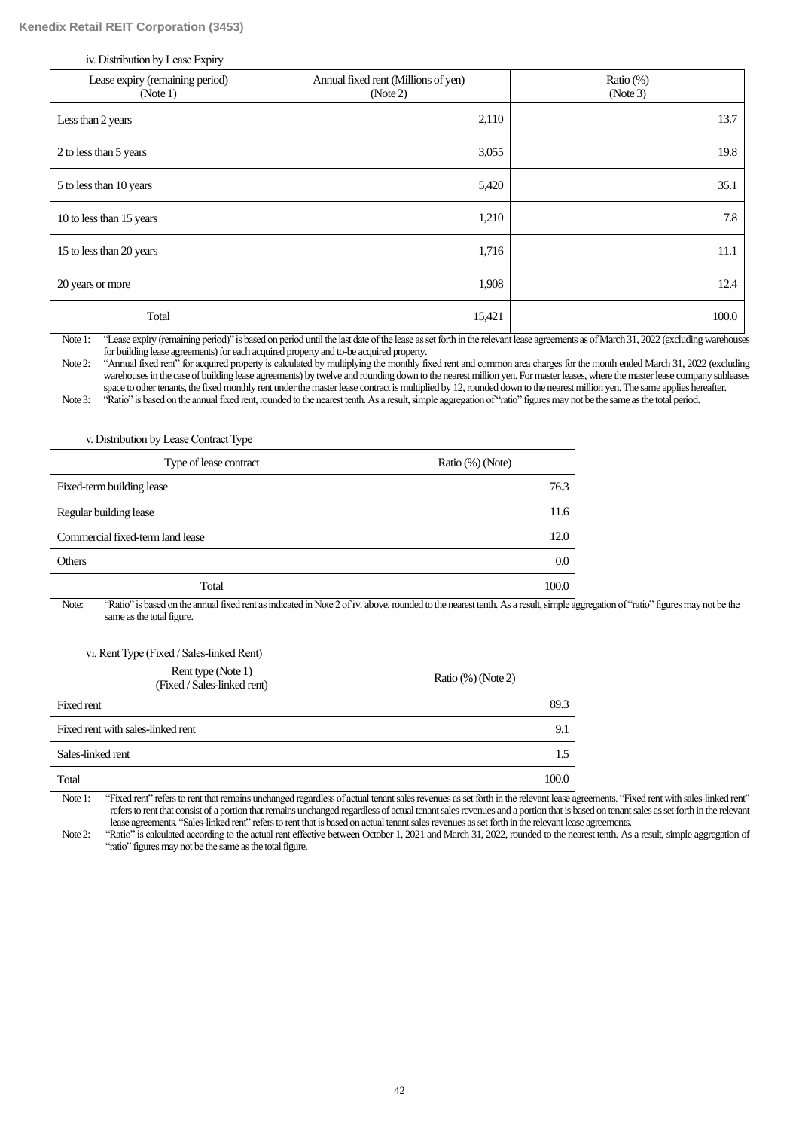iv. Distribution by Lease Expiry

| Lease expiry (remaining period)<br>(Note 1) | Annual fixed rent (Millions of yen)<br>(Note 2) | Ratio $(\%)$<br>(Note 3) |
|---------------------------------------------|-------------------------------------------------|--------------------------|
| Less than 2 years                           | 2,110                                           | 13.7                     |
| 2 to less than 5 years                      | 3,055                                           | 19.8                     |
| 5 to less than 10 years                     | 5,420                                           | 35.1                     |
| 10 to less than 15 years                    | 1,210                                           | 7.8                      |
| 15 to less than 20 years                    | 1,716                                           | 11.1                     |
| 20 years or more                            | 1,908                                           | 12.4                     |
| Total                                       | 15,421                                          | 100.0                    |

Note 1: "Lease expiry (remaining period)" is based on period until the last date of the lease as set forth in the relevant lease agreements as of March 31, 2022 (excluding warehouses for building lease agreements) for each acquired property and to-be acquired property.

Note 2: "Annual fixed rent" for acquired property is calculated by multiplying the monthly fixed rent and common area charges for the month ended March 31, 2022 (excluding warehouses in the case of building lease agreements) by twelve and rounding down to the nearest million yen. For master leases, where the master lease company subleases space to other tenants, the fixed monthly rent under the master lease contract is multiplied by 12, rounded down to the nearest million yen. The same applies hereafter.

Note 3: "Ratio" is based on the annual fixed rent, rounded to the nearest tenth. As a result, simple aggregation of "ratio" figures may not be the same as the total period.

#### v. Distribution by Lease Contract Type

| Type of lease contract           | Ratio (%) (Note) |
|----------------------------------|------------------|
| Fixed-term building lease        | 76.3             |
| Regular building lease           | 11.6             |
| Commercial fixed-term land lease | 12.0             |
| <b>Others</b>                    | 0.0              |
| Total                            | 100.0            |

Note: "Ratio" is based on the annual fixed rent as indicated in Note 2 of iv. above, rounded to the nearest tenth. As a result, simple aggregation of "ratio" figures may not be the same as the total figure.

# vi. Rent Type (Fixed / Sales-linked Rent)

| Rent type (Note 1)<br>(Fixed / Sales-linked rent) | Ratio $(\%)$ (Note 2) |
|---------------------------------------------------|-----------------------|
| Fixed rent                                        | 89.3                  |
| Fixed rent with sales-linked rent                 | $9_{.1}$              |
| Sales-linked rent                                 | 1.5                   |
| Total                                             | 100.0                 |

Note 1: "Fixed rent" refers to rent that remains unchanged regardless of actual tenant sales revenues as set forth in the relevant lease agreements. "Fixed rent with sales-linked rent" refers to rent that consist of a portion that remains unchanged regardless of actual tenant sales revenues and a portion that is based on tenant sales as set forth in the relevant lease agreements. "Sales-linked rent" refers to rent that is based on actual tenant sales revenues as set forth in the relevant lease agreements.

Note 2: "Ratio" is calculated according to the actual rent effective between October 1, 2021 and March 31, 2022, rounded to the nearest tenth. As a result, simple aggregation of "ratio" figures may not be the same as the total figure.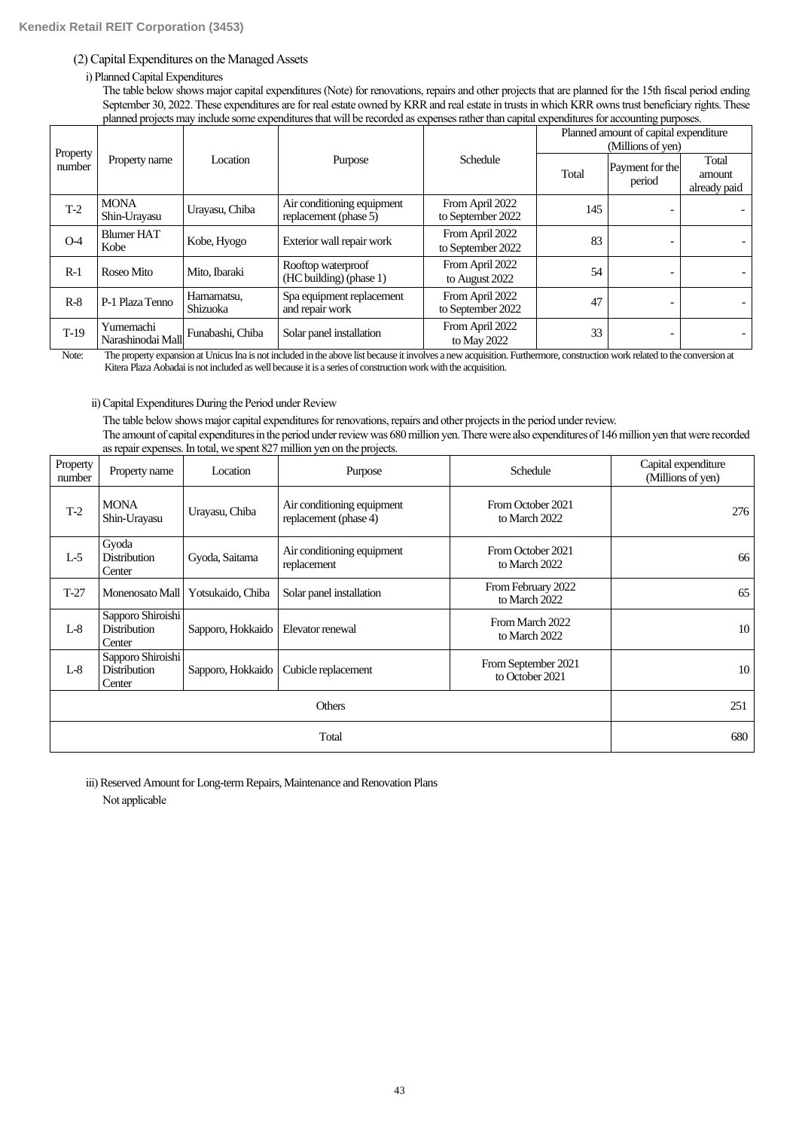# (2) Capital Expenditures on the Managed Assets

# i) Planned Capital Expenditures

The table below shows major capital expenditures (Note) for renovations, repairs and other projects that are planned for the 15th fiscal period ending September 30, 2022. These expenditures are for real estate owned by KRR and real estate in trusts in which KRR owns trust beneficiary rights. These planned projects may include some expenditures that will be recorded as expenses rather than capital expenditures for accounting purposes.

|                    |                                |                        |                                                     |                                      | Planned amount of capital expenditure<br>(Millions of yen) |                           |                                 |  |
|--------------------|--------------------------------|------------------------|-----------------------------------------------------|--------------------------------------|------------------------------------------------------------|---------------------------|---------------------------------|--|
| Property<br>number | Property name                  | Location               | Purpose                                             | Schedule                             | Total                                                      | Payment for the<br>period | Total<br>amount<br>already paid |  |
| $T-2$              | <b>MONA</b><br>Shin-Urayasu    | Urayasu, Chiba         | Air conditioning equipment<br>replacement (phase 5) | From April 2022<br>to September 2022 | 145                                                        |                           |                                 |  |
| $O-4$              | <b>Blumer HAT</b><br>Kobe      | Kobe, Hyogo            | Exterior wall repair work                           | From April 2022<br>to September 2022 | 83                                                         | $\overline{\phantom{a}}$  |                                 |  |
| $R-1$              | Roseo Mito                     | Mito. Ibaraki          | Rooftop waterproof<br>(HC building) (phase 1)       | From April 2022<br>to August 2022    | 54                                                         | $\overline{\phantom{0}}$  |                                 |  |
| $R-8$              | P-1 Plaza Tenno                | Hamamatsu,<br>Shizuoka | Spa equipment replacement<br>and repair work        | From April 2022<br>to September 2022 | 47                                                         |                           |                                 |  |
| $T-19$             | Yumemachi<br>Narashinodai Mall | Funabashi, Chiba       | Solar panel installation                            | From April 2022<br>to May 2022       | 33                                                         |                           |                                 |  |

Note: The property expansion at Unicus Ina is not included in the above list because it involves a new acquisition. Furthermore, construction work related to the conversion at Kitera Plaza Aobadai is not included as well because it is a series of construction work with the acquisition.

# ii) Capital Expenditures During the Period under Review

The table below shows major capital expenditures for renovations, repairs and other projects in the period under review. The amount of capital expenditures in the period under review was 680 million yen. There were also expenditures of 146 million yen that were recorded as repair expenses. In total, we spent 827 million yen on the projects.

| Property<br>number | Property name                                      | Location          | Purpose                                             | Schedule                               | Capital expenditure<br>(Millions of yen) |
|--------------------|----------------------------------------------------|-------------------|-----------------------------------------------------|----------------------------------------|------------------------------------------|
| $T-2$              | <b>MONA</b><br>Shin-Urayasu                        | Urayasu, Chiba    | Air conditioning equipment<br>replacement (phase 4) | From October 2021<br>to March 2022     | 276                                      |
| $L-5$              | Gyoda<br><b>Distribution</b><br>Center             | Gyoda, Saitama    | Air conditioning equipment<br>replacement           | From October 2021<br>to March 2022     | 66                                       |
| $T-27$             | Monenosato Mall                                    | Yotsukaido, Chiba | Solar panel installation                            | From February 2022<br>to March 2022    | 65                                       |
| $L-8$              | Sapporo Shiroishi<br><b>Distribution</b><br>Center | Sapporo, Hokkaido | Elevator renewal                                    | From March 2022<br>to March 2022       | 10                                       |
| $L-8$              | Sapporo Shiroishi<br><b>Distribution</b><br>Center | Sapporo, Hokkaido | Cubicle replacement                                 | From September 2021<br>to October 2021 | 10                                       |
|                    | 251                                                |                   |                                                     |                                        |                                          |
|                    | 680                                                |                   |                                                     |                                        |                                          |

iii) Reserved Amount for Long-term Repairs, Maintenance and Renovation Plans Not applicable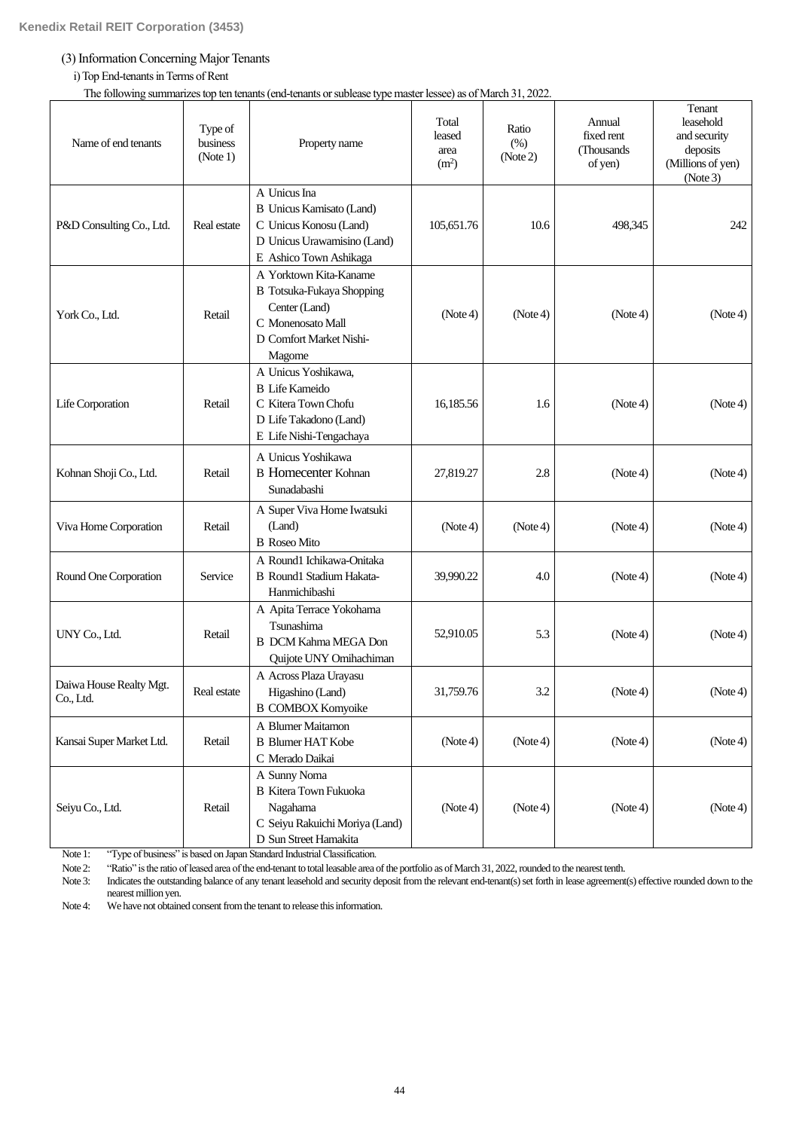# (3) Information Concerning Major Tenants

# i) Top End-tenants in Terms of Rent

The following summarizes top ten tenants (end-tenants or sublease type master lessee) as of March 31, 2022.

| Name of end tenants                  | Type of<br>business<br>(Note 1) | Property name                                                                                                                         | Total<br>leased<br>area<br>(m <sup>2</sup> ) | Ratio<br>(% )<br>(Note 2) | Annual<br>fixed rent<br>(Thousands)<br>of yen) | Tenant<br>leasehold<br>and security<br>deposits<br>(Millions of yen)<br>(Note3) |
|--------------------------------------|---------------------------------|---------------------------------------------------------------------------------------------------------------------------------------|----------------------------------------------|---------------------------|------------------------------------------------|---------------------------------------------------------------------------------|
| P&D Consulting Co., Ltd.             | Real estate                     | A Unicus Ina<br><b>B</b> Unicus Kamisato (Land)<br>C Unicus Konosu (Land)<br>D Unicus Urawamisino (Land)<br>E Ashico Town Ashikaga    | 105,651.76                                   | 10.6                      | 498,345                                        | 242                                                                             |
| York Co., Ltd.                       | Retail                          | A Yorktown Kita-Kaname<br><b>B</b> Totsuka-Fukaya Shopping<br>Center (Land)<br>C Monenosato Mall<br>D Comfort Market Nishi-<br>Magome | (Note4)                                      | (Note4)                   | (Note4)                                        | (Note4)                                                                         |
| Life Corporation                     | Retail                          | A Unicus Yoshikawa,<br><b>B</b> Life Kameido<br>C Kitera Town Chofu<br>D Life Takadono (Land)<br>E Life Nishi-Tengachaya              | 16,185.56                                    | 1.6                       | (Note4)                                        | (Note4)                                                                         |
| Kohnan Shoji Co., Ltd.               | Retail                          | A Unicus Yoshikawa<br><b>B</b> Homecenter Kohnan<br>Sunadabashi                                                                       | 27,819.27                                    | 2.8                       | (Note4)                                        | (Note4)                                                                         |
| Viva Home Corporation                | Retail                          | A Super Viva Home Iwatsuki<br>(Land)<br><b>B</b> Roseo Mito                                                                           | (Note4)                                      | (Note4)                   | (Note4)                                        | (Note4)                                                                         |
| Round One Corporation                | Service                         | A Round1 Ichikawa-Onitaka<br><b>B</b> Round1 Stadium Hakata-<br>Hanmichibashi                                                         | 39,990.22                                    | 4.0                       | (Note4)                                        | (Note4)                                                                         |
| UNY Co., Ltd.                        | Retail                          | A Apita Terrace Yokohama<br>Tsunashima<br><b>B</b> DCM Kahma MEGA Don<br>Quijote UNY Omihachiman                                      | 52,910.05                                    | 5.3                       | (Note4)                                        | (Note4)                                                                         |
| Daiwa House Realty Mgt.<br>Co., Ltd. | Real estate                     | A Across Plaza Urayasu<br>Higashino (Land)<br><b>B COMBOX Komyoike</b>                                                                | 31,759.76                                    | 3.2                       | (Note4)                                        | (Note 4)                                                                        |
| Kansai Super Market Ltd.             | Retail                          | A Blumer Maitamon<br><b>B</b> Blumer HAT Kobe<br>C Merado Daikai                                                                      | (Note4)                                      | (Note4)                   | (Note4)                                        | (Note4)                                                                         |
| Seiyu Co., Ltd.                      | Retail                          | A Sunny Noma<br><b>B</b> Kitera Town Fukuoka<br>Nagahama<br>C Seiyu Rakuichi Moriya (Land)<br>D Sun Street Hamakita                   | (Note4)                                      | (Note4)                   | (Note4)                                        | (Note4)                                                                         |

Note 1: "Type of business" is based on Japan Standard Industrial Classification.

Note 2: "Ratio" is the ratio of leased area of the end-tenant to total leasable area of the portfolio as of March 31, 2022, rounded to the nearest tenth.

Note 3: Indicates the outstanding balance of any tenant leasehold and security deposit from the relevant end-tenant(s) set forth in lease agreement(s) effective rounded down to the nearest million yen.

Note 4: We have not obtained consent from the tenant to release this information.